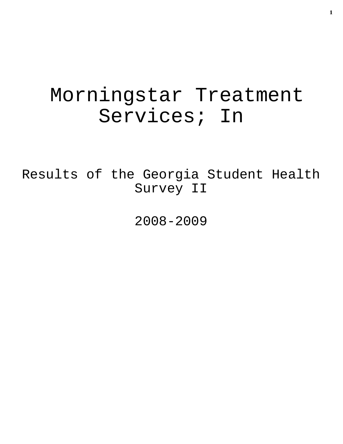# Morningstar Treatment Services; In

Results of the Georgia Student Health Survey II

2008-2009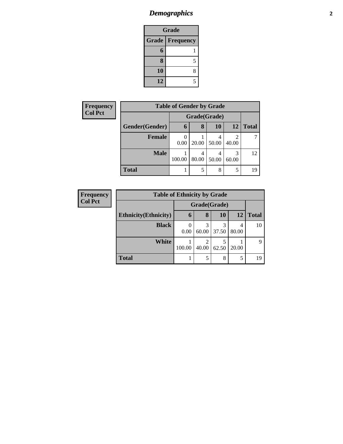# *Demographics* **2**

| <b>Grade</b>           |            |  |  |  |
|------------------------|------------|--|--|--|
| <b>Grade Frequency</b> |            |  |  |  |
| 6                      |            |  |  |  |
| 8                      | 5          |  |  |  |
| 10                     | 8          |  |  |  |
| 12                     | $\epsilon$ |  |  |  |

| Frequency      | <b>Table of Gender by Grade</b> |              |            |       |            |              |
|----------------|---------------------------------|--------------|------------|-------|------------|--------------|
| <b>Col Pct</b> |                                 | Grade(Grade) |            |       |            |              |
|                | Gender(Gender)                  | 6            | 8          | 10    | 12         | <b>Total</b> |
|                | <b>Female</b>                   | 0<br>0.00    | 20.00      | 50.00 | 2<br>40.00 |              |
|                | <b>Male</b>                     | 100.00       | 4<br>80.00 | 50.00 | 3<br>60.00 | 12           |
|                | <b>Total</b>                    |              | 5          | 8     | 5          | 19           |

| <b>Frequency</b> | <b>Table of Ethnicity by Grade</b> |        |              |            |            |              |  |
|------------------|------------------------------------|--------|--------------|------------|------------|--------------|--|
| <b>Col Pct</b>   |                                    |        | Grade(Grade) |            |            |              |  |
|                  | <b>Ethnicity</b> (Ethnicity)       | 6      | 8            | 10         | 12         | <b>Total</b> |  |
|                  | <b>Black</b>                       | 0.00   | 3<br>60.00   | 3<br>37.50 | 4<br>80.00 | 10           |  |
|                  | White                              | 100.00 | 2<br>40.00   | 62.50      | 20.00      | 9            |  |
|                  | <b>Total</b>                       |        | 5            | 8          | 5          | 19           |  |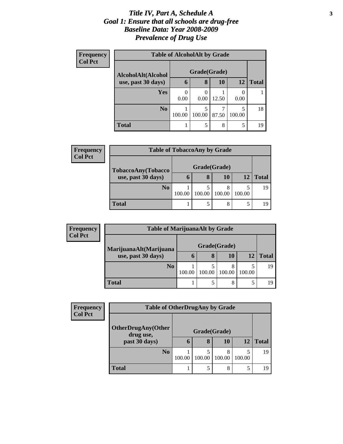#### *Title IV, Part A, Schedule A* **3** *Goal 1: Ensure that all schools are drug-free Baseline Data: Year 2008-2009 Prevalence of Drug Use*

| <b>Frequency</b> | <b>Table of AlcoholAlt by Grade</b> |        |        |       |             |              |  |  |
|------------------|-------------------------------------|--------|--------|-------|-------------|--------------|--|--|
| <b>Col Pct</b>   | Grade(Grade)<br>AlcoholAlt(Alcohol  |        |        |       |             |              |  |  |
|                  | use, past 30 days)                  | 6      | 8      | 10    | 12          | <b>Total</b> |  |  |
|                  | <b>Yes</b>                          | 0.00   | 0.00   | 12.50 | 0.00        |              |  |  |
|                  | N <sub>0</sub>                      | 100.00 | 100.00 | 87.50 | 5<br>100.00 | 18           |  |  |
|                  | <b>Total</b>                        |        |        | 8     | 5           | 19           |  |  |

| <b>Frequency</b> | <b>Table of TobaccoAny by Grade</b> |        |        |             |        |       |  |
|------------------|-------------------------------------|--------|--------|-------------|--------|-------|--|
| <b>Col Pct</b>   | TobaccoAny(Tobacco                  |        |        |             |        |       |  |
|                  | use, past 30 days)                  | n      | 8      | 10          | 12     | Total |  |
|                  | N <sub>0</sub>                      | 100.00 | 100.00 | 8<br>100.00 | 100.00 | 19    |  |
|                  | <b>Total</b>                        |        |        | 8           | 5      | 19    |  |

| Frequency      |                        | <b>Table of MarijuanaAlt by Grade</b> |        |           |        |              |  |  |  |  |
|----------------|------------------------|---------------------------------------|--------|-----------|--------|--------------|--|--|--|--|
| <b>Col Pct</b> | MarijuanaAlt(Marijuana |                                       |        |           |        |              |  |  |  |  |
|                | use, past 30 days)     | O                                     | 8      | <b>10</b> | 12     | <b>Total</b> |  |  |  |  |
|                | N <sub>0</sub>         | 100.00                                | 100.00 | 100.00    | 100.00 | 19           |  |  |  |  |
|                | Total                  |                                       |        | $\Omega$  |        |              |  |  |  |  |

| Frequency      | <b>Table of OtherDrugAny by Grade</b>  |             |        |             |        |              |  |
|----------------|----------------------------------------|-------------|--------|-------------|--------|--------------|--|
| <b>Col Pct</b> | <b>OtherDrugAny(Other</b><br>drug use, |             |        |             |        |              |  |
|                | past 30 days)                          | $\mathbf b$ | 8      | 10          | 12     | <b>Total</b> |  |
|                | N <sub>0</sub>                         | 100.00      | 100.00 | 8<br>100.00 | 100.00 | 19           |  |
|                | <b>Total</b>                           |             | 5      | 8           | 5      | 19           |  |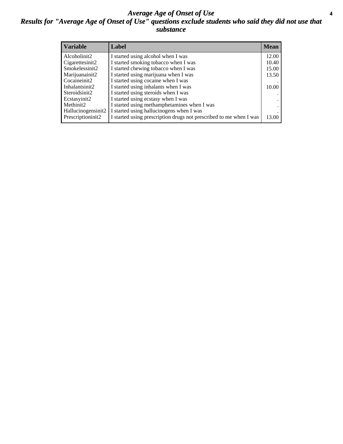#### *Average Age of Onset of Use* **4** *Results for "Average Age of Onset of Use" questions exclude students who said they did not use that substance*

| <b>Variable</b>    | Label                                                              | <b>Mean</b> |
|--------------------|--------------------------------------------------------------------|-------------|
| Alcoholinit2       | I started using alcohol when I was                                 | 12.00       |
| Cigarettesinit2    | I started smoking tobacco when I was                               | 10.40       |
| Smokelessinit2     | I started chewing tobacco when I was                               | 15.00       |
| Marijuanainit2     | I started using marijuana when I was                               | 13.50       |
| Cocaineinit2       | I started using cocaine when I was                                 |             |
| Inhalantsinit2     | I started using inhalants when I was                               | 10.00       |
| Steroidsinit2      | I started using steroids when I was                                |             |
| Ecstasyinit2       | I started using ecstasy when I was                                 |             |
| Methinit2          | I started using methamphetamines when I was                        |             |
| Hallucinogensinit2 | I started using hallucinogens when I was                           |             |
| Prescriptioninit2  | I started using prescription drugs not prescribed to me when I was | 13.00       |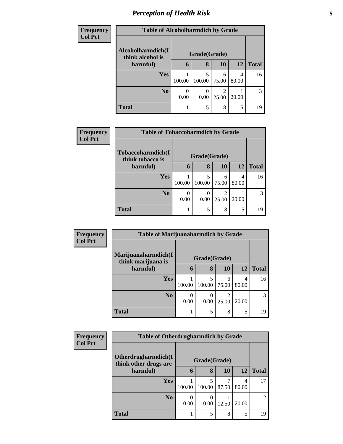# *Perception of Health Risk* **5**

| <b>Frequency</b> | <b>Table of Alcoholharmdich by Grade</b> |        |              |                |       |              |  |
|------------------|------------------------------------------|--------|--------------|----------------|-------|--------------|--|
| <b>Col Pct</b>   | Alcoholharmdich(I                        |        |              |                |       |              |  |
|                  | think alcohol is                         |        | Grade(Grade) |                |       |              |  |
|                  | harmful)                                 | 6      | 8            | 10             | 12    | <b>Total</b> |  |
|                  | Yes                                      |        |              | 6              | 4     | 16           |  |
|                  |                                          | 100.00 | 100.00       | 75.00          | 80.00 |              |  |
|                  | N <sub>0</sub>                           |        |              | $\mathfrak{D}$ |       | 3            |  |
|                  |                                          | 0.00   | 0.00         | 25.00          | 20.00 |              |  |
|                  | <b>Total</b>                             |        | 5            | 8              | 5     | 19           |  |

| <b>Frequency</b> | <b>Table of Tobaccoharmdich by Grade</b> |        |              |            |            |              |
|------------------|------------------------------------------|--------|--------------|------------|------------|--------------|
| <b>Col Pct</b>   | Tobaccoharmdich(I<br>think tobacco is    |        | Grade(Grade) |            |            |              |
|                  | harmful)                                 | 6      | 8            | 10         | <b>12</b>  | <b>Total</b> |
|                  | <b>Yes</b>                               | 100.00 | 5<br>100.00  | 6<br>75.00 | 4<br>80.00 | 16           |
|                  | N <sub>o</sub>                           | 0.00   | 0.00         | 2<br>25.00 | 20.00      |              |
|                  | <b>Total</b>                             |        | 5            | 8          | 5          | 19           |

| Frequency      | <b>Table of Marijuanaharmdich by Grade</b> |              |             |            |            |              |
|----------------|--------------------------------------------|--------------|-------------|------------|------------|--------------|
| <b>Col Pct</b> | Marijuanaharmdich(I<br>think marijuana is  | Grade(Grade) |             |            |            |              |
|                | harmful)                                   | 6            | 8           | <b>10</b>  | <b>12</b>  | <b>Total</b> |
|                | <b>Yes</b>                                 | 100.00       | 5<br>100.00 | 6<br>75.00 | 4<br>80.00 | 16           |
|                | N <sub>0</sub>                             | 0<br>0.00    | 0.00        | 2<br>25.00 | 20.00      | 3            |
|                | <b>Total</b>                               |              | 5           | 8          | 5          | 19           |

| <b>Frequency</b> | <b>Table of Otherdrugharmdich by Grade</b>   |                  |             |       |            |              |
|------------------|----------------------------------------------|------------------|-------------|-------|------------|--------------|
| <b>Col Pct</b>   | Otherdrugharmdich(I<br>think other drugs are | Grade(Grade)     |             |       |            |              |
|                  | harmful)                                     | 6                | 8           | 10    | <b>12</b>  | <b>Total</b> |
|                  | <b>Yes</b>                                   | 100.00           | 5<br>100.00 | 87.50 | 4<br>80.00 | 17           |
|                  | N <sub>0</sub>                               | $\theta$<br>0.00 | 0.00        | 12.50 | 20.00      |              |
|                  | <b>Total</b>                                 |                  | 5           | 8     | 5          | 19           |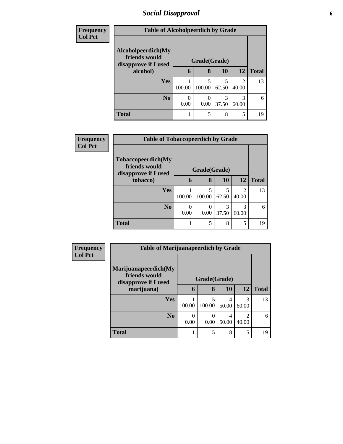## *Social Disapproval* **6**

| <b>Frequency</b> | <b>Table of Alcoholpeerdich by Grade</b>                    |              |                  |            |                                                                                                                                                                          |              |
|------------------|-------------------------------------------------------------|--------------|------------------|------------|--------------------------------------------------------------------------------------------------------------------------------------------------------------------------|--------------|
| <b>Col Pct</b>   | Alcoholpeerdich(My<br>friends would<br>disapprove if I used | Grade(Grade) |                  |            |                                                                                                                                                                          |              |
|                  | alcohol)                                                    | 6            | 8                | 10         | <b>12</b>                                                                                                                                                                | <b>Total</b> |
|                  | <b>Yes</b>                                                  | 100.00       | 5<br>100.00      | 5<br>62.50 | $\mathcal{D}_{\mathcal{A}}^{\mathcal{A}}(\mathcal{A})=\mathcal{D}_{\mathcal{A}}^{\mathcal{A}}(\mathcal{A})\mathcal{D}_{\mathcal{A}}^{\mathcal{A}}(\mathcal{A})$<br>40.00 | 13           |
|                  | N <sub>0</sub>                                              | 0.00         | $\Omega$<br>0.00 | 3<br>37.50 | 60.00                                                                                                                                                                    | 6            |
|                  | <b>Total</b>                                                |              | 5                | 8          | 5                                                                                                                                                                        | 19           |

| <b>Frequency</b> | <b>Table of Tobaccopeerdich by Grade</b>                    |              |             |            |                                      |              |  |
|------------------|-------------------------------------------------------------|--------------|-------------|------------|--------------------------------------|--------------|--|
| <b>Col Pct</b>   | Tobaccopeerdich(My<br>friends would<br>disapprove if I used | Grade(Grade) |             |            |                                      |              |  |
|                  | tobacco)                                                    | $\mathbf b$  | 8           | <b>10</b>  | <b>12</b>                            | <b>Total</b> |  |
|                  | Yes                                                         | 100.00       | 5<br>100.00 | 5<br>62.50 | $\mathcal{D}_{\mathcal{L}}$<br>40.00 | 13           |  |
|                  | N <sub>0</sub>                                              | 0.00         | 0.00        | 37.50      | 3<br>60.00                           | 6            |  |
|                  | <b>Total</b>                                                |              | 5           | 8          | 5                                    | 19           |  |

| <b>Frequency</b> | <b>Table of Marijuanapeerdich by Grade</b>                    |        |              |            |                         |              |
|------------------|---------------------------------------------------------------|--------|--------------|------------|-------------------------|--------------|
| <b>Col Pct</b>   | Marijuanapeerdich(My<br>friends would<br>disapprove if I used |        | Grade(Grade) |            |                         |              |
|                  | marijuana)                                                    | 6      | 8            | <b>10</b>  | 12                      | <b>Total</b> |
|                  | <b>Yes</b>                                                    | 100.00 | 5<br>100.00  | 4<br>50.00 | 3<br>60.00              | 13           |
|                  | N <sub>0</sub>                                                | 0.00   | 0<br>0.00    | 4<br>50.00 | $\mathfrak{D}$<br>40.00 | 6            |
|                  | <b>Total</b>                                                  |        | 5            | 8          | 5                       | 19           |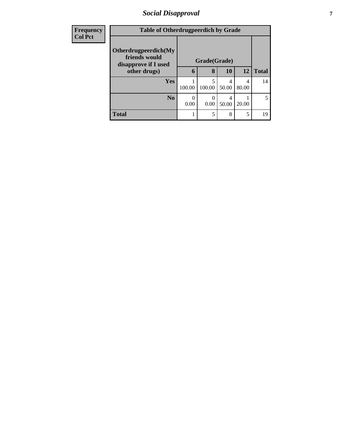## *Social Disapproval* **7**

| <b>Frequency</b> | <b>Table of Otherdrugpeerdich by Grade</b> |           |                   |            |       |              |
|------------------|--------------------------------------------|-----------|-------------------|------------|-------|--------------|
| <b>Col Pct</b>   | Otherdrugpeerdich(My<br>friends would      |           |                   |            |       |              |
|                  | disapprove if I used<br>other drugs)       | 6         | Grade(Grade)<br>8 | 10         | 12    | <b>Total</b> |
|                  | Yes                                        |           |                   | 4          | 4     | 14           |
|                  |                                            | 100.00    | 100.00            | 50.00      | 80.00 |              |
|                  | N <sub>0</sub>                             | 0<br>0.00 | 0.00              | 4<br>50.00 | 20.00 |              |
|                  |                                            |           |                   |            |       |              |
|                  | <b>Total</b>                               |           | 5                 | 8          | 5     | 19           |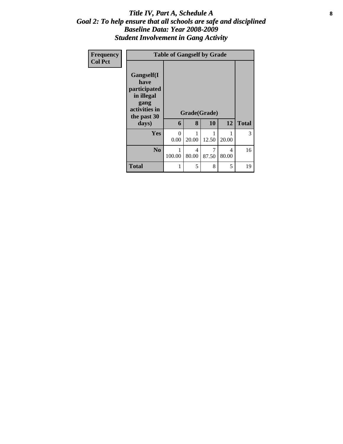#### Title IV, Part A, Schedule A **8** *Goal 2: To help ensure that all schools are safe and disciplined Baseline Data: Year 2008-2009 Student Involvement in Gang Activity*

| Frequency<br><b>Col Pct</b> |                                                                                                   | <b>Table of Gangself by Grade</b> |            |                    |            |              |  |  |
|-----------------------------|---------------------------------------------------------------------------------------------------|-----------------------------------|------------|--------------------|------------|--------------|--|--|
|                             | Gangself(I<br>have<br>participated<br>in illegal<br>gang<br>activities in<br>the past 30<br>days) | 6                                 | 8          | Grade(Grade)<br>10 | 12         | <b>Total</b> |  |  |
|                             | Yes                                                                                               | $\theta$<br>0.00                  | 1<br>20.00 | 1<br>12.50         | 1<br>20.00 | 3            |  |  |
|                             | N <sub>o</sub>                                                                                    | 1<br>100.00                       | 4<br>80.00 | 7<br>87.50         | 4<br>80.00 | 16           |  |  |
|                             | <b>Total</b>                                                                                      | 1                                 | 5          | 8                  | 5          | 19           |  |  |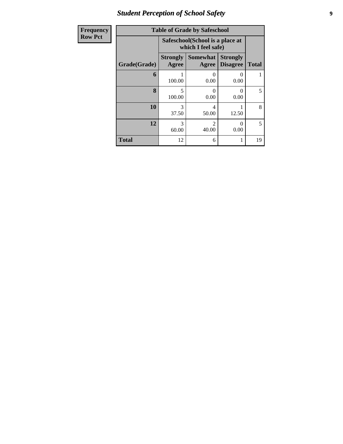# *Student Perception of School Safety* **9**

| <b>Frequency</b> | <b>Table of Grade by Safeschool</b> |                                 |                                                        |                                    |              |  |  |  |
|------------------|-------------------------------------|---------------------------------|--------------------------------------------------------|------------------------------------|--------------|--|--|--|
| <b>Row Pct</b>   |                                     |                                 | Safeschool (School is a place at<br>which I feel safe) |                                    |              |  |  |  |
|                  | Grade(Grade)                        | <b>Strongly</b><br><b>Agree</b> | <b>Somewhat</b><br>Agree                               | <b>Strongly</b><br><b>Disagree</b> | <b>Total</b> |  |  |  |
|                  | 6                                   | 100.00                          | 0<br>0.00                                              | $\Omega$<br>0.00                   |              |  |  |  |
|                  | 8                                   | 5<br>100.00                     | $\Omega$<br>0.00                                       | 0<br>0.00                          | 5            |  |  |  |
|                  | 10                                  | 3<br>37.50                      | 4<br>50.00                                             | 12.50                              | 8            |  |  |  |
|                  | 12                                  | 3<br>60.00                      | $\mathfrak{D}$<br>40.00                                | 0<br>0.00                          | 5            |  |  |  |
|                  | <b>Total</b>                        | 12                              | 6                                                      |                                    | 19           |  |  |  |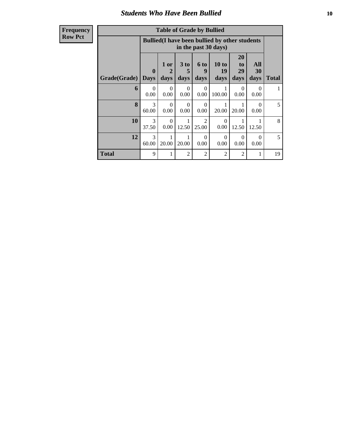#### *Students Who Have Been Bullied* **10**

| Frequency |
|-----------|
| Row Pct   |

| <b>Table of Grade by Bullied</b> |                  |                                                                               |                   |                         |                     |                        |                   |              |  |
|----------------------------------|------------------|-------------------------------------------------------------------------------|-------------------|-------------------------|---------------------|------------------------|-------------------|--------------|--|
|                                  |                  | <b>Bullied</b> (I have been bullied by other students<br>in the past 30 days) |                   |                         |                     |                        |                   |              |  |
| Grade(Grade)   Days              | $\mathbf 0$      | 1 or<br>2<br>days                                                             | 3 to<br>5<br>days | 6 to<br>9<br>days       | 10 to<br>19<br>days | 20<br>to<br>29<br>days | All<br>30<br>days | <b>Total</b> |  |
| 6                                | $\Omega$<br>0.00 | $\Omega$<br>0.00                                                              | $\Omega$<br>0.00  | $\Omega$<br>0.00        | 1<br>100.00         | 0<br>0.00              | $\Omega$<br>0.00  | 1            |  |
| 8                                | 3<br>60.00       | $\Omega$<br>0.00                                                              | $\Omega$<br>0.00  | $\Omega$<br>0.00        | 20.00               | 20.00                  | $\Omega$<br>0.00  | 5            |  |
| 10                               | 3<br>37.50       | $\Omega$<br>0.00                                                              | 12.50             | $\mathfrak{D}$<br>25.00 | $\Omega$<br>0.00    | 12.50                  | 12.50             | 8            |  |
| 12                               | 3<br>60.00       | 1<br>20.00                                                                    | 1<br>20.00        | $\Omega$<br>0.00        | $\Omega$<br>0.00    | $\Omega$<br>0.00       | $\Omega$<br>0.00  | 5            |  |
| <b>Total</b>                     | 9                | 1                                                                             | $\overline{2}$    | 2                       | 2                   | $\overline{2}$         | 1                 | 19           |  |

÷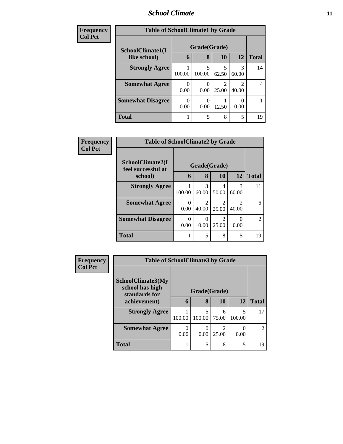#### *School Climate* **11**

| <b>Frequency</b> | <b>Table of SchoolClimate1 by Grade</b> |                  |             |                         |            |                |  |
|------------------|-----------------------------------------|------------------|-------------|-------------------------|------------|----------------|--|
| <b>Col Pct</b>   | SchoolClimate1(I                        | Grade(Grade)     |             |                         |            |                |  |
|                  | like school)                            | 6                | 8           | <b>10</b>               | 12         | <b>Total</b>   |  |
|                  | <b>Strongly Agree</b>                   | 100.00           | 5<br>100.00 | 5<br>62.50              | 3<br>60.00 | 14             |  |
|                  | <b>Somewhat Agree</b>                   | 0<br>0.00        | 0.00        | $\mathfrak{D}$<br>25.00 | 2<br>40.00 | $\overline{4}$ |  |
|                  | <b>Somewhat Disagree</b>                | $\theta$<br>0.00 | 0.00        | 12.50                   | 0.00       |                |  |
|                  | <b>Total</b>                            |                  | 5           | 8                       | 5          | 19             |  |

| <b>Frequency</b> | <b>Table of SchoolClimate2 by Grade</b> |                       |                         |                         |                                      |               |  |
|------------------|-----------------------------------------|-----------------------|-------------------------|-------------------------|--------------------------------------|---------------|--|
| <b>Col Pct</b>   | SchoolClimate2(I<br>feel successful at  | Grade(Grade)          |                         |                         |                                      |               |  |
|                  | school)                                 | 6                     | 8                       | 10                      | <b>12</b>                            | <b>Total</b>  |  |
|                  | <b>Strongly Agree</b>                   | 100.00                | 3<br>60.00              | 4<br>50.00              | 3<br>60.00                           | 11            |  |
|                  | <b>Somewhat Agree</b>                   | $\mathcal{L}$<br>0.00 | $\mathfrak{D}$<br>40.00 | $\mathfrak{D}$<br>25.00 | $\mathcal{D}_{\mathcal{L}}$<br>40.00 | 6             |  |
|                  | <b>Somewhat Disagree</b>                | 0.00                  | $\Omega$<br>0.00        | 25.00                   | $\Omega$<br>0.00                     | $\mathcal{L}$ |  |
|                  | <b>Total</b>                            |                       | 5                       | 8                       | 5                                    | 19            |  |

| <b>Frequency</b> | <b>Table of SchoolClimate3 by Grade</b>               |           |              |                         |             |                |  |
|------------------|-------------------------------------------------------|-----------|--------------|-------------------------|-------------|----------------|--|
| <b>Col Pct</b>   |                                                       |           |              |                         |             |                |  |
|                  | SchoolClimate3(My<br>school has high<br>standards for |           | Grade(Grade) |                         |             |                |  |
|                  | achievement)                                          | 6         | 8            | 10                      | 12          | <b>Total</b>   |  |
|                  | <b>Strongly Agree</b>                                 | 100.00    | 100.00       | 6<br>75.00              | 5<br>100.00 | 17             |  |
|                  | <b>Somewhat Agree</b>                                 | 0<br>0.00 | 0.00         | $\mathfrak{D}$<br>25.00 | 0.00        | $\mathfrak{D}$ |  |
|                  | <b>Total</b>                                          |           | 5            | 8                       | 5           | 19             |  |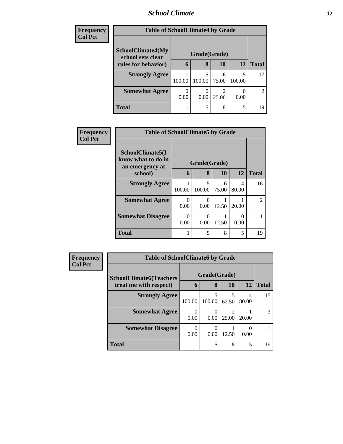#### *School Climate* **12**

| <b>Frequency</b> | <b>Table of SchoolClimate4 by Grade</b>       |        |              |            |        |                |  |
|------------------|-----------------------------------------------|--------|--------------|------------|--------|----------------|--|
| <b>Col Pct</b>   |                                               |        |              |            |        |                |  |
|                  | <b>SchoolClimate4(My</b><br>school sets clear |        | Grade(Grade) |            |        |                |  |
|                  | rules for behavior)                           | 6      | 8            | 10         | 12     | <b>Total</b>   |  |
|                  | <b>Strongly Agree</b>                         | 100.00 | 100.00       | 6<br>75.00 | 100.00 | 17             |  |
|                  |                                               |        |              |            |        |                |  |
|                  | <b>Somewhat Agree</b>                         |        |              |            |        | $\overline{2}$ |  |
|                  |                                               | 0.00   | 0.00         | 25.00      | 0.00   |                |  |
|                  | <b>Total</b>                                  |        | 5            | 8          | 5      | 19             |  |

| Frequency      | <b>Table of SchoolClimate5 by Grade</b>                              |                  |                       |            |            |                |
|----------------|----------------------------------------------------------------------|------------------|-----------------------|------------|------------|----------------|
| <b>Col Pct</b> | SchoolClimate5(I<br>know what to do in<br>an emergency at<br>school) | 6                | Grade(Grade)<br>8     | <b>10</b>  | <b>12</b>  | <b>Total</b>   |
|                |                                                                      |                  |                       |            |            |                |
|                | <b>Strongly Agree</b>                                                | 100.00           | 5<br>100.00           | 6<br>75.00 | 4<br>80.00 | 16             |
|                | <b>Somewhat Agree</b>                                                | 0<br>0.00        | 0.00                  | 12.50      | 20.00      | $\mathfrak{D}$ |
|                | <b>Somewhat Disagree</b>                                             | $\Omega$<br>0.00 | $\mathcal{O}$<br>0.00 | 12.50      | ∩<br>0.00  |                |
|                | <b>Total</b>                                                         | 1                | 5                     | 8          | 5          | 19             |

| Frequency      |                                                          | <b>Table of SchoolClimate6 by Grade</b> |                   |              |                  |    |  |  |
|----------------|----------------------------------------------------------|-----------------------------------------|-------------------|--------------|------------------|----|--|--|
| <b>Col Pct</b> | <b>SchoolClimate6(Teachers</b><br>treat me with respect) | 6                                       | Grade(Grade)<br>8 | <b>Total</b> |                  |    |  |  |
|                | <b>Strongly Agree</b>                                    | 100.00                                  | 100.00            | 62.50        | 4<br>80.00       | 15 |  |  |
|                | <b>Somewhat Agree</b>                                    | 0<br>0.00                               | 0.00              | 25.00        | 20.00            | 3  |  |  |
|                | <b>Somewhat Disagree</b>                                 | $\Omega$<br>0.00                        | 0.00              | 12.50        | $\Omega$<br>0.00 |    |  |  |
|                | <b>Total</b>                                             |                                         | 5                 | 8            | 5                | 19 |  |  |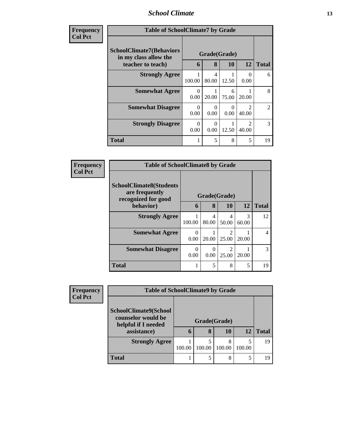#### *School Climate* **13**

| <b>Frequency</b> | <b>Table of SchoolClimate7 by Grade</b>                                       |                  |                   |                       |                        |                |
|------------------|-------------------------------------------------------------------------------|------------------|-------------------|-----------------------|------------------------|----------------|
| <b>Col Pct</b>   | <b>SchoolClimate7(Behaviors</b><br>in my class allow the<br>teacher to teach) | 6                | Grade(Grade)<br>8 | <b>10</b>             | <b>12</b>              | <b>Total</b>   |
|                  | <b>Strongly Agree</b>                                                         | 100.00           | 4<br>80.00        | 12.50                 | $\Omega$<br>0.00       | 6              |
|                  | <b>Somewhat Agree</b>                                                         | 0<br>0.00        | 20.00             | 6<br>75.00            | 20.00                  | 8              |
|                  | <b>Somewhat Disagree</b>                                                      | $\Omega$<br>0.00 | 0<br>0.00         | $\mathcal{O}$<br>0.00 | $\mathcal{D}$<br>40.00 | $\mathfrak{D}$ |
|                  | <b>Strongly Disagree</b>                                                      | $\Omega$<br>0.00 | 0<br>0.00         | 12.50                 | $\mathcal{D}$<br>40.00 | 3              |
|                  | <b>Total</b>                                                                  |                  | 5                 | 8                     | 5                      | 19             |

| <b>Frequency</b> | <b>Table of SchoolClimate8 by Grade</b>                                 |                  |                  |            |            |               |
|------------------|-------------------------------------------------------------------------|------------------|------------------|------------|------------|---------------|
| <b>Col Pct</b>   | <b>SchoolClimate8(Students</b><br>are frequently<br>recognized for good | Grade(Grade)     |                  |            |            |               |
|                  | behavior)                                                               | 6                | 8                | 10         | <b>12</b>  | <b>Total</b>  |
|                  | <b>Strongly Agree</b>                                                   | 100.00           | 4<br>80.00       | 4<br>50.00 | 3<br>60.00 | 12            |
|                  | <b>Somewhat Agree</b>                                                   | $\Omega$<br>0.00 | 20.00            | 25.00      | 20.00      | 4             |
|                  | <b>Somewhat Disagree</b>                                                | $\theta$<br>0.00 | $\Omega$<br>0.00 | 25.00      | 20.00      | $\mathcal{R}$ |
|                  | <b>Total</b>                                                            |                  | 5                | 8          | 5          | 19            |

| Frequency<br><b>Col Pct</b> | <b>Table of SchoolClimate9 by Grade</b>                                           |        |                   |             |             |       |
|-----------------------------|-----------------------------------------------------------------------------------|--------|-------------------|-------------|-------------|-------|
|                             | SchoolClimate9(School<br>counselor would be<br>helpful if I needed<br>assistance) | 6      | Grade(Grade)<br>8 | 10          | 12          | Total |
|                             | <b>Strongly Agree</b>                                                             | 100.00 | 100.00            | 8<br>100.00 | 5<br>100.00 | 19    |
|                             | <b>Total</b>                                                                      |        |                   | 8           | 5           | 19    |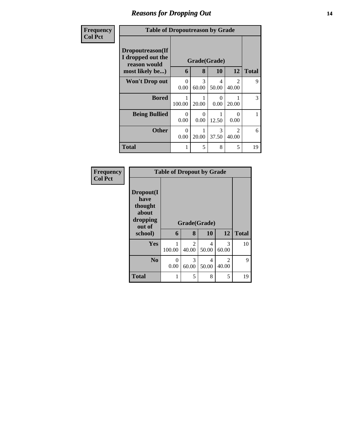## *Reasons for Dropping Out* **14**

#### **Frequency Col Pct**

| cy | <b>Table of Dropoutreason by Grade</b>                |                  |              |                  |                         |              |
|----|-------------------------------------------------------|------------------|--------------|------------------|-------------------------|--------------|
|    | Dropoutreason(If<br>I dropped out the<br>reason would |                  | Grade(Grade) |                  |                         |              |
|    | most likely be)                                       | 6                | 8            | 10               | 12                      | <b>Total</b> |
|    | <b>Won't Drop out</b>                                 | $\theta$<br>0.00 | 3<br>60.00   | 4<br>50.00       | $\mathfrak{D}$<br>40.00 | 9            |
|    | <b>Bored</b>                                          | 1<br>100.00      | 20.00        | $\Omega$<br>0.00 | 20.00                   | 3            |
|    | <b>Being Bullied</b>                                  | $\theta$<br>0.00 | 0<br>0.00    | 12.50            | $\mathbf{0}$<br>0.00    | 1            |
|    | <b>Other</b>                                          | $\theta$<br>0.00 | 20.00        | 3<br>37.50       | $\mathfrak{D}$<br>40.00 | 6            |
|    | <b>Total</b>                                          | 1                | 5            | 8                | 5                       | 19           |

| Frequency |  |
|-----------|--|
| Col Pct   |  |

| <b>Table of Dropout by Grade</b>                            |           |            |              |                         |              |  |
|-------------------------------------------------------------|-----------|------------|--------------|-------------------------|--------------|--|
| Dropout(I<br>have<br>thought<br>about<br>dropping<br>out of |           |            | Grade(Grade) |                         |              |  |
| school)                                                     | 6         | 8          | 10           | 12                      | <b>Total</b> |  |
| Yes                                                         | 100.00    | 2<br>40.00 | 4<br>50.00   | 3<br>60.00              | 10           |  |
| N <sub>0</sub>                                              | 0<br>0.00 | 3<br>60.00 | 4<br>50.00   | $\mathfrak{D}$<br>40.00 | 9            |  |
| <b>Total</b>                                                |           | 5          | 8            | 5                       | 19           |  |

Ŧ.

٦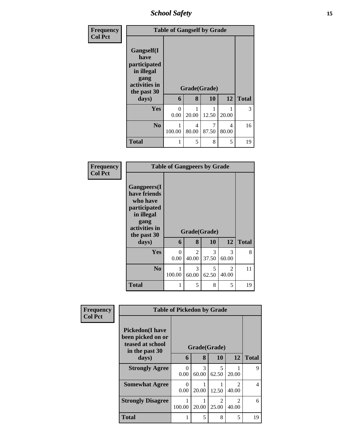*School Safety* **15**

| Frequency<br><b>Col Pct</b> | <b>Table of Gangself by Grade</b>                                                                 |           |                   |            |            |              |
|-----------------------------|---------------------------------------------------------------------------------------------------|-----------|-------------------|------------|------------|--------------|
|                             | Gangself(I<br>have<br>participated<br>in illegal<br>gang<br>activities in<br>the past 30<br>days) | 6         | Grade(Grade)<br>8 | 10         | 12         | <b>Total</b> |
|                             |                                                                                                   |           |                   |            |            |              |
|                             | Yes                                                                                               | 0<br>0.00 | 1<br>20.00        | 12.50      | 20.00      | 3            |
|                             | N <sub>0</sub>                                                                                    | 100.00    | 4<br>80.00        | 7<br>87.50 | 4<br>80.00 | 16           |
|                             | <b>Total</b>                                                                                      | 1         | 5                 | 8          | 5          | 19           |

| Frequency<br><b>Col Pct</b> | <b>Table of Gangpeers by Grade</b>                                                                                             |                  |                         |                    |                         |              |
|-----------------------------|--------------------------------------------------------------------------------------------------------------------------------|------------------|-------------------------|--------------------|-------------------------|--------------|
|                             | <b>Gangpeers</b> (I<br>have friends<br>who have<br>participated<br>in illegal<br>gang<br>activities in<br>the past 30<br>days) | 6                | 8                       | Grade(Grade)<br>10 | 12                      | <b>Total</b> |
|                             | Yes                                                                                                                            | $\theta$<br>0.00 | $\overline{2}$<br>40.00 | 3<br>37.50         | 3<br>60.00              | 8            |
|                             | N <sub>0</sub>                                                                                                                 | 1<br>100.00      | 3<br>60.00              | 5<br>62.50         | $\overline{2}$<br>40.00 | 11           |
|                             | <b>Total</b>                                                                                                                   | 1                | 5                       | 8                  | 5                       | 19           |

| Frequency      |                                                                                    | <b>Table of Pickedon by Grade</b> |              |                         |                                      |                |
|----------------|------------------------------------------------------------------------------------|-----------------------------------|--------------|-------------------------|--------------------------------------|----------------|
| <b>Col Pct</b> | <b>Pickedon</b> (I have<br>been picked on or<br>teased at school<br>in the past 30 |                                   | Grade(Grade) |                         |                                      |                |
|                | days)                                                                              | 6                                 | 8            | 10                      | 12                                   | <b>Total</b>   |
|                | <b>Strongly Agree</b>                                                              | $\Omega$<br>0.00                  | 3<br>60.00   | $\overline{5}$<br>62.50 | 20.00                                | 9              |
|                | <b>Somewhat Agree</b>                                                              | $\Omega$<br>0.00                  | 20.00        | 12.50                   | $\mathcal{D}_{\mathcal{A}}$<br>40.00 | $\overline{4}$ |
|                | <b>Strongly Disagree</b>                                                           | 100.00                            | 20.00        | $\mathcal{D}$<br>25.00  | $\mathcal{D}_{\mathcal{A}}$<br>40.00 | 6              |
|                | Total                                                                              |                                   | 5            | 8                       | 5                                    | 19             |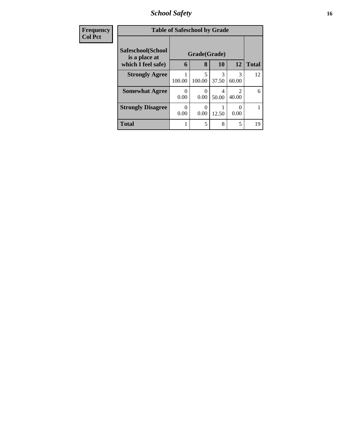*School Safety* **16**

| <b>Frequency</b> | <b>Table of Safeschool by Grade</b> |                  |                  |            |                                                                                                                                                                          |              |
|------------------|-------------------------------------|------------------|------------------|------------|--------------------------------------------------------------------------------------------------------------------------------------------------------------------------|--------------|
| <b>Col Pct</b>   | Safeschool(School<br>is a place at  |                  | Grade(Grade)     |            |                                                                                                                                                                          |              |
|                  | which I feel safe)                  | 6                | 8                | 10         | 12                                                                                                                                                                       | <b>Total</b> |
|                  | <b>Strongly Agree</b>               | 100.00           | 5<br>100.00      | 3<br>37.50 | 3<br>60.00                                                                                                                                                               | 12           |
|                  | <b>Somewhat Agree</b>               | $\Omega$<br>0.00 | $\Omega$<br>0.00 | 4<br>50.00 | $\mathcal{D}_{\mathcal{A}}^{\mathcal{A}}(\mathcal{A})=\mathcal{D}_{\mathcal{A}}^{\mathcal{A}}(\mathcal{A})\mathcal{D}_{\mathcal{A}}^{\mathcal{A}}(\mathcal{A})$<br>40.00 | 6            |
|                  | <b>Strongly Disagree</b>            | 0<br>0.00        | 0<br>0.00        | 12.50      | 0<br>0.00                                                                                                                                                                |              |
|                  | <b>Total</b>                        | 1                | 5                | 8          | 5                                                                                                                                                                        | 19           |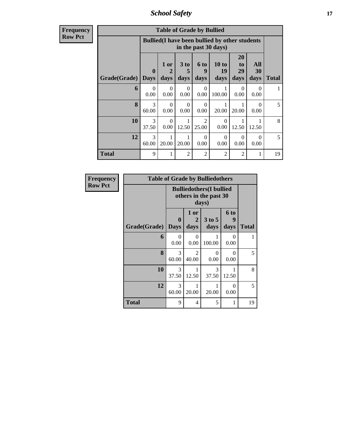*School Safety* **17**

| <b>Frequency</b> |
|------------------|
| <b>Row Pct</b>   |

| <b>Table of Grade by Bullied</b> |                             |                                                                               |                  |                         |                     |                        |                   |       |
|----------------------------------|-----------------------------|-------------------------------------------------------------------------------|------------------|-------------------------|---------------------|------------------------|-------------------|-------|
|                                  |                             | <b>Bullied</b> (I have been bullied by other students<br>in the past 30 days) |                  |                         |                     |                        |                   |       |
| Grade(Grade)                     | $\mathbf{0}$<br><b>Days</b> | 1 or<br>$\mathbf 2$<br>days                                                   | 3 to<br>days     | 6 to<br>9<br>days       | 10 to<br>19<br>days | 20<br>to<br>29<br>days | All<br>30<br>days | Total |
| 6                                | $\Omega$<br>0.00            | $\Omega$<br>0.00                                                              | $\Omega$<br>0.00 | $\Omega$<br>0.00        | 1<br>100.00         | $\Omega$<br>0.00       | 0<br>0.00         |       |
| 8                                | 3<br>60.00                  | $\Omega$<br>0.00                                                              | $\Omega$<br>0.00 | $\Omega$<br>0.00        | 20.00               | 1<br>20.00             | 0<br>0.00         | 5     |
| 10                               | 3<br>37.50                  | $\Omega$<br>0.00                                                              | 1<br>12.50       | $\mathfrak{D}$<br>25.00 | $\Omega$<br>0.00    | 12.50                  | 12.50             | 8     |
| 12                               | 3<br>60.00                  | 1<br>20.00                                                                    | 20.00            | $\Omega$<br>0.00        | $\Omega$<br>0.00    | $\Omega$<br>0.00       | $\Omega$<br>0.00  | 5     |
| Total                            | 9                           | 1                                                                             | $\overline{2}$   | 2                       | $\overline{2}$      | $\overline{2}$         | 1                 | 19    |

| Frequency      |              |                             |                                                                   | <b>Table of Grade by Bulliedothers</b> |                   |       |  |
|----------------|--------------|-----------------------------|-------------------------------------------------------------------|----------------------------------------|-------------------|-------|--|
| <b>Row Pct</b> |              |                             | <b>Bulliedothers</b> (I bullied<br>others in the past 30<br>days) |                                        |                   |       |  |
|                | Grade(Grade) | $\mathbf{0}$<br><b>Days</b> | 1 or<br>2<br>days                                                 | 3 to 5<br>days                         | 6 to<br>9<br>days | Total |  |
|                | 6            | $\theta$<br>0.00            | $\Omega$<br>0.00                                                  | 100.00                                 | 0<br>0.00         |       |  |
|                | 8            | 3<br>60.00                  | 2<br>40.00                                                        | 0<br>0.00                              | 0<br>0.00         | 5     |  |
|                | 10           | 3<br>37.50                  | 1<br>12.50                                                        | 3<br>37.50                             | 12.50             | 8     |  |
|                | 12           | 3<br>60.00                  | 1<br>20.00                                                        | 20.00                                  | $\Omega$<br>0.00  | 5     |  |
|                | Total        | 9                           | 4                                                                 | 5                                      | 1                 | 19    |  |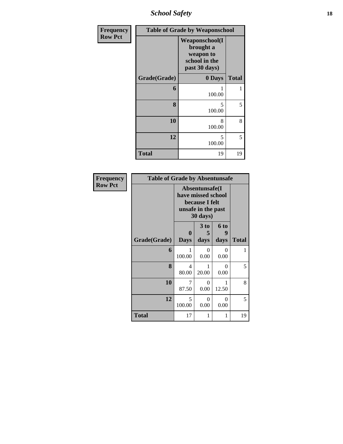*School Safety* **18**

| Frequency      |              | <b>Table of Grade by Weaponschool</b>                                              |              |
|----------------|--------------|------------------------------------------------------------------------------------|--------------|
| <b>Row Pct</b> |              | <b>Weaponschool</b> (I<br>brought a<br>weapon to<br>school in the<br>past 30 days) |              |
|                | Grade(Grade) | 0 Days                                                                             | <b>Total</b> |
|                | 6            | 1<br>100.00                                                                        | 1            |
|                | 8            | 5<br>100.00                                                                        | 5            |
|                | 10           | 8<br>100.00                                                                        | 8            |
|                | 12           | 5<br>100.00                                                                        | 5            |
|                | <b>Total</b> | 19                                                                                 | 19           |

| Frequency      | <b>Table of Grade by Absentunsafe</b> |             |                                                                                           |                  |              |
|----------------|---------------------------------------|-------------|-------------------------------------------------------------------------------------------|------------------|--------------|
| <b>Row Pct</b> |                                       |             | Absentunsafe(I)<br>have missed school<br>because I felt<br>unsafe in the past<br>30 days) |                  |              |
|                |                                       | $\bf{0}$    | 3 <sub>to</sub><br>5                                                                      | <b>6 to</b><br>9 |              |
|                | Grade(Grade)                          | <b>Days</b> | days                                                                                      | days             | <b>Total</b> |
|                | 6                                     | 100.00      | $\theta$<br>0.00                                                                          | 0<br>0.00        | 1            |
|                | 8                                     | 4<br>80.00  | 1<br>20.00                                                                                | 0<br>0.00        | 5            |
|                | 10                                    | 7<br>87.50  | $\theta$<br>0.00                                                                          | 1<br>12.50       | 8            |
|                | 12                                    | 5<br>100.00 | $\Omega$<br>0.00                                                                          | $\theta$<br>0.00 | 5            |
|                | <b>Total</b>                          | 17          | 1                                                                                         | 1                | 19           |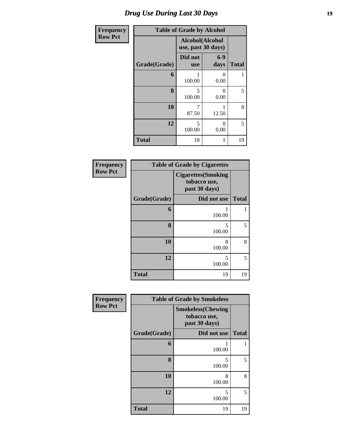## *Drug Use During Last 30 Days* **19**

| <b>Frequency</b> | <b>Table of Grade by Alcohol</b> |                                       |               |              |  |
|------------------|----------------------------------|---------------------------------------|---------------|--------------|--|
| <b>Row Pct</b>   |                                  | Alcohol(Alcohol<br>use, past 30 days) |               |              |  |
|                  | Grade(Grade)                     | Did not<br><b>use</b>                 | $6-9$<br>days | <b>Total</b> |  |
|                  | 6                                | 1<br>100.00                           | 0<br>0.00     | 1            |  |
|                  | 8                                | 5<br>100.00                           | 0<br>0.00     | 5            |  |
|                  | 10                               | 7<br>87.50                            | 12.50         | 8            |  |
|                  | 12                               | 5<br>100.00                           | 0<br>0.00     | 5            |  |
|                  | <b>Total</b>                     | 18                                    | 1             | 19           |  |

| Frequency      | <b>Table of Grade by Cigarettes</b> |                                                             |              |  |  |
|----------------|-------------------------------------|-------------------------------------------------------------|--------------|--|--|
| <b>Row Pct</b> |                                     | <b>Cigarettes</b> (Smoking<br>tobacco use,<br>past 30 days) |              |  |  |
|                | Grade(Grade)                        | Did not use                                                 | <b>Total</b> |  |  |
|                | 6                                   | 100.00                                                      | 1            |  |  |
|                | 8                                   | 5<br>100.00                                                 | 5            |  |  |
|                | 10                                  | 8<br>100.00                                                 | 8            |  |  |
|                | 12                                  | 5<br>100.00                                                 | 5            |  |  |
|                | <b>Total</b>                        | 19                                                          | 19           |  |  |

| Frequency      | <b>Table of Grade by Smokeless</b> |                                                            |              |  |  |
|----------------|------------------------------------|------------------------------------------------------------|--------------|--|--|
| <b>Row Pct</b> |                                    | <b>Smokeless</b> (Chewing<br>tobacco use,<br>past 30 days) |              |  |  |
|                | Grade(Grade)                       | Did not use                                                | <b>Total</b> |  |  |
|                | 6                                  | 100.00                                                     |              |  |  |
|                | 8                                  | 5<br>100.00                                                | 5            |  |  |
|                | 10                                 | 8<br>100.00                                                | 8            |  |  |
|                | 12                                 | 5<br>100.00                                                | 5            |  |  |
|                | <b>Total</b>                       | 19                                                         | 19           |  |  |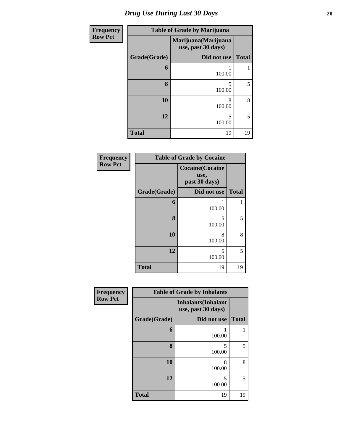| <b>Frequency</b> | <b>Table of Grade by Marijuana</b> |                                            |              |  |  |
|------------------|------------------------------------|--------------------------------------------|--------------|--|--|
| <b>Row Pct</b>   |                                    | Marijuana (Marijuana<br>use, past 30 days) |              |  |  |
|                  | Grade(Grade)                       | Did not use                                | <b>Total</b> |  |  |
|                  | 6                                  | 100.00                                     |              |  |  |
|                  | 8                                  | 5<br>100.00                                | 5            |  |  |
|                  | 10                                 | 8<br>100.00                                | 8            |  |  |
|                  | 12                                 | 5<br>100.00                                | 5            |  |  |
|                  | <b>Total</b>                       | 19                                         | 19           |  |  |

| Frequency      | <b>Table of Grade by Cocaine</b> |                                                  |              |  |
|----------------|----------------------------------|--------------------------------------------------|--------------|--|
| <b>Row Pct</b> |                                  | <b>Cocaine</b> (Cocaine<br>use,<br>past 30 days) |              |  |
|                | Grade(Grade)                     | Did not use                                      | <b>Total</b> |  |
|                | 6                                | 100.00                                           | 1            |  |
|                | 8                                | 5<br>100.00                                      | 5            |  |
|                | 10                               | 8<br>100.00                                      | 8            |  |
|                | 12                               | 5<br>100.00                                      | 5            |  |
|                | <b>Total</b>                     | 19                                               | 19           |  |

| <b>Frequency</b> | <b>Table of Grade by Inhalants</b> |                                                  |              |  |
|------------------|------------------------------------|--------------------------------------------------|--------------|--|
| <b>Row Pct</b>   |                                    | <b>Inhalants</b> (Inhalant<br>use, past 30 days) |              |  |
|                  | Grade(Grade)                       | Did not use                                      | <b>Total</b> |  |
|                  | 6                                  | 100.00                                           |              |  |
|                  | 8                                  | 5<br>100.00                                      | 5            |  |
|                  | 10                                 | 8<br>100.00                                      | 8            |  |
|                  | 12                                 | 5<br>100.00                                      | 5            |  |
|                  | <b>Total</b>                       | 19                                               | 19           |  |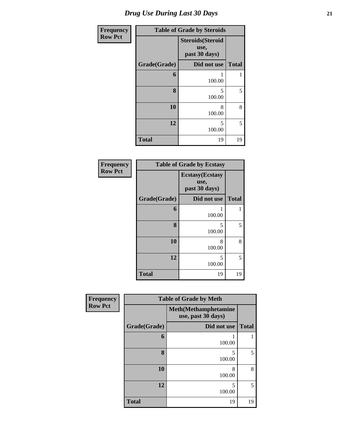| <b>Frequency</b> | <b>Table of Grade by Steroids</b> |                                                   |              |  |
|------------------|-----------------------------------|---------------------------------------------------|--------------|--|
| <b>Row Pct</b>   |                                   | <b>Steroids</b> (Steroid<br>use,<br>past 30 days) |              |  |
|                  | Grade(Grade)                      | Did not use                                       | <b>Total</b> |  |
|                  | 6                                 | 1<br>100.00                                       | 1            |  |
|                  | 8                                 | 5<br>100.00                                       | 5            |  |
|                  | 10                                | 8<br>100.00                                       | 8            |  |
|                  | 12                                | 5<br>100.00                                       | 5            |  |
|                  | <b>Total</b>                      | 19                                                | 19           |  |

| Frequency      |              | <b>Table of Grade by Ecstasy</b>                 |              |
|----------------|--------------|--------------------------------------------------|--------------|
| <b>Row Pct</b> |              | <b>Ecstasy</b> (Ecstasy<br>use,<br>past 30 days) |              |
|                | Grade(Grade) | Did not use                                      | <b>Total</b> |
|                | 6            | 100.00                                           |              |
|                | 8            | 5<br>100.00                                      | 5            |
|                | 10           | 8<br>100.00                                      | 8            |
|                | 12           | 5<br>100.00                                      | 5            |
|                | <b>Total</b> | 19                                               | 19           |

| <b>Frequency</b> | <b>Table of Grade by Meth</b> |                                                    |              |  |  |  |  |
|------------------|-------------------------------|----------------------------------------------------|--------------|--|--|--|--|
| <b>Row Pct</b>   |                               | <b>Meth</b> (Methamphetamine<br>use, past 30 days) |              |  |  |  |  |
|                  | Grade(Grade)                  | Did not use                                        | <b>Total</b> |  |  |  |  |
|                  | 6                             | 100.00                                             |              |  |  |  |  |
|                  | 8                             | 5<br>100.00                                        | 5            |  |  |  |  |
|                  | 10                            | 8<br>100.00                                        | 8            |  |  |  |  |
|                  | 12                            | 5<br>100.00                                        | 5            |  |  |  |  |
|                  | <b>Total</b>                  | 19                                                 | 19           |  |  |  |  |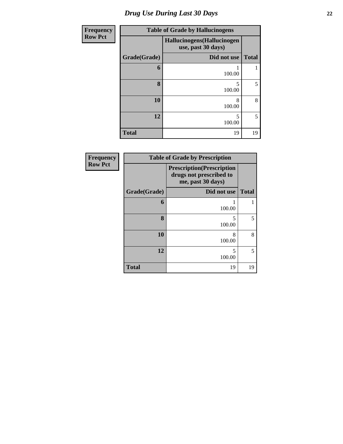# *Drug Use During Last 30 Days* **22**

| <b>Frequency</b> |              | <b>Table of Grade by Hallucinogens</b>            |              |
|------------------|--------------|---------------------------------------------------|--------------|
| <b>Row Pct</b>   |              | Hallucinogens (Hallucinogen<br>use, past 30 days) |              |
|                  | Grade(Grade) | Did not use                                       | <b>Total</b> |
|                  | 6            | 100.00                                            |              |
|                  | 8            | 5<br>100.00                                       | 5            |
|                  | 10           | 8<br>100.00                                       | 8            |
|                  | 12           | 5<br>100.00                                       | 5            |
|                  | <b>Total</b> | 19                                                | 19           |

| Frequency      | <b>Table of Grade by Prescription</b> |                                                                                   |              |  |  |  |
|----------------|---------------------------------------|-----------------------------------------------------------------------------------|--------------|--|--|--|
| <b>Row Pct</b> |                                       | <b>Prescription</b> (Prescription<br>drugs not prescribed to<br>me, past 30 days) |              |  |  |  |
|                | Grade(Grade)                          | Did not use                                                                       | <b>Total</b> |  |  |  |
|                | 6                                     | 100.00                                                                            |              |  |  |  |
|                | 8                                     | 5<br>100.00                                                                       | 5            |  |  |  |
|                | 10                                    | 8<br>100.00                                                                       | 8            |  |  |  |
|                | 12                                    | 5<br>100.00                                                                       | 5            |  |  |  |
|                | <b>Total</b>                          | 19                                                                                | 19           |  |  |  |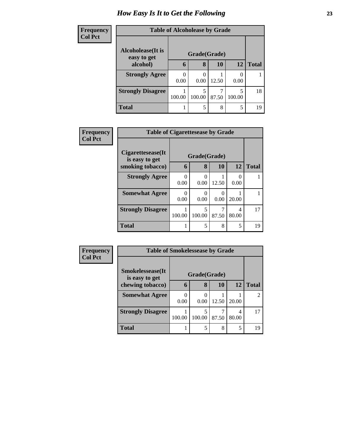## *How Easy Is It to Get the Following* **23**

| <b>Frequency</b> | <b>Table of Alcoholease by Grade</b> |           |              |           |        |              |
|------------------|--------------------------------------|-----------|--------------|-----------|--------|--------------|
| <b>Col Pct</b>   | <b>Alcoholease</b> (It is            |           | Grade(Grade) |           |        |              |
|                  | easy to get<br>alcohol)              | 6         | 8            | <b>10</b> | 12     | <b>Total</b> |
|                  | <b>Strongly Agree</b>                | 0<br>0.00 | 0<br>0.00    | 12.50     | 0.00   |              |
|                  | <b>Strongly Disagree</b>             | 100.00    | 5<br>100.00  | 87.50     | 100.00 | 18           |
|                  | <b>Total</b>                         |           | 5            | 8         | 5      | 19           |

| <b>Frequency</b> | <b>Table of Cigarettesease by Grade</b> |                  |              |            |            |              |
|------------------|-----------------------------------------|------------------|--------------|------------|------------|--------------|
| <b>Col Pct</b>   |                                         |                  |              |            |            |              |
|                  | Cigarettesease(It)<br>is easy to get    |                  | Grade(Grade) |            |            |              |
|                  | smoking tobacco)                        | 6                | 8            | 10         | 12         | <b>Total</b> |
|                  | <b>Strongly Agree</b>                   | 0<br>0.00        | 0<br>0.00    | 12.50      | 0.00       |              |
|                  | <b>Somewhat Agree</b>                   | $\theta$<br>0.00 | 0.00         | 0<br>0.00  | 20.00      |              |
|                  | <b>Strongly Disagree</b>                | 100.00           | 5<br>100.00  | 7<br>87.50 | 4<br>80.00 | 17           |
|                  | <b>Total</b>                            |                  | 5            | 8          | 5          | 19           |

| Frequency      | <b>Table of Smokelessease by Grade</b> |              |        |       |       |              |
|----------------|----------------------------------------|--------------|--------|-------|-------|--------------|
| <b>Col Pct</b> | <b>Smokelessease</b> (It               | Grade(Grade) |        |       |       |              |
|                | is easy to get<br>chewing tobacco)     | 6            | 8      | 10    | 12    | <b>Total</b> |
|                | <b>Somewhat Agree</b>                  | 0<br>0.00    | 0.00   | 12.50 | 20.00 |              |
|                | <b>Strongly Disagree</b>               | 100.00       | 100.00 | 87.50 | 80.00 | 17           |
|                | Total                                  |              |        | 8     | 5     | 19           |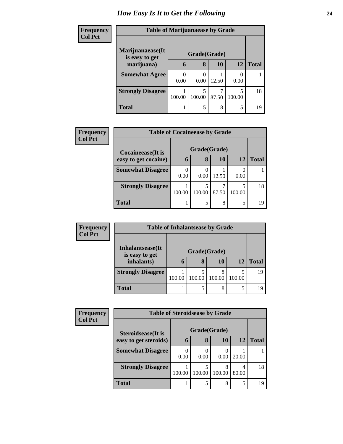## *How Easy Is It to Get the Following* **24**

| <b>Frequency</b> |                                    | <b>Table of Marijuanaease by Grade</b> |              |       |        |              |  |
|------------------|------------------------------------|----------------------------------------|--------------|-------|--------|--------------|--|
| <b>Col Pct</b>   | Marijuanaease(It<br>is easy to get |                                        | Grade(Grade) |       |        |              |  |
|                  | marijuana)                         | 6                                      | 8            | 10    | 12     | <b>Total</b> |  |
|                  | <b>Somewhat Agree</b>              | 0.00                                   | 0.00         | 12.50 | 0.00   |              |  |
|                  | <b>Strongly Disagree</b>           | 100.00                                 | 5<br>100.00  | 87.50 | 100.00 | 18           |  |
|                  | <b>Total</b>                       |                                        | 5            | 8     |        | 19           |  |

| <b>Frequency</b> | <b>Table of Cocaineease by Grade</b> |        |              |       |        |              |
|------------------|--------------------------------------|--------|--------------|-------|--------|--------------|
| <b>Col Pct</b>   | Cocaineease(It is                    |        | Grade(Grade) |       |        |              |
|                  | easy to get cocaine)                 | 6      | 8            | 10    | 12     | <b>Total</b> |
|                  | <b>Somewhat Disagree</b>             | 0.00   | 0.00         | 12.50 | 0.00   |              |
|                  | <b>Strongly Disagree</b>             | 100.00 | 100.00       | 87.50 | 100.00 | 18           |
|                  | <b>Total</b>                         |        |              | 8     | 5      | 19           |

| Frequency      | <b>Table of Inhalantsease by Grade</b>     |        |              |        |        |              |  |  |  |
|----------------|--------------------------------------------|--------|--------------|--------|--------|--------------|--|--|--|
| <b>Col Pct</b> | <b>Inhalantsease</b> (It<br>is easy to get |        | Grade(Grade) |        |        |              |  |  |  |
|                |                                            |        |              |        |        |              |  |  |  |
|                | inhalants)                                 | h      | 8            | 10     | 12     | <b>Total</b> |  |  |  |
|                | <b>Strongly Disagree</b>                   |        |              |        |        | 19           |  |  |  |
|                |                                            | 100.00 | 100.00       | 100.00 | 100.00 |              |  |  |  |
|                | <b>Total</b>                               |        | 5            | 8      | 5      | 1 Q          |  |  |  |

| Frequency      | <b>Table of Steroidsease by Grade</b>               |           |              |             |       |              |  |
|----------------|-----------------------------------------------------|-----------|--------------|-------------|-------|--------------|--|
| <b>Col Pct</b> | <b>Steroidsease</b> (It is<br>easy to get steroids) |           | Grade(Grade) |             |       |              |  |
|                |                                                     | 6         | 8            | 10          | 12    | <b>Total</b> |  |
|                | <b>Somewhat Disagree</b>                            | 0<br>0.00 | 0.00         | 0.00        | 20.00 |              |  |
|                | <b>Strongly Disagree</b>                            | 100.00    | 5<br>100.00  | 8<br>100.00 | 80.00 | 18           |  |
|                | <b>Total</b>                                        |           | 5            | 8           |       | 19           |  |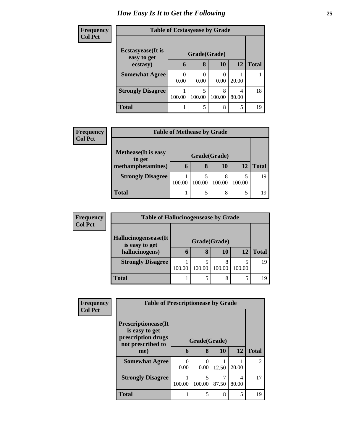## *How Easy Is It to Get the Following* **25**

| <b>Frequency</b> | <b>Table of Ecstasyease by Grade</b>     |        |              |             |            |              |
|------------------|------------------------------------------|--------|--------------|-------------|------------|--------------|
| <b>Col Pct</b>   | <b>Ecstasyease</b> (It is<br>easy to get |        | Grade(Grade) |             |            |              |
|                  | ecstasy)                                 | 6      | 8            | 10          | 12         | <b>Total</b> |
|                  | <b>Somewhat Agree</b>                    | 0.00   | 0.00         | 0.00        | 20.00      |              |
|                  | <b>Strongly Disagree</b>                 | 100.00 | 5<br>100.00  | 8<br>100.00 | 4<br>80.00 | 18           |
|                  | <b>Total</b>                             |        | 5            | 8           | 5          | 19           |

| <b>Frequency</b> | <b>Table of Methease by Grade</b>                          |              |        |             |        |              |  |
|------------------|------------------------------------------------------------|--------------|--------|-------------|--------|--------------|--|
| <b>Col Pct</b>   |                                                            |              |        |             |        |              |  |
|                  | <b>Methease</b> (It is easy<br>to get<br>methamphetamines) | Grade(Grade) |        |             |        |              |  |
|                  |                                                            | $\mathbf b$  | 8      | 10          | 12     | <b>Total</b> |  |
|                  | <b>Strongly Disagree</b>                                   | 100.00       | 100.00 | 8<br>100.00 | 100.00 | 19           |  |
|                  |                                                            |              |        |             |        |              |  |
|                  | <b>Total</b>                                               |              | 5      | 8           | 5      | 19           |  |

| <b>Frequency</b> | <b>Table of Hallucinogensease by Grade</b>               |              |        |             |        |              |
|------------------|----------------------------------------------------------|--------------|--------|-------------|--------|--------------|
| <b>Col Pct</b>   |                                                          |              |        |             |        |              |
|                  | Hallucinogensease(It<br>is easy to get<br>hallucinogens) | Grade(Grade) |        |             |        |              |
|                  |                                                          | $\mathbf b$  | 8      | 10          | 12     | <b>Total</b> |
|                  | <b>Strongly Disagree</b>                                 | 100.00       | 100.00 | 8<br>100.00 | 100.00 | 19           |
|                  | Total                                                    |              | 5      | 8           | 5      | 19           |

| Frequency      | <b>Table of Prescriptionease by Grade</b>      |              |        |       |       |              |
|----------------|------------------------------------------------|--------------|--------|-------|-------|--------------|
| <b>Col Pct</b> | <b>Prescriptionease</b> (It<br>is easy to get  |              |        |       |       |              |
|                | prescription drugs<br>not prescribed to<br>me) | Grade(Grade) |        |       |       |              |
|                |                                                | 6            | 8      | 10    | 12    | <b>Total</b> |
|                | <b>Somewhat Agree</b>                          | 0.00         | 0.00   | 12.50 | 20.00 |              |
|                | <b>Strongly Disagree</b>                       | 100.00       | 100.00 | 87.50 | 80.00 | 17           |
|                | <b>Total</b>                                   |              | 5      | 8     | 5     | 19           |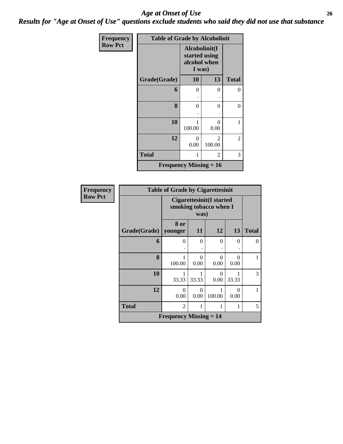#### *Age at Onset of Use* **26** *Results for "Age at Onset of Use" questions exclude students who said they did not use that substance*

| Frequency      | <b>Table of Grade by Alcoholinit</b> |                                                          |                          |              |  |  |
|----------------|--------------------------------------|----------------------------------------------------------|--------------------------|--------------|--|--|
| <b>Row Pct</b> |                                      | Alcoholinit(I<br>started using<br>alcohol when<br>I was) |                          |              |  |  |
|                | Grade(Grade)                         | <b>10</b>                                                | 13                       | <b>Total</b> |  |  |
|                | 6                                    | 0                                                        | 0                        | 0            |  |  |
|                |                                      |                                                          |                          |              |  |  |
|                | 8                                    | 0                                                        | 0                        | 0            |  |  |
|                |                                      |                                                          |                          |              |  |  |
|                | 10                                   | 100.00                                                   | 0<br>0.00                | 1            |  |  |
|                | 12                                   | $\theta$<br>0.00                                         | $\mathfrak{D}$<br>100.00 | 2            |  |  |
|                | <b>Total</b>                         | 1                                                        | 2                        | 3            |  |  |
|                | <b>Frequency Missing = 16</b>        |                                                          |                          |              |  |  |

| <b>Frequency</b> | <b>Table of Grade by Cigarettesinit</b>    |                                                            |                           |                  |           |              |  |
|------------------|--------------------------------------------|------------------------------------------------------------|---------------------------|------------------|-----------|--------------|--|
| <b>Row Pct</b>   |                                            | Cigarettesinit(I started<br>smoking tobacco when I<br>was) |                           |                  |           |              |  |
|                  | Grade(Grade)                               | 8 or<br>younger                                            | 11                        | 12               | 13        | <b>Total</b> |  |
|                  | 6                                          | $\theta$                                                   | 0                         | $\Omega$         | $\Omega$  | $\Omega$     |  |
|                  | 8                                          | 100.00                                                     | $\mathbf{\Omega}$<br>0.00 | $\Omega$<br>0.00 | 0<br>0.00 | 1            |  |
|                  | 10                                         | 1<br>33.33                                                 | 33.33                     | $\Omega$<br>0.00 | 33.33     | 3            |  |
|                  | 12                                         | $\theta$<br>0.00                                           | 0<br>0.00                 | 100.00           | 0<br>0.00 | 1            |  |
|                  | <b>Total</b>                               | $\overline{2}$                                             | 1                         |                  | 1         | 5            |  |
|                  | <b>Frequency Missing <math>= 14</math></b> |                                                            |                           |                  |           |              |  |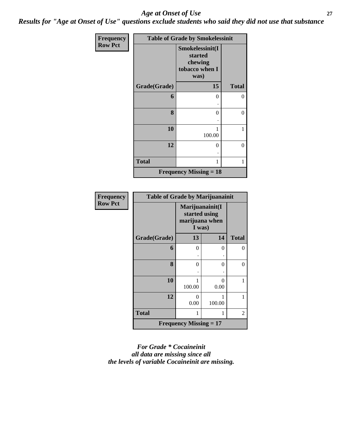#### *Age at Onset of Use* **27**

*Results for "Age at Onset of Use" questions exclude students who said they did not use that substance*

| <b>Frequency</b> | <b>Table of Grade by Smokelessinit</b> |                                                                 |              |  |
|------------------|----------------------------------------|-----------------------------------------------------------------|--------------|--|
| <b>Row Pct</b>   |                                        | Smokelessinit(I<br>started<br>chewing<br>tobacco when I<br>was) |              |  |
|                  | Grade(Grade)                           | 15                                                              | <b>Total</b> |  |
|                  | 6                                      | 0<br>٠                                                          | 0            |  |
|                  | 8                                      | $\Omega$                                                        | $\theta$     |  |
|                  | 10                                     | 1<br>100.00                                                     | 1            |  |
|                  | 12                                     | $\Omega$                                                        | $\theta$     |  |
|                  | <b>Total</b>                           | 1                                                               | 1            |  |
|                  |                                        | <b>Frequency Missing = 18</b>                                   |              |  |

| <b>Frequency</b> | <b>Table of Grade by Marijuanainit</b> |                                                              |             |                |  |
|------------------|----------------------------------------|--------------------------------------------------------------|-------------|----------------|--|
| <b>Row Pct</b>   |                                        | Marijuanainit(I<br>started using<br>marijuana when<br>I was) |             |                |  |
|                  | Grade(Grade)                           | 13                                                           | 14          | <b>Total</b>   |  |
|                  | 6                                      | $\Omega$                                                     | $\theta$    | 0              |  |
|                  |                                        |                                                              |             |                |  |
|                  | 8                                      | 0                                                            | $\theta$    | 0              |  |
|                  | 10                                     | 100.00                                                       | 0<br>0.00   | 1              |  |
|                  | 12                                     | 0<br>0.00                                                    | 1<br>100.00 | 1              |  |
|                  | <b>Total</b>                           | 1                                                            | 1           | $\overline{c}$ |  |
|                  |                                        | <b>Frequency Missing = 17</b>                                |             |                |  |

*For Grade \* Cocaineinit all data are missing since all the levels of variable Cocaineinit are missing.*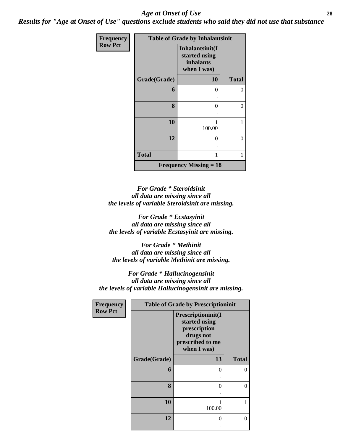#### *Age at Onset of Use* **28**

*Results for "Age at Onset of Use" questions exclude students who said they did not use that substance*

| Frequency      | <b>Table of Grade by Inhalantsinit</b> |                                                                     |              |  |  |
|----------------|----------------------------------------|---------------------------------------------------------------------|--------------|--|--|
| <b>Row Pct</b> |                                        | Inhalantsinit(I<br>started using<br><i>inhalants</i><br>when I was) |              |  |  |
|                | Grade(Grade)                           | 10                                                                  | <b>Total</b> |  |  |
|                | 6                                      | 0                                                                   | 0            |  |  |
|                | 8                                      | 0                                                                   | $\theta$     |  |  |
|                | 10                                     | 100.00                                                              | 1            |  |  |
|                | 12                                     | 0                                                                   | 0            |  |  |
|                | <b>Total</b>                           |                                                                     | 1            |  |  |
|                |                                        | <b>Frequency Missing = 18</b>                                       |              |  |  |

*For Grade \* Steroidsinit all data are missing since all the levels of variable Steroidsinit are missing.*

*For Grade \* Ecstasyinit all data are missing since all the levels of variable Ecstasyinit are missing.*

*For Grade \* Methinit all data are missing since all the levels of variable Methinit are missing.*

*For Grade \* Hallucinogensinit all data are missing since all the levels of variable Hallucinogensinit are missing.*

| Frequency<br><b>Row Pct</b> | <b>Table of Grade by Prescriptioninit</b> |                                                                                                     |              |  |  |
|-----------------------------|-------------------------------------------|-----------------------------------------------------------------------------------------------------|--------------|--|--|
|                             |                                           | Prescriptioninit(I<br>started using<br>prescription<br>drugs not<br>prescribed to me<br>when I was) |              |  |  |
|                             | Grade(Grade)                              | 13                                                                                                  | <b>Total</b> |  |  |
|                             | 6                                         | 0                                                                                                   | 0            |  |  |
|                             | 8                                         | 0                                                                                                   | 0            |  |  |
|                             | 10                                        | 100.00                                                                                              |              |  |  |
|                             | 12                                        | 0                                                                                                   | 0            |  |  |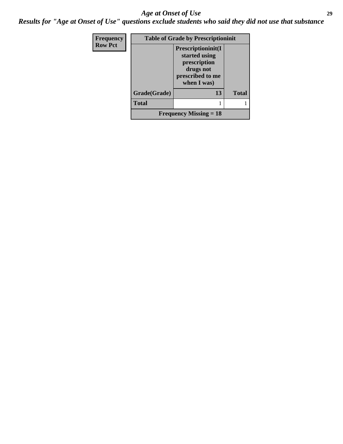#### *Age at Onset of Use* **29**

*Results for "Age at Onset of Use" questions exclude students who said they did not use that substance*

| <b>Frequency</b> | <b>Table of Grade by Prescriptioninit</b> |                                                                                                             |              |  |  |
|------------------|-------------------------------------------|-------------------------------------------------------------------------------------------------------------|--------------|--|--|
| <b>Row Pct</b>   |                                           | <b>Prescriptioninit(I)</b><br>started using<br>prescription<br>drugs not<br>prescribed to me<br>when I was) |              |  |  |
|                  | Grade(Grade)                              | 13                                                                                                          | <b>Total</b> |  |  |
|                  | <b>Total</b>                              |                                                                                                             |              |  |  |
|                  | <b>Frequency Missing = 18</b>             |                                                                                                             |              |  |  |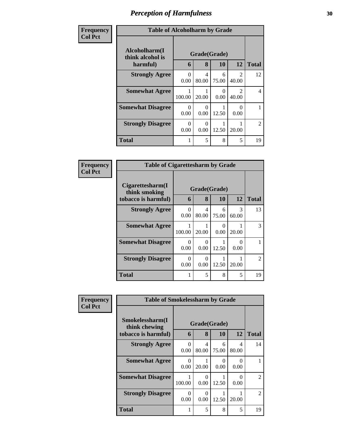| Frequency      | <b>Table of Alcoholharm by Grade</b>          |                      |                   |            |                                      |                |
|----------------|-----------------------------------------------|----------------------|-------------------|------------|--------------------------------------|----------------|
| <b>Col Pct</b> | Alcoholharm(I<br>think alcohol is<br>harmful) | 6                    | Grade(Grade)<br>8 | 10         | 12                                   | <b>Total</b>   |
|                | <b>Strongly Agree</b>                         | $\Omega$<br>0.00     | 4<br>80.00        | 6<br>75.00 | $\mathcal{D}_{\mathcal{L}}$<br>40.00 | 12             |
|                | <b>Somewhat Agree</b>                         | 100.00               | 20.00             | ∩<br>0.00  | $\mathcal{D}_{\mathcal{A}}$<br>40.00 | 4              |
|                | <b>Somewhat Disagree</b>                      | $\mathbf{0}$<br>0.00 | $\cup$<br>0.00    | 12.50      | 0.00                                 |                |
|                | <b>Strongly Disagree</b>                      | 0<br>0.00            | 0.00              | 12.50      | 20.00                                | $\overline{c}$ |
|                | <b>Total</b>                                  |                      | 5                 | 8          | 5                                    | 19             |

| Frequency      | <b>Table of Cigarettesharm by Grade</b>                  |           |                           |                           |            |                |
|----------------|----------------------------------------------------------|-----------|---------------------------|---------------------------|------------|----------------|
| <b>Col Pct</b> | Cigarettesharm(I<br>think smoking<br>tobacco is harmful) | 6         | 8                         | Grade(Grade)<br><b>10</b> | 12         | <b>Total</b>   |
|                | <b>Strongly Agree</b>                                    | 0<br>0.00 | 4<br>80.00                | 6<br>75.00                | 3<br>60.00 | 13             |
|                | <b>Somewhat Agree</b>                                    | 100.00    | 20.00                     | $\theta$<br>0.00          | 20.00      | $\mathcal{R}$  |
|                | <b>Somewhat Disagree</b>                                 | 0<br>0.00 | 0.00                      | 12.50                     | 0<br>0.00  |                |
|                | <b>Strongly Disagree</b>                                 | 0<br>0.00 | $\mathbf{\Omega}$<br>0.00 | 12.50                     | 20.00      | $\mathfrak{D}$ |
|                | <b>Total</b>                                             | 1         | 5                         | 8                         | 5          | 19             |

| Frequency      | <b>Table of Smokelessharm by Grade</b> |              |                           |            |            |                |
|----------------|----------------------------------------|--------------|---------------------------|------------|------------|----------------|
| <b>Col Pct</b> | Smokelessharm(I<br>think chewing       | Grade(Grade) |                           |            |            |                |
|                | tobacco is harmful)                    | 6            | 8                         | <b>10</b>  | 12         | <b>Total</b>   |
|                | <b>Strongly Agree</b>                  | 0<br>0.00    | 4<br>80.00                | 6<br>75.00 | 4<br>80.00 | 14             |
|                | <b>Somewhat Agree</b>                  | 0<br>0.00    | 20.00                     | 0<br>0.00  | 0<br>0.00  |                |
|                | <b>Somewhat Disagree</b>               | 100.00       | $\mathbf{\Omega}$<br>0.00 | 12.50      | 0<br>0.00  | $\mathfrak{D}$ |
|                | <b>Strongly Disagree</b>               | 0<br>0.00    | ∩<br>0.00                 | 12.50      | 20.00      | $\mathfrak{D}$ |
|                | <b>Total</b>                           | 1            | 5                         | 8          | 5          | 19             |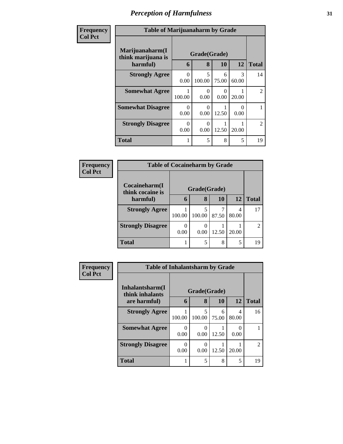| Frequency      | <b>Table of Marijuanaharm by Grade</b>            |                       |                   |            |             |                |  |
|----------------|---------------------------------------------------|-----------------------|-------------------|------------|-------------|----------------|--|
| <b>Col Pct</b> | Marijuanaharm(I<br>think marijuana is<br>harmful) | 6                     | Grade(Grade)<br>8 | 10         | 12          | <b>Total</b>   |  |
|                | <b>Strongly Agree</b>                             | 0<br>0.00             | 5<br>100.00       | 6<br>75.00 | 3<br>60.00  | 14             |  |
|                | <b>Somewhat Agree</b>                             | 100.00                | ∩<br>0.00         | 0<br>0.00  | 20.00       | $\mathfrak{D}$ |  |
|                | <b>Somewhat Disagree</b>                          | $\mathcal{O}$<br>0.00 | $\cup$<br>0.00    | 12.50      | ( )<br>0.00 |                |  |
|                | <b>Strongly Disagree</b>                          | $\mathcal{O}$<br>0.00 | ∩<br>0.00         | 12.50      | 20.00       | $\mathfrak{D}$ |  |
|                | <b>Total</b>                                      |                       | 5                 | 8          | 5           | 19             |  |

| <b>Frequency</b> | <b>Table of Cocaineharm by Grade</b> |                  |             |            |       |               |
|------------------|--------------------------------------|------------------|-------------|------------|-------|---------------|
| <b>Col Pct</b>   | Cocaineharm(I<br>think cocaine is    | Grade(Grade)     |             |            |       |               |
|                  | harmful)                             | 6                | 8           | 10         | 12    | <b>Total</b>  |
|                  | <b>Strongly Agree</b>                | 100.00           | 5<br>100.00 | ⇁<br>87.50 | 80.00 | 17            |
|                  | <b>Strongly Disagree</b>             | $\Omega$<br>0.00 | 0.00        | 12.50      | 20.00 | $\mathcal{D}$ |
|                  | <b>Total</b>                         |                  |             | 8          | 5     | 19            |

| <b>Frequency</b> | <b>Table of Inhalantsharm by Grade</b> |           |              |            |       |                |  |
|------------------|----------------------------------------|-----------|--------------|------------|-------|----------------|--|
| <b>Col Pct</b>   | Inhalantsharm(I)<br>think inhalants    |           | Grade(Grade) |            |       |                |  |
|                  | are harmful)                           | 6         | 8            | 10         | 12    | <b>Total</b>   |  |
|                  | <b>Strongly Agree</b>                  | 100.00    | 5<br>100.00  | 6<br>75.00 | 80.00 | 16             |  |
|                  | <b>Somewhat Agree</b>                  | 0<br>0.00 | 0.00         | 12.50      | 0.00  |                |  |
|                  | <b>Strongly Disagree</b>               | 0<br>0.00 | 0.00         | 12.50      | 20.00 | $\mathfrak{D}$ |  |
|                  | <b>Total</b>                           |           | 5            | 8          | 5     | 19             |  |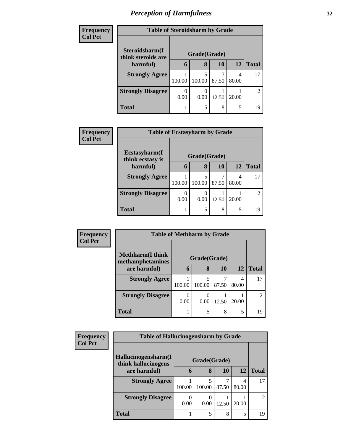| <b>Frequency</b> |                                      | <b>Table of Steroidsharm by Grade</b> |             |            |            |              |  |  |
|------------------|--------------------------------------|---------------------------------------|-------------|------------|------------|--------------|--|--|
| <b>Col Pct</b>   | Steroidsharm(I<br>think steroids are | Grade(Grade)                          |             |            |            |              |  |  |
|                  | harmful)                             | 6                                     | 8           | 10         | 12         | <b>Total</b> |  |  |
|                  | <b>Strongly Agree</b>                | 100.00                                | 5<br>100.00 | 7<br>87.50 | 4<br>80.00 | 17           |  |  |
|                  | <b>Strongly Disagree</b>             | 0.00                                  | 0.00        | 12.50      | 20.00      | 2            |  |  |
|                  | <b>Total</b>                         |                                       | 5           | 8          | 5          | 19           |  |  |

| <b>Frequency</b> | <b>Table of Ecstasyharm by Grade</b> |        |              |       |       |                             |
|------------------|--------------------------------------|--------|--------------|-------|-------|-----------------------------|
| <b>Col Pct</b>   | Ecstasyharm(I<br>think ecstasy is    |        | Grade(Grade) |       |       |                             |
|                  | harmful)                             | 6      | 8            | 10    | 12    | <b>Total</b>                |
|                  | <b>Strongly Agree</b>                | 100.00 | 5<br>100.00  | 87.50 | 80.00 | 17                          |
|                  | <b>Strongly Disagree</b>             | 0.00   | 0.00         | 12.50 | 20.00 | $\mathcal{D}_{\mathcal{L}}$ |
|                  | <b>Total</b>                         |        | 5            | 8     | 5     | 19                          |

| Frequency      | <b>Table of Methharm by Grade</b>            |              |        |       |            |               |
|----------------|----------------------------------------------|--------------|--------|-------|------------|---------------|
| <b>Col Pct</b> | <b>Methharm</b> (I think<br>methamphetamines | Grade(Grade) |        |       |            |               |
|                | are harmful)                                 | 6            | 8      | 10    | 12         | Total         |
|                | <b>Strongly Agree</b>                        | 100.00       | 100.00 | 87.50 | 4<br>80.00 | 17            |
|                | <b>Strongly Disagree</b>                     | 0.00         | 0.00   | 12.50 | 20.00      | $\mathcal{L}$ |
|                | <b>Total</b>                                 |              | 5      | 8     | 5          | 19            |

| Frequency      |                                            | <b>Table of Hallucinogensharm by Grade</b> |             |       |            |                             |  |  |
|----------------|--------------------------------------------|--------------------------------------------|-------------|-------|------------|-----------------------------|--|--|
| <b>Col Pct</b> | Hallucinogensharm(I<br>think hallucinogens | Grade(Grade)                               |             |       |            |                             |  |  |
|                | are harmful)                               | 6                                          | 8           | 10    | 12         | <b>Total</b>                |  |  |
|                | <b>Strongly Agree</b>                      | 100.00                                     | 5<br>100.00 | 87.50 | 4<br>80.00 | 17                          |  |  |
|                | <b>Strongly Disagree</b>                   | 0.00                                       | 0.00        | 12.50 | 20.00      | $\mathcal{D}_{\mathcal{L}}$ |  |  |
|                | <b>Total</b>                               |                                            | 5           | 8     | 5          | 19                          |  |  |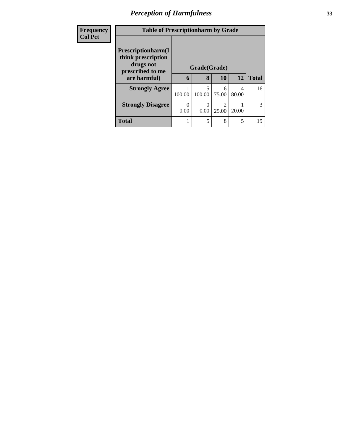| Frequency      | <b>Table of Prescriptionharm by Grade</b>                                         |              |             |                         |            |              |  |
|----------------|-----------------------------------------------------------------------------------|--------------|-------------|-------------------------|------------|--------------|--|
| <b>Col Pct</b> | <b>Prescriptionharm</b> (I<br>think prescription<br>drugs not<br>prescribed to me | Grade(Grade) |             |                         |            |              |  |
|                | are harmful)                                                                      | 6            | 8           | 10                      | 12         | <b>Total</b> |  |
|                | <b>Strongly Agree</b>                                                             | 100.00       | 5<br>100.00 | 6<br>75.00              | 4<br>80.00 | 16           |  |
|                | <b>Strongly Disagree</b>                                                          | 0.00         | 0.00        | $\mathfrak{D}$<br>25.00 | 20.00      | 3            |  |
|                | <b>Total</b>                                                                      |              | 5           | 8                       | 5          | 19           |  |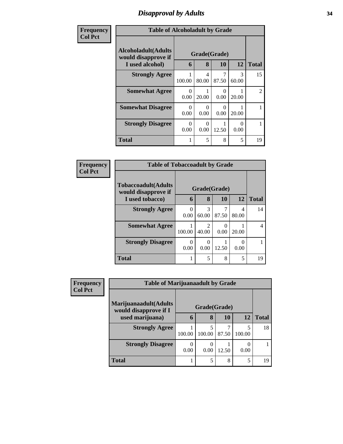## *Disapproval by Adults* **34**

| Frequency<br><b>Col Pct</b> | <b>Table of Alcoholadult by Grade</b>                                 |           |                   |                  |            |                |  |
|-----------------------------|-----------------------------------------------------------------------|-----------|-------------------|------------------|------------|----------------|--|
|                             | <b>Alcoholadult</b> (Adults<br>would disapprove if<br>I used alcohol) | 6         | Grade(Grade)<br>8 | <b>10</b>        | 12         | <b>Total</b>   |  |
|                             | <b>Strongly Agree</b>                                                 | 100.00    | 4<br>80.00        | 87.50            | 3<br>60.00 | 15             |  |
|                             | <b>Somewhat Agree</b>                                                 | 0<br>0.00 | 20.00             | $\theta$<br>0.00 | 20.00      | $\mathfrak{D}$ |  |
|                             | <b>Somewhat Disagree</b>                                              | 0<br>0.00 | ∩<br>0.00         | $\theta$<br>0.00 | 20.00      |                |  |
|                             | <b>Strongly Disagree</b>                                              | 0<br>0.00 | ∩<br>0.00         | 12.50            | ∩<br>0.00  |                |  |
|                             | <b>Total</b>                                                          | 1         | 5                 | 8                | 5          | 19             |  |

| Frequency      | <b>Table of Tobaccoadult by Grade</b>      |                  |            |                  |            |              |
|----------------|--------------------------------------------|------------------|------------|------------------|------------|--------------|
| <b>Col Pct</b> | Tobaccoadult(Adults<br>would disapprove if | Grade(Grade)     |            |                  |            |              |
|                | I used tobacco)                            | 6                | 8          | <b>10</b>        | 12         | <b>Total</b> |
|                | <b>Strongly Agree</b>                      | $\Omega$<br>0.00 | 3<br>60.00 | 87.50            | 4<br>80.00 | 14           |
|                | <b>Somewhat Agree</b>                      | 100.00           | 40.00      | $\left($<br>0.00 | 20.00      | 4            |
|                | <b>Strongly Disagree</b>                   | $\Omega$<br>0.00 | 0<br>0.00  | 12.50            | 0.00       |              |
|                | <b>Total</b>                               |                  | 5          | 8                | 5          | 19           |

| <b>Frequency</b> |                                                | <b>Table of Marijuanaadult by Grade</b> |              |       |        |              |  |
|------------------|------------------------------------------------|-----------------------------------------|--------------|-------|--------|--------------|--|
| <b>Col Pct</b>   | Marijuanaadult(Adults<br>would disapprove if I |                                         | Grade(Grade) |       |        |              |  |
|                  | used marijuana)                                | 6                                       | 8            | 10    | 12     | <b>Total</b> |  |
|                  | <b>Strongly Agree</b>                          | 100.00                                  | 5<br>100.00  | 87.50 | 100.00 | 18           |  |
|                  | <b>Strongly Disagree</b>                       | $\theta$<br>0.00                        | 0<br>0.00    | 12.50 | 0.00   |              |  |
|                  | <b>Total</b>                                   |                                         | 5            | 8     | 5      | 19           |  |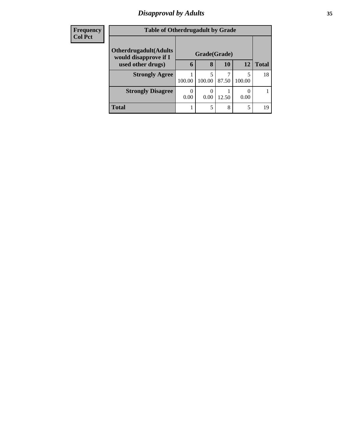# *Disapproval by Adults* **35**

| <b>Frequency</b> | <b>Table of Otherdrugadult by Grade</b>                |                  |             |       |             |              |
|------------------|--------------------------------------------------------|------------------|-------------|-------|-------------|--------------|
| <b>Col Pct</b>   | <b>Otherdrugadult</b> (Adults<br>would disapprove if I | Grade(Grade)     |             |       |             |              |
|                  | used other drugs)                                      | 6                | 8           | 10    | 12          | <b>Total</b> |
|                  | <b>Strongly Agree</b>                                  | 100.00           | 5<br>100.00 | 87.50 | 5<br>100.00 | 18           |
|                  | <b>Strongly Disagree</b>                               | $\Omega$<br>0.00 | 0<br>0.00   | 12.50 | 0.00        |              |
|                  | <b>Total</b>                                           |                  | 5           | 8     | 5           | 19           |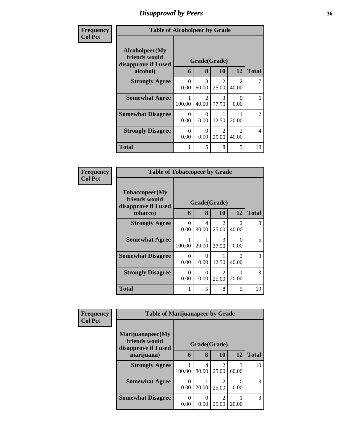# *Disapproval by Peers* **36**

| Frequency      | <b>Table of Alcoholpeer by Grade</b>                    |                  |                         |                         |                        |                |  |
|----------------|---------------------------------------------------------|------------------|-------------------------|-------------------------|------------------------|----------------|--|
| <b>Col Pct</b> | Alcoholpeer(My<br>friends would<br>disapprove if I used | Grade(Grade)     |                         |                         |                        |                |  |
|                | alcohol)                                                | 6                | 8                       | 10                      | 12                     | <b>Total</b>   |  |
|                | <b>Strongly Agree</b>                                   | 0<br>0.00        | 3<br>60.00              | $\mathfrak{D}$<br>25.00 | $\mathcal{D}$<br>40.00 |                |  |
|                | <b>Somewhat Agree</b>                                   | 100.00           | $\mathfrak{D}$<br>40.00 | $\mathcal{R}$<br>37.50  | 0<br>0.00              | 6              |  |
|                | <b>Somewhat Disagree</b>                                | 0<br>0.00        | $\theta$<br>0.00        | 1<br>12.50              | 20.00                  | $\overline{2}$ |  |
|                | <b>Strongly Disagree</b>                                | $\Omega$<br>0.00 | $\theta$<br>0.00        | $\mathfrak{D}$<br>25.00 | $\mathcal{D}$<br>40.00 | $\overline{4}$ |  |
|                | <b>Total</b>                                            |                  | 5                       | 8                       | 5                      | 19             |  |

| Frequency      | <b>Table of Tobaccopeer by Grade</b>                    |                  |                      |                                      |                                      |              |  |
|----------------|---------------------------------------------------------|------------------|----------------------|--------------------------------------|--------------------------------------|--------------|--|
| <b>Col Pct</b> | Tobaccopeer(My<br>friends would<br>disapprove if I used | Grade(Grade)     |                      |                                      |                                      |              |  |
|                | tobacco)                                                | 6                | 8                    | 10                                   | 12                                   | <b>Total</b> |  |
|                | <b>Strongly Agree</b>                                   | $\Omega$<br>0.00 | 4<br>80.00           | $\mathcal{D}_{\mathcal{L}}$<br>25.00 | $\mathfrak{D}$<br>40.00              | 8            |  |
|                | <b>Somewhat Agree</b>                                   | 100.00           | 20.00                | 3<br>37.50                           | 0<br>0.00                            | 5            |  |
|                | <b>Somewhat Disagree</b>                                | $\Omega$<br>0.00 | 0<br>0.00            | 1<br>12.50                           | $\mathcal{D}_{\mathcal{L}}$<br>40.00 | 3            |  |
|                | <b>Strongly Disagree</b>                                | 0<br>0.00        | $\mathbf{0}$<br>0.00 | $\mathfrak{D}$<br>25.00              | 20.00                                | 3            |  |
|                | <b>Total</b>                                            | 1                | 5                    | 8                                    | 5                                    | 19           |  |

| Frequency      | <b>Table of Marijuanapeer by Grade</b>                    |              |            |                                   |            |              |
|----------------|-----------------------------------------------------------|--------------|------------|-----------------------------------|------------|--------------|
| <b>Col Pct</b> | Marijuanapeer(My<br>friends would<br>disapprove if I used | Grade(Grade) |            |                                   |            |              |
|                | marijuana)                                                | 6            | 8          | <b>10</b>                         | 12         | <b>Total</b> |
|                | <b>Strongly Agree</b>                                     | 100.00       | 4<br>80.00 | $\overline{\mathcal{L}}$<br>25.00 | 3<br>60.00 | 10           |
|                | <b>Somewhat Agree</b>                                     | 0.00         | 20.00      | $\overline{\mathcal{L}}$<br>25.00 | 0.00       | 3            |
|                | <b>Somewhat Disagree</b>                                  | 0.00         | 0.00       | 2<br>25.00                        | 20.00      | 3            |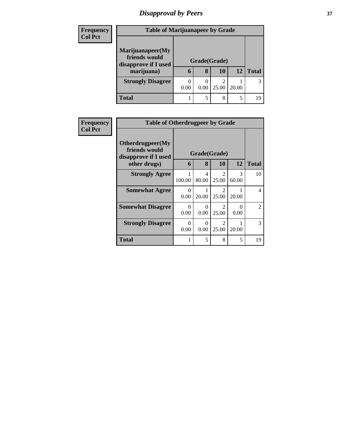# *Disapproval by Peers* **37**

| <b>Frequency</b> | <b>Table of Marijuanapeer by Grade</b>                    |                  |      |            |       |              |
|------------------|-----------------------------------------------------------|------------------|------|------------|-------|--------------|
| <b>Col Pct</b>   |                                                           |                  |      |            |       |              |
|                  | Marijuanapeer(My<br>friends would<br>disapprove if I used | Grade(Grade)     |      |            |       |              |
|                  | marijuana)                                                | 6                | 8    | 10         | 12    | <b>Total</b> |
|                  | <b>Strongly Disagree</b>                                  | $\Omega$<br>0.00 | 0.00 | 2<br>25.00 | 20.00 |              |
|                  | <b>Total</b>                                              |                  | 5    | 8          | 5     | 1 G          |

| <b>Frequency</b> | <b>Table of Otherdrugpeer by Grade</b>                                    |                  |            |                         |                  |                |
|------------------|---------------------------------------------------------------------------|------------------|------------|-------------------------|------------------|----------------|
| <b>Col Pct</b>   | Otherdrugpeer(My<br>friends would<br>disapprove if I used<br>other drugs) | 6                | 8          | Grade(Grade)<br>10      | <b>12</b>        | <b>Total</b>   |
|                  | <b>Strongly Agree</b>                                                     | 100.00           | 4<br>80.00 | $\mathfrak{D}$<br>25.00 | 3<br>60.00       | 10             |
|                  | <b>Somewhat Agree</b>                                                     | $\Omega$<br>0.00 | 20.00      | $\mathfrak{D}$<br>25.00 | 20.00            | $\overline{4}$ |
|                  | <b>Somewhat Disagree</b>                                                  | $\Omega$<br>0.00 | 0<br>0.00  | $\mathfrak{D}$<br>25.00 | $\Omega$<br>0.00 | 2              |
|                  | <b>Strongly Disagree</b>                                                  | 0<br>0.00        | 0<br>0.00  | $\mathfrak{D}$<br>25.00 | 20.00            | 3              |
|                  | Total                                                                     |                  | 5          | 8                       | 5                | 19             |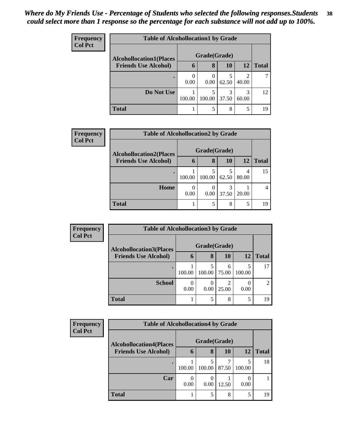| <b>Frequency</b> | <b>Table of Alcohollocation1 by Grade</b> |              |        |            |                         |              |  |  |
|------------------|-------------------------------------------|--------------|--------|------------|-------------------------|--------------|--|--|
| <b>Col Pct</b>   | <b>Alcohollocation1(Places</b>            | Grade(Grade) |        |            |                         |              |  |  |
|                  | <b>Friends Use Alcohol)</b>               | 6            | 8      | 10         | 12                      | <b>Total</b> |  |  |
|                  | $\bullet$                                 | 0.00         | 0.00   | 62.50      | $\mathfrak{D}$<br>40.00 |              |  |  |
|                  | Do Not Use                                | 100.00       | 100.00 | 3<br>37.50 | 3<br>60.00              | 12           |  |  |
|                  | <b>Total</b>                              |              |        | 8          | 5                       | 19           |  |  |

| <b>Frequency</b> |                                                               | <b>Table of Alcohollocation2 by Grade</b> |                   |           |            |              |  |  |  |
|------------------|---------------------------------------------------------------|-------------------------------------------|-------------------|-----------|------------|--------------|--|--|--|
| <b>Col Pct</b>   | <b>Alcohollocation2(Places</b><br><b>Friends Use Alcohol)</b> | 6                                         | Grade(Grade)<br>8 | <b>10</b> | <b>12</b>  | <b>Total</b> |  |  |  |
|                  |                                                               |                                           |                   |           |            |              |  |  |  |
|                  |                                                               | 100.00                                    | 100.00            | 62.50     | 4<br>80.00 | 15           |  |  |  |
|                  | Home                                                          | 0.00                                      | 0.00              | 37.50     | 20.00      |              |  |  |  |
|                  | <b>Total</b>                                                  |                                           | 5                 | 8         | 5          | 19           |  |  |  |

| Frequency      | <b>Table of Alcohollocation 3 by Grade</b> |                          |              |            |                  |                             |
|----------------|--------------------------------------------|--------------------------|--------------|------------|------------------|-----------------------------|
| <b>Col Pct</b> | <b>Alcohollocation3(Places</b>             |                          | Grade(Grade) |            |                  |                             |
|                | <b>Friends Use Alcohol)</b>                | 6                        | 8            | 10         | 12               | Total                       |
|                |                                            | 100.00                   | 100.00       | 6<br>75.00 | 5<br>100.00      | 17                          |
|                | <b>School</b>                              | $\left( \right)$<br>0.00 | 0<br>0.00    | ി<br>25.00 | $\theta$<br>0.00 | $\mathcal{D}_{\mathcal{A}}$ |
|                | <b>Total</b>                               |                          | 5            | 8          | 5                | 19                          |

| <b>Frequency</b> |                                | <b>Table of Alcohollocation4 by Grade</b> |        |            |        |              |  |  |  |
|------------------|--------------------------------|-------------------------------------------|--------|------------|--------|--------------|--|--|--|
| <b>Col Pct</b>   | <b>Alcohollocation4(Places</b> | Grade(Grade)                              |        |            |        |              |  |  |  |
|                  | <b>Friends Use Alcohol)</b>    | 6                                         | 8      | 10         | 12     | <b>Total</b> |  |  |  |
|                  |                                | 100.00                                    | 100.00 | ┑<br>87.50 | 100.00 | 18           |  |  |  |
|                  | Car                            | 0.00                                      | 0.00   | 12.50      | 0.00   |              |  |  |  |
|                  | <b>Total</b>                   |                                           | 5      | 8          | 5      | 19           |  |  |  |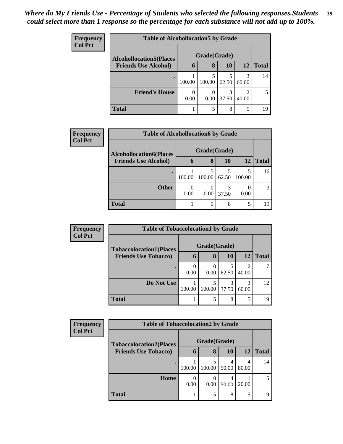| <b>Frequency</b><br><b>Col Pct</b> | <b>Table of Alcohollocation5 by Grade</b> |              |        |       |            |              |  |
|------------------------------------|-------------------------------------------|--------------|--------|-------|------------|--------------|--|
|                                    | <b>Alcohollocation5(Places</b>            | Grade(Grade) |        |       |            |              |  |
|                                    | <b>Friends Use Alcohol)</b>               | 6            | 8      | 10    | 12         | <b>Total</b> |  |
|                                    |                                           | 100.00       | 100.00 | 62.50 | 3<br>60.00 | 14           |  |
|                                    | <b>Friend's House</b>                     | 0.00         | 0.00   | 37.50 | 2<br>40.00 |              |  |
|                                    | <b>Total</b>                              |              |        | 8     | 5          | 19           |  |

| <b>Frequency</b> | <b>Table of Alcohollocation6 by Grade</b> |              |        |           |             |              |
|------------------|-------------------------------------------|--------------|--------|-----------|-------------|--------------|
| <b>Col Pct</b>   | <b>Alcohollocation6(Places</b>            | Grade(Grade) |        |           |             |              |
|                  | <b>Friends Use Alcohol)</b>               | 6            | 8      | <b>10</b> | <b>12</b>   | <b>Total</b> |
|                  |                                           | 100.00       | 100.00 | 62.50     | 5<br>100.00 | 16           |
|                  | <b>Other</b>                              | 0<br>0.00    | 0.00   | 37.50     | 0.00        | 3            |
|                  | <b>Total</b>                              |              | 5      | 8         | 5           | 19           |

| <b>Frequency</b> | <b>Table of Tobaccolocation1 by Grade</b> |              |        |       |                         |              |  |  |
|------------------|-------------------------------------------|--------------|--------|-------|-------------------------|--------------|--|--|
| <b>Col Pct</b>   | <b>Tobaccolocation1(Places</b>            | Grade(Grade) |        |       |                         |              |  |  |
|                  | <b>Friends Use Tobacco)</b>               | 6            | 8      | 10    | 12                      | <b>Total</b> |  |  |
|                  |                                           | 0<br>0.00    | 0.00   | 62.50 | $\overline{c}$<br>40.00 |              |  |  |
|                  | Do Not Use                                | 100.00       | 100.00 | 37.50 | 3<br>60.00              | 12           |  |  |
|                  | <b>Total</b>                              |              |        | 8     | 5                       | 19           |  |  |

| Frequency      | <b>Table of Tobaccolocation2 by Grade</b> |              |        |       |       |              |  |  |
|----------------|-------------------------------------------|--------------|--------|-------|-------|--------------|--|--|
| <b>Col Pct</b> | <b>Tobaccolocation2(Places</b>            | Grade(Grade) |        |       |       |              |  |  |
|                | <b>Friends Use Tobacco)</b>               | n            | 8      | 10    | 12    | <b>Total</b> |  |  |
|                |                                           | 100.00       | 100.00 | 50.00 | 80.00 | 14           |  |  |
|                | Home                                      | 0.00         | 0.00   | 50.00 | 20.00 |              |  |  |
|                | <b>Total</b>                              |              |        | 8     | 5     | 19           |  |  |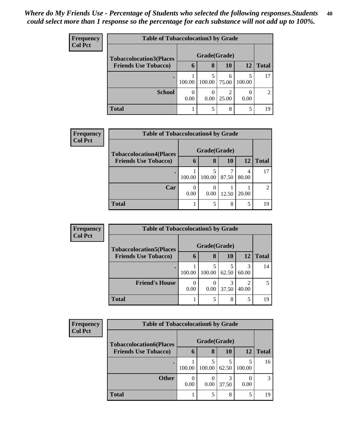| <b>Frequency</b> |                                | <b>Table of Tobaccolocation 3 by Grade</b> |        |            |        |              |  |  |  |  |
|------------------|--------------------------------|--------------------------------------------|--------|------------|--------|--------------|--|--|--|--|
| <b>Col Pct</b>   | <b>Tobaccolocation3(Places</b> | Grade(Grade)                               |        |            |        |              |  |  |  |  |
|                  | <b>Friends Use Tobacco)</b>    | 6                                          | 8      | 10         | 12     | <b>Total</b> |  |  |  |  |
|                  | ٠                              | 100.00                                     | 100.00 | 6<br>75.00 | 100.00 | 17           |  |  |  |  |
|                  | <b>School</b>                  | 0.00                                       | 0.00   | ↑<br>25.00 | 0.00   | 2            |  |  |  |  |
|                  | <b>Total</b>                   |                                            | 5      | 8          | 5      | 19           |  |  |  |  |

| <b>Frequency</b> | <b>Table of Tobaccolocation4 by Grade</b> |        |              |       |            |                |  |  |
|------------------|-------------------------------------------|--------|--------------|-------|------------|----------------|--|--|
| <b>Col Pct</b>   | <b>Tobaccolocation4(Places</b>            |        | Grade(Grade) |       |            |                |  |  |
|                  | <b>Friends Use Tobacco)</b>               | 6      | 8            | 10    | <b>12</b>  | <b>Total</b>   |  |  |
|                  |                                           | 100.00 | 100.00       | 87.50 | 4<br>80.00 | 17             |  |  |
|                  | Car                                       | 0.00   | 0.00         | 12.50 | 20.00      | $\mathfrak{D}$ |  |  |
|                  | <b>Total</b>                              |        | 5            | 8     | 5          | 19             |  |  |

| Frequency      |                                | <b>Table of Tobaccolocation5 by Grade</b> |        |       |            |              |  |  |
|----------------|--------------------------------|-------------------------------------------|--------|-------|------------|--------------|--|--|
| <b>Col Pct</b> | <b>Tobaccolocation5(Places</b> | Grade(Grade)                              |        |       |            |              |  |  |
|                | <b>Friends Use Tobacco)</b>    | 6                                         | 8      | 10    | <b>12</b>  | <b>Total</b> |  |  |
|                |                                | 100.00                                    | 100.00 | 62.50 | 3<br>60.00 | 14           |  |  |
|                | <b>Friend's House</b>          | 0.00                                      | 0.00   | 37.50 | 40.00      |              |  |  |
|                | <b>Total</b>                   |                                           |        | 8     | 5          | 19           |  |  |

| Frequency      |                                | <b>Table of Tobaccolocation6 by Grade</b> |        |            |        |              |  |  |  |  |  |
|----------------|--------------------------------|-------------------------------------------|--------|------------|--------|--------------|--|--|--|--|--|
| <b>Col Pct</b> | <b>Tobaccolocation6(Places</b> | Grade(Grade)                              |        |            |        |              |  |  |  |  |  |
|                | <b>Friends Use Tobacco)</b>    | 6                                         | 8      | 10         | 12     | <b>Total</b> |  |  |  |  |  |
|                |                                | 100.00                                    | 100.00 | 5<br>62.50 | 100.00 | 16           |  |  |  |  |  |
|                | <b>Other</b>                   | 0.00                                      | 0.00   | 3<br>37.50 | 0.00   | 3            |  |  |  |  |  |
|                | <b>Total</b>                   |                                           | 5      | 8          | 5      | 19           |  |  |  |  |  |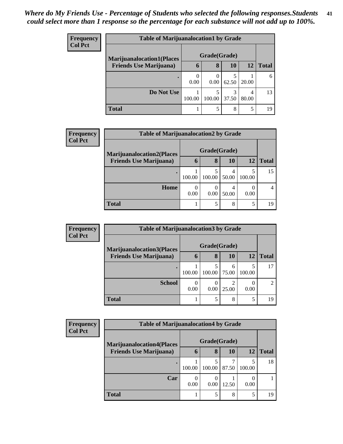| <b>Frequency</b> | <b>Table of Marijuanalocation1 by Grade</b> |              |                  |            |            |              |  |  |
|------------------|---------------------------------------------|--------------|------------------|------------|------------|--------------|--|--|
| <b>Col Pct</b>   | <b>Marijuanalocation1(Places</b>            | Grade(Grade) |                  |            |            |              |  |  |
|                  | <b>Friends Use Marijuana</b> )              | 6            | 8                | 10         | 12         | <b>Total</b> |  |  |
|                  |                                             | 0<br>0.00    | $\theta$<br>0.00 | 62.50      | 20.00      | 6            |  |  |
|                  | Do Not Use                                  | 100.00       | 100.00           | 3<br>37.50 | 4<br>80.00 | 13           |  |  |
|                  | <b>Total</b>                                |              | 5                | 8          | 5          | 19           |  |  |

| <b>Frequency</b> | <b>Table of Marijuanalocation2 by Grade</b> |           |              |            |             |              |  |  |  |
|------------------|---------------------------------------------|-----------|--------------|------------|-------------|--------------|--|--|--|
| <b>Col Pct</b>   | <b>Marijuanalocation2(Places</b>            |           | Grade(Grade) |            |             |              |  |  |  |
|                  | <b>Friends Use Marijuana</b> )              | 6         | 8            | 10         | 12          | <b>Total</b> |  |  |  |
|                  |                                             | 100.00    | 100.00       | 4<br>50.00 | 5<br>100.00 | 15           |  |  |  |
|                  | Home                                        | 0<br>0.00 | 0.00         | 50.00      | 0.00        | 4            |  |  |  |
|                  | <b>Total</b>                                |           | 5            | 8          | 5           | 19           |  |  |  |

| Frequency | <b>Table of Marijuanalocation3 by Grade</b> |              |                          |            |             |                |  |  |
|-----------|---------------------------------------------|--------------|--------------------------|------------|-------------|----------------|--|--|
| Col Pct   | <b>Marijuanalocation3(Places</b>            | Grade(Grade) |                          |            |             |                |  |  |
|           | <b>Friends Use Marijuana</b> )              | 6            | 8                        | 10         | 12          | <b>Total</b>   |  |  |
|           | ٠                                           | 100.00       | 100.00                   | 6<br>75.00 | 5<br>100.00 | 17             |  |  |
|           | <b>School</b>                               | 0.00         | $\left( \right)$<br>0.00 | ∍<br>25.00 | 0.00        | $\mathfrak{D}$ |  |  |
|           | <b>Total</b>                                |              | 5                        | 8          | 5           | 19             |  |  |

| <b>Frequency</b><br><b>Col Pct</b> | <b>Table of Marijuanalocation4 by Grade</b> |              |           |       |        |              |  |
|------------------------------------|---------------------------------------------|--------------|-----------|-------|--------|--------------|--|
|                                    | <b>Marijuanalocation4(Places</b>            | Grade(Grade) |           |       |        |              |  |
|                                    | <b>Friends Use Marijuana</b> )              | h            | 8         | 10    | 12     | <b>Total</b> |  |
|                                    |                                             | 100.00       | 100.00    | 87.50 | 100.00 | 18           |  |
|                                    | Car                                         | 0.00         | 0<br>0.00 | 12.50 | 0.00   |              |  |
|                                    | <b>Total</b>                                |              | 5         | 8     | 5      | 19           |  |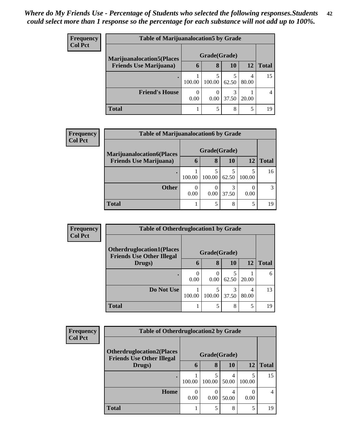| <b>Frequency</b> | <b>Table of Marijuanalocation5 by Grade</b> |                  |             |            |            |              |  |  |
|------------------|---------------------------------------------|------------------|-------------|------------|------------|--------------|--|--|
| Col Pct          | <b>Marijuanalocation5</b> (Places           | Grade(Grade)     |             |            |            |              |  |  |
|                  | <b>Friends Use Marijuana</b> )              | 6                | 8           | 10         | 12         | <b>Total</b> |  |  |
|                  |                                             | 100.00           | 5<br>100.00 | 62.50      | 4<br>80.00 | 15           |  |  |
|                  | <b>Friend's House</b>                       | $\Omega$<br>0.00 | 0.00        | 3<br>37.50 | 20.00      |              |  |  |
|                  | <b>Total</b>                                |                  | 5           | 8          | 5          | 19           |  |  |

| Frequency      | <b>Table of Marijuanalocation6 by Grade</b> |        |                  |            |           |              |  |  |  |
|----------------|---------------------------------------------|--------|------------------|------------|-----------|--------------|--|--|--|
| <b>Col Pct</b> | <b>Marijuanalocation6(Places</b>            |        | Grade(Grade)     |            |           |              |  |  |  |
|                | <b>Friends Use Marijuana</b> )              | 6      | 8                | <b>10</b>  | <b>12</b> | <b>Total</b> |  |  |  |
|                |                                             | 100.00 | 100.00           | 62.50      | 100.00    | 16           |  |  |  |
|                | <b>Other</b>                                | 0.00   | $\theta$<br>0.00 | 3<br>37.50 | 0.00      | 3            |  |  |  |
|                | <b>Total</b>                                |        |                  | 8          | 5         | 19           |  |  |  |

| <b>Frequency</b> | <b>Table of Otherdruglocation1 by Grade</b>                          |              |        |       |            |              |  |
|------------------|----------------------------------------------------------------------|--------------|--------|-------|------------|--------------|--|
| <b>Col Pct</b>   | <b>Otherdruglocation1(Places</b><br><b>Friends Use Other Illegal</b> | Grade(Grade) |        |       |            |              |  |
|                  | Drugs)                                                               | 6            | 8      | 10    | 12         | <b>Total</b> |  |
|                  |                                                                      | 0.00         | 0.00   | 62.50 | 20.00      | 6            |  |
|                  | Do Not Use                                                           | 100.00       | 100.00 | 37.50 | 4<br>80.00 | 13           |  |
|                  | <b>Total</b>                                                         |              | 5      | 8     | 5          | 19           |  |

| <b>Frequency</b> | <b>Table of Otherdruglocation2 by Grade</b> |        |                  |            |             |              |
|------------------|---------------------------------------------|--------|------------------|------------|-------------|--------------|
| <b>Col Pct</b>   | <b>Otherdruglocation2(Places</b>            |        | Grade(Grade)     |            |             |              |
|                  | <b>Friends Use Other Illegal</b><br>Drugs)  | 6      | 8                | <b>10</b>  | 12          | <b>Total</b> |
|                  | $\bullet$                                   | 100.00 | 5<br>100.00      | 4<br>50.00 | 5<br>100.00 | 15           |
|                  | Home                                        | 0.00   | $\Omega$<br>0.00 | 4<br>50.00 | 0<br>0.00   | 4            |
|                  | <b>Total</b>                                |        | 5                | 8          | 5           | 19           |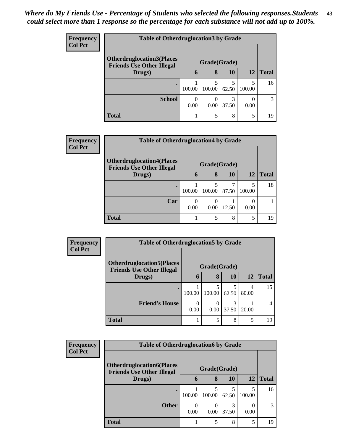| Frequency      |                                                                      | <b>Table of Otherdruglocation 3 by Grade</b> |        |           |        |              |  |  |
|----------------|----------------------------------------------------------------------|----------------------------------------------|--------|-----------|--------|--------------|--|--|
| <b>Col Pct</b> | <b>Otherdruglocation3(Places</b><br><b>Friends Use Other Illegal</b> | Grade(Grade)                                 |        |           |        |              |  |  |
|                | Drugs)                                                               | 6                                            | 8      | <b>10</b> | 12     | <b>Total</b> |  |  |
|                |                                                                      | 100.00                                       | 100.00 | 62.50     | 100.00 | 16           |  |  |
|                | <b>School</b>                                                        | $\Omega$<br>0.00                             | 0.00   | 37.50     | 0.00   | 3            |  |  |
|                | <b>Total</b>                                                         |                                              |        | 8         | 5      | 19           |  |  |

| Frequency      | <b>Table of Otherdruglocation4 by Grade</b>                          |              |        |       |             |              |
|----------------|----------------------------------------------------------------------|--------------|--------|-------|-------------|--------------|
| <b>Col Pct</b> | <b>Otherdruglocation4(Places</b><br><b>Friends Use Other Illegal</b> | Grade(Grade) |        |       |             |              |
|                | Drugs)                                                               | 6            | 8      | 10    | 12          | <b>Total</b> |
|                |                                                                      | 100.00       | 100.00 | 87.50 | 5<br>100.00 | 18           |
|                | Car                                                                  | 0.00         | 0.00   | 12.50 | 0<br>0.00   |              |
|                | <b>Total</b>                                                         |              |        | 8     | 5           | 19           |

| Frequency<br><b>Col Pct</b> | <b>Table of Otherdruglocation5 by Grade</b>                           |           |              |       |            |              |
|-----------------------------|-----------------------------------------------------------------------|-----------|--------------|-------|------------|--------------|
|                             | <b>Otherdruglocation5(Places)</b><br><b>Friends Use Other Illegal</b> |           | Grade(Grade) |       |            |              |
|                             | Drugs)                                                                | 6         | 8            | 10    | 12         | <b>Total</b> |
|                             |                                                                       | 100.00    | 100.00       | 62.50 | 4<br>80.00 | 15           |
|                             | <b>Friend's House</b>                                                 | 0<br>0.00 | 0.00         | 37.50 | 20.00      | 4            |
|                             | <b>Total</b>                                                          |           | 5            | 8     | 5          | 19           |

| <b>Frequency</b> |
|------------------|
| <b>Col Pct</b>   |

| <b>Table of Otherdruglocation6 by Grade</b>                          |        |              |            |        |              |  |  |
|----------------------------------------------------------------------|--------|--------------|------------|--------|--------------|--|--|
| <b>Otherdruglocation6(Places</b><br><b>Friends Use Other Illegal</b> |        | Grade(Grade) |            |        |              |  |  |
| Drugs)                                                               | 6      | 8            | 10         | 12     | <b>Total</b> |  |  |
|                                                                      | 100.00 | 100.00       | 5<br>62.50 | 100.00 | 16           |  |  |
| <b>Other</b>                                                         | 0.00   | 0.00         | 37.50      | 0.00   | 3            |  |  |
| Total                                                                |        | 5            | 8          | 5      | 19           |  |  |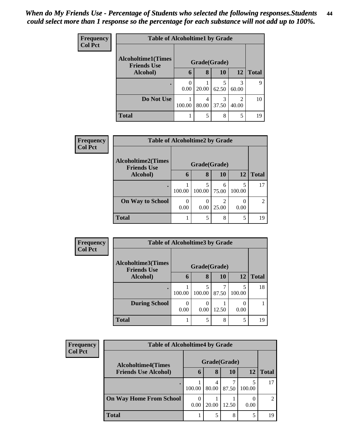| Frequency<br><b>Col Pct</b> | <b>Table of Alcoholtime1 by Grade</b>                           |        |       |            |                         |              |  |
|-----------------------------|-----------------------------------------------------------------|--------|-------|------------|-------------------------|--------------|--|
|                             | <b>Alcoholtime1(Times</b><br>Grade(Grade)<br><b>Friends Use</b> |        |       |            |                         |              |  |
|                             | Alcohol)                                                        | 6      | 8     | 10         | 12                      | <b>Total</b> |  |
|                             | $\bullet$                                                       | 0.00   | 20.00 | 5<br>62.50 | 3<br>60.00              | 9            |  |
|                             | Do Not Use                                                      | 100.00 | 80.00 | 3<br>37.50 | $\mathfrak{D}$<br>40.00 | 10           |  |
|                             | <b>Total</b>                                                    |        | 5     | 8          | 5                       | 19           |  |

| Frequency      |                                                 | <b>Table of Alcoholtime2 by Grade</b> |              |                         |             |                |  |  |
|----------------|-------------------------------------------------|---------------------------------------|--------------|-------------------------|-------------|----------------|--|--|
| <b>Col Pct</b> | <b>Alcoholtime2(Times</b><br><b>Friends Use</b> |                                       | Grade(Grade) |                         |             |                |  |  |
|                | <b>Alcohol</b> )                                | $\mathbf{6}$                          | 8            | 10                      | 12          | <b>Total</b>   |  |  |
|                |                                                 | 100.00                                | 100.00       | 6<br>75.00              | 5<br>100.00 | 17             |  |  |
|                | <b>On Way to School</b>                         | 0.00                                  | 0.00         | $\mathfrak{D}$<br>25.00 | 0.00        | $\mathfrak{D}$ |  |  |
|                | <b>Total</b>                                    |                                       | 5            | 8                       | 5           | 19             |  |  |

| <b>Frequency</b> | <b>Table of Alcoholtime3 by Grade</b>           |        |              |       |        |              |  |
|------------------|-------------------------------------------------|--------|--------------|-------|--------|--------------|--|
| <b>Col Pct</b>   | <b>Alcoholtime3(Times</b><br><b>Friends Use</b> |        | Grade(Grade) |       |        |              |  |
|                  | Alcohol)                                        | 6      | 8            | 10    | 12     | <b>Total</b> |  |
|                  |                                                 | 100.00 | 100.00       | 87.50 | 100.00 | 18           |  |
|                  | <b>During School</b>                            | 0.00   | 0.00         | 12.50 | 0.00   |              |  |
|                  | <b>Total</b>                                    |        |              | 8     | 5      | 19           |  |

| <b>Frequency</b><br><b>Col Pct</b> | <b>Table of Alcoholtime4 by Grade</b> |                  |            |           |             |                |
|------------------------------------|---------------------------------------|------------------|------------|-----------|-------------|----------------|
|                                    | <b>Alcoholtime4(Times</b>             | Grade(Grade)     |            |           |             |                |
|                                    | <b>Friends Use Alcohol)</b>           | $\mathbf b$      | 8          | <b>10</b> | 12          | <b>Total</b>   |
|                                    |                                       | 100.00           | 4<br>80.00 | 87.50     | 5<br>100.00 | 17             |
|                                    | <b>On Way Home From School</b>        | $\Omega$<br>0.00 | 20.00      | 12.50     | 0.00        | $\overline{2}$ |
|                                    | <b>Total</b>                          |                  |            | 8         | 5           | 19             |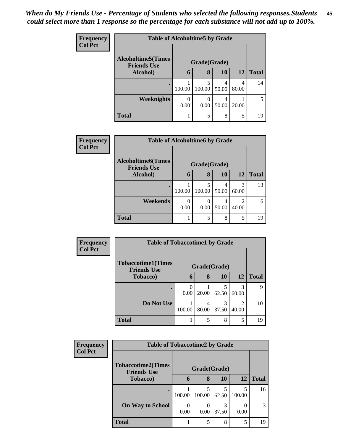| <b>Frequency</b> | <b>Table of Alcoholtime5 by Grade</b>            |                  |             |            |           |              |  |
|------------------|--------------------------------------------------|------------------|-------------|------------|-----------|--------------|--|
| <b>Col Pct</b>   | <b>Alcoholtime5</b> (Times<br><b>Friends Use</b> | Grade(Grade)     |             |            |           |              |  |
|                  | Alcohol)                                         | 6                | 8           | 10         | <b>12</b> | <b>Total</b> |  |
|                  | ٠                                                | 100.00           | 5<br>100.00 | 4<br>50.00 | 80.00     | 14           |  |
|                  | Weeknights                                       | $\Omega$<br>0.00 | 0.00        | 4<br>50.00 | 20.00     | 5            |  |
|                  | <b>Total</b>                                     |                  | 5           | 8          | 5         | 19           |  |

| Frequency      | <b>Table of Alcoholtime6 by Grade</b>    |                  |                           |            |            |              |
|----------------|------------------------------------------|------------------|---------------------------|------------|------------|--------------|
| <b>Col Pct</b> | Alcoholtime6(Times<br><b>Friends Use</b> |                  | Grade(Grade)              |            |            |              |
|                | Alcohol)                                 | 6                | 8                         | 10         | <b>12</b>  | <b>Total</b> |
|                | $\bullet$                                | 100.00           | 5<br>100.00               | 4<br>50.00 | 3<br>60.00 | 13           |
|                | Weekends                                 | $\Omega$<br>0.00 | $\mathbf{\Omega}$<br>0.00 | 4<br>50.00 | 40.00      | 6            |
|                | <b>Total</b>                             |                  | 5                         | 8          | 5          | 19           |

| Frequency<br><b>Col Pct</b> | <b>Table of Tobaccotime1 by Grade</b>           |                  |            |            |                         |              |
|-----------------------------|-------------------------------------------------|------------------|------------|------------|-------------------------|--------------|
|                             | <b>Tobaccotime1(Times</b><br><b>Friends Use</b> | Grade(Grade)     |            |            |                         |              |
|                             | Tobacco)                                        | 6                | 8          | <b>10</b>  | <b>12</b>               | <b>Total</b> |
|                             |                                                 | $\left($<br>0.00 | 20.00      | 62.50      | 3<br>60.00              | 9            |
|                             | Do Not Use                                      | 100.00           | 4<br>80.00 | 3<br>37.50 | $\mathfrak{D}$<br>40.00 | 10           |
|                             | <b>Total</b>                                    |                  | 5          | 8          | 5                       | 19           |

| <b>Frequency</b> | <b>Table of Tobaccotime2 by Grade</b>           |           |              |            |             |              |  |
|------------------|-------------------------------------------------|-----------|--------------|------------|-------------|--------------|--|
| <b>Col Pct</b>   | <b>Tobaccotime2(Times</b><br><b>Friends Use</b> |           | Grade(Grade) |            |             |              |  |
|                  | <b>Tobacco</b> )                                | 6         | 8            | <b>10</b>  | 12          | <b>Total</b> |  |
|                  | ٠                                               | 100.00    | 5<br>100.00  | 5<br>62.50 | 5<br>100.00 | 16           |  |
|                  | <b>On Way to School</b>                         | 0<br>0.00 | 0.00         | 3<br>37.50 | 0.00        | 3            |  |
|                  | <b>Total</b>                                    |           | 5            | 8          | 5           | 19           |  |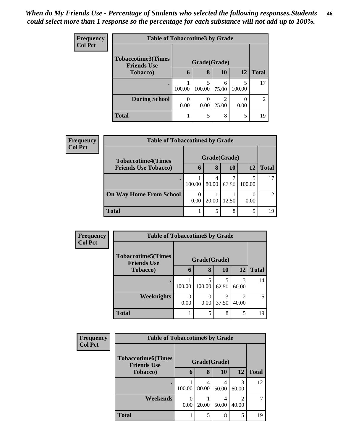| <b>Frequency</b> | <b>Table of Tobaccotime3 by Grade</b>           |              |        |            |        |                |  |
|------------------|-------------------------------------------------|--------------|--------|------------|--------|----------------|--|
| Col Pct          | <b>Tobaccotime3(Times</b><br><b>Friends Use</b> | Grade(Grade) |        |            |        |                |  |
|                  | <b>Tobacco</b> )                                | 6            | 8      | 10         | 12     | <b>Total</b>   |  |
|                  |                                                 | 100.00       | 100.00 | 6<br>75.00 | 100.00 | 17             |  |
|                  | <b>During School</b>                            | 0.00         | 0.00   | 2<br>25.00 | 0.00   | $\overline{2}$ |  |
|                  | <b>Total</b>                                    |              | 5      | 8          | 5      | 19             |  |

| Frequency      |                                | <b>Table of Tobaccotime4 by Grade</b> |              |           |             |                |  |  |  |
|----------------|--------------------------------|---------------------------------------|--------------|-----------|-------------|----------------|--|--|--|
| <b>Col Pct</b> | <b>Tobaccotime4(Times</b>      |                                       | Grade(Grade) |           |             |                |  |  |  |
|                | <b>Friends Use Tobacco)</b>    | $\mathbf b$                           | 8            | <b>10</b> | 12          | <b>Total</b>   |  |  |  |
|                |                                | 100.00                                | 80.00        | 87.50     | 5<br>100.00 | 17             |  |  |  |
|                | <b>On Way Home From School</b> | $\theta$<br>0.00                      | 20.00        | 12.50     | 0.00        | $\mathfrak{D}$ |  |  |  |
|                | <b>Total</b>                   |                                       |              | 8         | 5           | 19             |  |  |  |

| <b>Frequency</b> | <b>Table of Tobaccotime5 by Grade</b>           |                  |             |            |                                      |              |
|------------------|-------------------------------------------------|------------------|-------------|------------|--------------------------------------|--------------|
| <b>Col Pct</b>   | <b>Tobaccotime5(Times</b><br><b>Friends Use</b> | Grade(Grade)     |             |            |                                      |              |
|                  | Tobacco)                                        | 6                | 8           | 10         | 12                                   | <b>Total</b> |
|                  |                                                 | 100.00           | 5<br>100.00 | 62.50      | 3<br>60.00                           | 14           |
|                  | Weeknights                                      | $\theta$<br>0.00 | 0.00        | 3<br>37.50 | $\mathcal{D}_{\mathcal{L}}$<br>40.00 | 5            |
|                  | <b>Total</b>                                    |                  | 5           | 8          | 5                                    | 19           |

| Frequency      |                                                 | <b>Table of Tobaccotime6 by Grade</b> |            |            |            |              |  |  |  |
|----------------|-------------------------------------------------|---------------------------------------|------------|------------|------------|--------------|--|--|--|
| <b>Col Pct</b> | <b>Tobaccotime6(Times</b><br><b>Friends Use</b> | Grade(Grade)                          |            |            |            |              |  |  |  |
|                | <b>Tobacco</b> )                                | 6                                     | 8          | 10         | 12         | <b>Total</b> |  |  |  |
|                |                                                 | 100.00                                | 4<br>80.00 | 4<br>50.00 | 3<br>60.00 | 12           |  |  |  |
|                | Weekends                                        | 0<br>0.00                             | 20.00      | 4<br>50.00 | ∍<br>40.00 |              |  |  |  |
|                | <b>Total</b>                                    |                                       | 5          | 8          | 5          | 19           |  |  |  |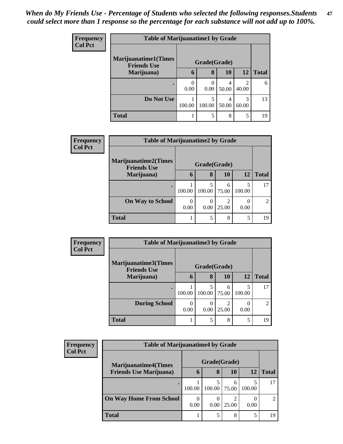| <b>Frequency</b> | <b>Table of Marijuanatime1 by Grade</b>           |              |                  |            |                         |              |  |
|------------------|---------------------------------------------------|--------------|------------------|------------|-------------------------|--------------|--|
| <b>Col Pct</b>   | <b>Marijuanatime1(Times</b><br><b>Friends Use</b> | Grade(Grade) |                  |            |                         |              |  |
|                  | Marijuana)                                        | 6            | 8                | <b>10</b>  | 12                      | <b>Total</b> |  |
|                  |                                                   | 0.00         | $\left($<br>0.00 | 4<br>50.00 | $\mathfrak{D}$<br>40.00 | 6            |  |
|                  | Do Not Use                                        | 100.00       | 5<br>100.00      | 50.00      | 3<br>60.00              | 13           |  |
|                  | <b>Total</b>                                      |              | 5                | 8          | 5                       | 19           |  |

| <b>Frequency</b> | <b>Table of Marijuanatime2 by Grade</b>           |              |             |            |             |                |
|------------------|---------------------------------------------------|--------------|-------------|------------|-------------|----------------|
| <b>Col Pct</b>   | <b>Marijuanatime2(Times</b><br><b>Friends Use</b> | Grade(Grade) |             |            |             |                |
|                  | Marijuana)                                        | b            | 8           | <b>10</b>  | 12          | <b>Total</b>   |
|                  |                                                   | 100.00       | 5<br>100.00 | 6<br>75.00 | 5<br>100.00 | 17             |
|                  | <b>On Way to School</b>                           | 0.00         | 0<br>0.00   | 2<br>25.00 | 0.00        | $\mathfrak{D}$ |
|                  | <b>Total</b>                                      |              | 5           | 8          | 5           | 19             |

| Frequency<br><b>Col Pct</b> |                                            | <b>Table of Marijuanatime3 by Grade</b> |        |            |             |                |  |  |
|-----------------------------|--------------------------------------------|-----------------------------------------|--------|------------|-------------|----------------|--|--|
|                             | Marijuanatime3(Times<br><b>Friends Use</b> | Grade(Grade)                            |        |            |             |                |  |  |
|                             | Marijuana)                                 | 6                                       | 8      | <b>10</b>  | 12          | <b>Total</b>   |  |  |
|                             |                                            | 100.00                                  | 100.00 | 6<br>75.00 | 5<br>100.00 | 17             |  |  |
|                             | <b>During School</b>                       | 0.00                                    | 0.00   | 2<br>25.00 | 0<br>0.00   | $\overline{c}$ |  |  |
|                             | <b>Total</b>                               |                                         | 5      | 8          | 5           | 19             |  |  |

| <b>Frequency</b><br><b>Col Pct</b> | <b>Table of Marijuanatime4 by Grade</b> |                  |        |            |        |              |  |
|------------------------------------|-----------------------------------------|------------------|--------|------------|--------|--------------|--|
|                                    | <b>Marijuanatime4</b> (Times            | Grade(Grade)     |        |            |        |              |  |
|                                    | <b>Friends Use Marijuana</b> )          | 6                | 8      | 10         | 12     | <b>Total</b> |  |
|                                    |                                         | 100.00           | 100.00 | 6<br>75.00 | 100.00 | 17           |  |
|                                    | <b>On Way Home From School</b>          | $\theta$<br>0.00 | 0.00   | 25.00      | 0.00   | ∍            |  |
|                                    | Total                                   |                  |        | 8          |        | 19           |  |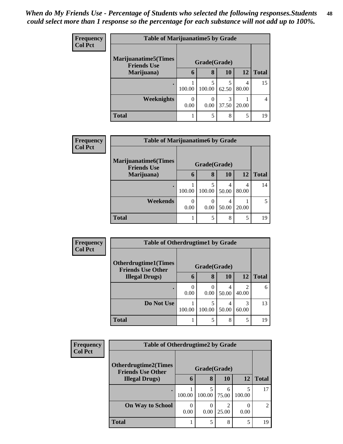| <b>Frequency</b> | <b>Table of Marijuanatime5 by Grade</b>            |              |           |            |            |                |
|------------------|----------------------------------------------------|--------------|-----------|------------|------------|----------------|
| <b>Col Pct</b>   | <b>Marijuanatime5</b> (Times<br><b>Friends Use</b> | Grade(Grade) |           |            |            |                |
|                  | Marijuana)                                         | 6            | 8         | 10         | 12         | <b>Total</b>   |
|                  |                                                    | 100.00       | 100.00    | 62.50      | 4<br>80.00 | 15             |
|                  | <b>Weeknights</b>                                  | 0.00         | 0<br>0.00 | 3<br>37.50 | 20.00      | $\overline{4}$ |
|                  | <b>Total</b>                                       |              | 5         | 8          | 5          | 19             |

| <b>Frequency</b> | <b>Table of Marijuanatime6 by Grade</b>           |              |                  |            |            |              |  |
|------------------|---------------------------------------------------|--------------|------------------|------------|------------|--------------|--|
| <b>Col Pct</b>   | <b>Marijuanatime6(Times</b><br><b>Friends Use</b> | Grade(Grade) |                  |            |            |              |  |
|                  | Marijuana)                                        | 6            | 8                | 10         | 12         | <b>Total</b> |  |
|                  |                                                   | 100.00       | 100.00           | 4<br>50.00 | 4<br>80.00 | 14           |  |
|                  | Weekends                                          | 0.00         | $\theta$<br>0.00 | 4<br>50.00 | 20.00      | 5            |  |
|                  | <b>Total</b>                                      |              | 5                | 8          | 5          | 19           |  |

| <b>Frequency</b><br><b>Col Pct</b> | <b>Table of Otherdrugtime1 by Grade</b>                 |              |             |            |                         |              |  |
|------------------------------------|---------------------------------------------------------|--------------|-------------|------------|-------------------------|--------------|--|
|                                    | <b>Otherdrugtime1(Times</b><br><b>Friends Use Other</b> | Grade(Grade) |             |            |                         |              |  |
|                                    | <b>Illegal Drugs</b> )                                  | 6            | 8           | <b>10</b>  | 12                      | <b>Total</b> |  |
|                                    |                                                         | 0.00         | 0<br>0.00   | 50.00      | $\mathfrak{D}$<br>40.00 | 6            |  |
|                                    | Do Not Use                                              | 100.00       | 5<br>100.00 | 4<br>50.00 | 3<br>60.00              | 13           |  |
|                                    | <b>Total</b>                                            |              | 5           | 8          | 5                       | 19           |  |

| Frequency      |                                                    | <b>Table of Otherdrugtime2 by Grade</b> |              |                         |        |                |  |
|----------------|----------------------------------------------------|-----------------------------------------|--------------|-------------------------|--------|----------------|--|
| <b>Col Pct</b> | <b>Otherdrugtime2(Times</b>                        |                                         | Grade(Grade) |                         |        |                |  |
|                | <b>Friends Use Other</b><br><b>Illegal Drugs</b> ) | 6                                       | 8            | 10                      | 12     | <b>Total</b>   |  |
|                |                                                    | 100.00                                  | 100.00       | 6<br>75.00              | 100.00 | 17             |  |
|                | <b>On Way to School</b>                            | 0<br>0.00                               | 0.00         | $\mathfrak{D}$<br>25.00 | 0.00   | $\mathfrak{D}$ |  |
|                | <b>Total</b>                                       |                                         | 5            | 8                       | 5      | 19             |  |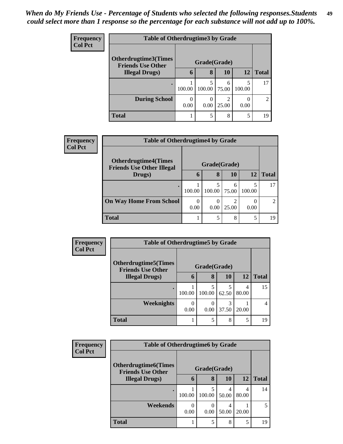*When do My Friends Use - Percentage of Students who selected the following responses.Students could select more than 1 response so the percentage for each substance will not add up to 100%.* **49**

| <b>Frequency</b> | <b>Table of Otherdrugtime3 by Grade</b>            |              |             |            |             |                |
|------------------|----------------------------------------------------|--------------|-------------|------------|-------------|----------------|
| <b>Col Pct</b>   | <b>Otherdrugtime3(Times</b>                        | Grade(Grade) |             |            |             |                |
|                  | <b>Friends Use Other</b><br><b>Illegal Drugs</b> ) | 6            | 8           | 10         | 12          | <b>Total</b>   |
|                  |                                                    | 100.00       | 5<br>100.00 | 6<br>75.00 | 5<br>100.00 | 17             |
|                  | <b>During School</b>                               | 0.00         | 0<br>0.00   | 2<br>25.00 | 0<br>0.00   | $\overline{c}$ |
|                  | <b>Total</b>                                       |              | 5           | 8          | 5           | 19             |

| <b>Frequency</b> | <b>Table of Otherdrugtime4 by Grade</b>                         |                  |        |            |                  |               |
|------------------|-----------------------------------------------------------------|------------------|--------|------------|------------------|---------------|
| <b>Col Pct</b>   | <b>Otherdrugtime4(Times</b><br><b>Friends Use Other Illegal</b> | Grade(Grade)     |        |            |                  |               |
|                  | Drugs)                                                          |                  | 8      | 10         | 12               | <b>Total</b>  |
|                  |                                                                 | 100.00           | 100.00 | 6<br>75.00 | 100.00           | 17            |
|                  | <b>On Way Home From School</b>                                  | $\Omega$<br>0.00 | 0.00   | 25.00      | $\theta$<br>0.00 | $\mathcal{D}$ |
|                  | <b>Total</b>                                                    |                  | 5      | 8          | 5                | 19            |

| <b>Frequency</b> | <b>Table of Otherdrugtime5 by Grade</b>                  |              |                                 |           |            |              |  |
|------------------|----------------------------------------------------------|--------------|---------------------------------|-----------|------------|--------------|--|
| <b>Col Pct</b>   | <b>Otherdrugtime5</b> (Times<br><b>Friends Use Other</b> | Grade(Grade) |                                 |           |            |              |  |
|                  | <b>Illegal Drugs</b> )                                   | 6            | 8                               | <b>10</b> | 12         | <b>Total</b> |  |
|                  |                                                          | 100.00       | 5<br>100.00                     | 62.50     | 4<br>80.00 | 15           |  |
|                  | <b>Weeknights</b>                                        | 0<br>0.00    | $\left( \right)$<br>$0.00\vert$ | 37.50     | 20.00      | 4            |  |
|                  | <b>Total</b>                                             |              | 5                               | 8         | 5          | 19           |  |

| <b>Frequency</b> | <b>Table of Otherdrugtime6 by Grade</b>                 |              |             |           |            |              |
|------------------|---------------------------------------------------------|--------------|-------------|-----------|------------|--------------|
| <b>Col Pct</b>   | <b>Otherdrugtime6(Times</b><br><b>Friends Use Other</b> | Grade(Grade) |             |           |            |              |
|                  | <b>Illegal Drugs</b> )                                  | $\mathbf b$  | 8           | <b>10</b> | <b>12</b>  | <b>Total</b> |
|                  |                                                         | 100.00       | 5<br>100.00 | 50.00     | 4<br>80.00 | 14           |
|                  | Weekends                                                | 0.00         | C<br>0.00   | 50.00     | 20.00      |              |
|                  | <b>Total</b>                                            |              | 5           | 8         | 5          | 19           |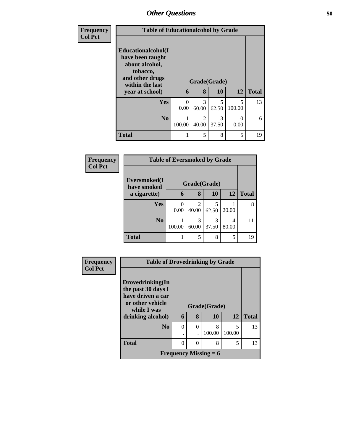| <b>Frequency</b> | <b>Table of Educationalcohol by Grade</b>                                                                                     |                  |                                      |                                   |                                    |              |
|------------------|-------------------------------------------------------------------------------------------------------------------------------|------------------|--------------------------------------|-----------------------------------|------------------------------------|--------------|
| <b>Col Pct</b>   | Educationalcohol(I<br>have been taught<br>about alcohol,<br>tobacco,<br>and other drugs<br>within the last<br>year at school) | 6                | Grade(Grade)<br>8                    | <b>10</b>                         | 12                                 | <b>Total</b> |
|                  | <b>Yes</b>                                                                                                                    | $\Omega$<br>0.00 | 3<br>60.00                           | $\overline{\phantom{0}}$<br>62.50 | $\overline{\mathcal{L}}$<br>100.00 | 13           |
|                  | N <sub>o</sub>                                                                                                                | 100.00           | $\mathcal{D}_{\mathcal{L}}$<br>40.00 | 3<br>37.50                        | 0<br>0.00                          | 6            |
|                  | <b>Total</b>                                                                                                                  |                  | 5                                    | 8                                 | 5                                  | 19           |

| Frequency      |                             | <b>Table of Eversmoked by Grade</b> |            |            |            |              |  |  |
|----------------|-----------------------------|-------------------------------------|------------|------------|------------|--------------|--|--|
| <b>Col Pct</b> | Eversmoked(I<br>have smoked | Grade(Grade)                        |            |            |            |              |  |  |
|                | a cigarette)                | 6                                   | 8          | 10         | 12         | <b>Total</b> |  |  |
|                | <b>Yes</b>                  | $\Omega$<br>0.00                    | 2<br>40.00 | 5<br>62.50 | 20.00      | 8            |  |  |
|                | N <sub>0</sub>              | 100.00                              | 3<br>60.00 | 3<br>37.50 | 4<br>80.00 | 11           |  |  |
|                | <b>Total</b>                |                                     | 5          | 8          | 5          | 19           |  |  |

| Frequency      | <b>Table of Drovedrinking by Grade</b>                                          |          |          |                              |             |              |  |
|----------------|---------------------------------------------------------------------------------|----------|----------|------------------------------|-------------|--------------|--|
| <b>Col Pct</b> | Drovedrinking(In<br>the past 30 days I<br>have driven a car<br>or other vehicle |          |          | Grade(Grade)                 |             |              |  |
|                | while I was<br>drinking alcohol)                                                | 6        | 8        | 10                           | 12          | <b>Total</b> |  |
|                | N <sub>0</sub>                                                                  | $\Omega$ | $\theta$ | 8<br>100.00                  | 5<br>100.00 | 13           |  |
|                | <b>Total</b>                                                                    | $\Omega$ | $\theta$ | 8                            | 5           | 13           |  |
|                |                                                                                 |          |          | <b>Frequency Missing = 6</b> |             |              |  |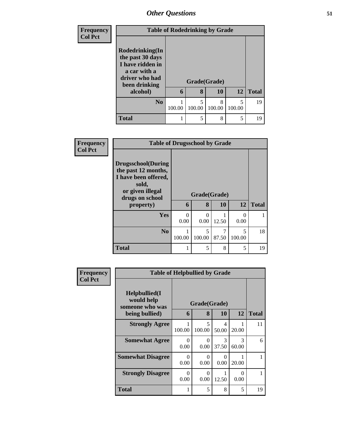| <b>Frequency</b> | <b>Table of Rodedrinking by Grade</b> |        |              |        |                          |              |  |  |
|------------------|---------------------------------------|--------|--------------|--------|--------------------------|--------------|--|--|
| <b>Col Pct</b>   |                                       |        |              |        |                          |              |  |  |
|                  | Rodedrinking(In                       |        |              |        |                          |              |  |  |
|                  | the past 30 days<br>I have ridden in  |        |              |        |                          |              |  |  |
|                  | a car with a                          |        |              |        |                          |              |  |  |
|                  | driver who had<br>been drinking       |        | Grade(Grade) |        |                          |              |  |  |
|                  | alcohol)                              | 6      | 8            | 10     | 12                       | <b>Total</b> |  |  |
|                  | N <sub>0</sub>                        |        |              | 8      | $\overline{\mathcal{L}}$ | 19           |  |  |
|                  |                                       | 100.00 | 100.00       | 100.00 | 100.00                   |              |  |  |
|                  | <b>Total</b>                          |        | 5            | 8      | 5                        | 19           |  |  |

| <b>Frequency</b> | <b>Table of Drugsschool by Grade</b>                                                                                                   |           |                                    |                         |                                    |              |
|------------------|----------------------------------------------------------------------------------------------------------------------------------------|-----------|------------------------------------|-------------------------|------------------------------------|--------------|
| <b>Col Pct</b>   | <b>Drugsschool</b> (During<br>the past 12 months,<br>I have been offered,<br>sold,<br>or given illegal<br>drugs on school<br>property) | 6         | Grade(Grade)<br>8                  | 10                      | 12                                 | <b>Total</b> |
|                  | <b>Yes</b>                                                                                                                             | 0<br>0.00 | 0<br>0.00                          | 12.50                   | 0<br>0.00                          | 1            |
|                  | N <sub>0</sub>                                                                                                                         | 100.00    | $\overline{\phantom{0}}$<br>100.00 | $\overline{7}$<br>87.50 | $\overline{\phantom{0}}$<br>100.00 | 18           |
|                  | <b>Total</b>                                                                                                                           |           | 5                                  | 8                       | 5                                  | 19           |

| <b>Frequency</b> | <b>Table of Helpbullied by Grade</b>           |                  |                  |                        |                  |              |
|------------------|------------------------------------------------|------------------|------------------|------------------------|------------------|--------------|
| <b>Col Pct</b>   | Helpbullied(I<br>would help<br>someone who was |                  | Grade(Grade)     |                        |                  |              |
|                  | being bullied)                                 | 6                | 8                | 10                     | 12               | <b>Total</b> |
|                  | <b>Strongly Agree</b>                          | 100.00           | 5<br>100.00      | 4<br>50.00             | 20.00            | 11           |
|                  | <b>Somewhat Agree</b>                          | $\Omega$<br>0.00 | 0<br>0.00        | $\mathcal{F}$<br>37.50 | 3<br>60.00       | 6            |
|                  | <b>Somewhat Disagree</b>                       | $\Omega$<br>0.00 | $\Omega$<br>0.00 | 0<br>0.00              | 20.00            |              |
|                  | <b>Strongly Disagree</b>                       | $\Omega$<br>0.00 | 0<br>0.00        | 12.50                  | $\Omega$<br>0.00 |              |
|                  | Total                                          | 1                | 5                | 8                      | 5                | 19           |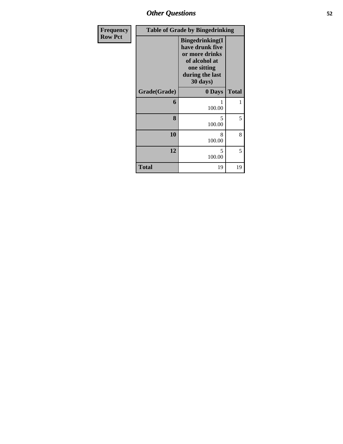| Frequency      |              | <b>Table of Grade by Bingedrinking</b>                                                                                     |              |
|----------------|--------------|----------------------------------------------------------------------------------------------------------------------------|--------------|
| <b>Row Pct</b> |              | <b>Bingedrinking(I</b><br>have drunk five<br>or more drinks<br>of alcohol at<br>one sitting<br>during the last<br>30 days) |              |
|                | Grade(Grade) | 0 Days                                                                                                                     | <b>Total</b> |
|                | 6            | 100.00                                                                                                                     | 1            |
|                | 8            | 5<br>100.00                                                                                                                | 5            |
|                | 10           | 8<br>100.00                                                                                                                | 8            |
|                | 12           | 5<br>100.00                                                                                                                | 5            |
|                | <b>Total</b> | 19                                                                                                                         | 19           |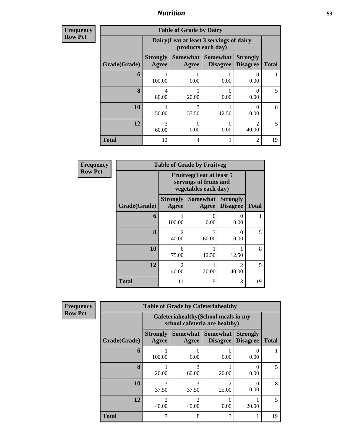| <b>Frequency</b><br>Row Pct |
|-----------------------------|
|                             |

| <b>Table of Grade by Dairy</b> |                          |                                                                                                          |           |                           |    |  |  |  |  |
|--------------------------------|--------------------------|----------------------------------------------------------------------------------------------------------|-----------|---------------------------|----|--|--|--|--|
|                                |                          | Dairy (I eat at least 3 servings of dairy<br>products each day)                                          |           |                           |    |  |  |  |  |
| Grade(Grade)                   | <b>Strongly</b><br>Agree | Somewhat  <br>Somewhat<br><b>Strongly</b><br><b>Disagree</b><br><b>Total</b><br><b>Disagree</b><br>Agree |           |                           |    |  |  |  |  |
| 6                              | 100.00                   | 0.00                                                                                                     | 0.00      | 0<br>0.00                 |    |  |  |  |  |
| 8                              | 4<br>80.00               | 20.00                                                                                                    | 0.00      | $\mathbf{\Omega}$<br>0.00 | 5  |  |  |  |  |
| <b>10</b>                      | 4<br>50.00               | 3<br>37.50                                                                                               | 12.50     | $\mathbf{\Omega}$<br>0.00 | 8  |  |  |  |  |
| 12                             | 3<br>60.00               | 0.00                                                                                                     | 0<br>0.00 | $\mathcal{D}$<br>40.00    |    |  |  |  |  |
| <b>Total</b>                   | 12                       | 4                                                                                                        |           | $\mathfrak{D}$            | 19 |  |  |  |  |

| <b>Frequency</b> |              |                                                                                                                                                                          | <b>Table of Grade by Fruitveg</b>                                           |                                    |              |  |  |
|------------------|--------------|--------------------------------------------------------------------------------------------------------------------------------------------------------------------------|-----------------------------------------------------------------------------|------------------------------------|--------------|--|--|
| <b>Row Pct</b>   |              |                                                                                                                                                                          | Fruitveg(I eat at least 5<br>servings of fruits and<br>vegetables each day) |                                    |              |  |  |
|                  | Grade(Grade) | <b>Strongly</b><br><b>Agree</b>                                                                                                                                          | <b>Somewhat</b><br>Agree                                                    | <b>Strongly</b><br><b>Disagree</b> | <b>Total</b> |  |  |
|                  | 6            | 100.00                                                                                                                                                                   | 0<br>0.00                                                                   | $\Omega$<br>0.00                   |              |  |  |
|                  | $\mathbf{8}$ | $\mathcal{D}_{\mathcal{A}}^{\mathcal{A}}(\mathcal{A})=\mathcal{D}_{\mathcal{A}}^{\mathcal{A}}(\mathcal{A})\mathcal{D}_{\mathcal{A}}^{\mathcal{A}}(\mathcal{A})$<br>40.00 | 3<br>60.00                                                                  | 0<br>0.00                          | 5            |  |  |
|                  | 10           | 6<br>75.00                                                                                                                                                               | 12.50                                                                       | 12.50                              | 8            |  |  |
|                  | 12           | $\mathfrak{D}$<br>40.00                                                                                                                                                  | 20.00                                                                       | $\mathfrak{D}$<br>40.00            | 5            |  |  |
|                  | <b>Total</b> | 11                                                                                                                                                                       | 5                                                                           | 3                                  | 19           |  |  |

| <b>ncy</b> | <b>Table of Grade by Cafeteriahealthy</b> |                          |                                                                       |                                      |                                    |              |  |  |  |  |
|------------|-------------------------------------------|--------------------------|-----------------------------------------------------------------------|--------------------------------------|------------------------------------|--------------|--|--|--|--|
|            |                                           |                          | Cafeteriahealthy (School meals in my<br>school cafeteria are healthy) |                                      |                                    |              |  |  |  |  |
|            | Grade(Grade)                              | <b>Strongly</b><br>Agree | Agree                                                                 | Somewhat Somewhat<br><b>Disagree</b> | <b>Strongly</b><br><b>Disagree</b> | <b>Total</b> |  |  |  |  |
|            | 6                                         | 100.00                   | 0.00                                                                  | 0.00                                 | $\mathbf{\Omega}$<br>0.00          |              |  |  |  |  |
|            | 8                                         | 20.00                    | 3<br>60.00                                                            | 20.00                                | $\Omega$<br>0.00                   | 5            |  |  |  |  |
|            | 10                                        | 3<br>37.50               | 3<br>37.50                                                            | $\mathfrak{D}$<br>25.00              | 0<br>0.00                          | 8            |  |  |  |  |
|            | 12                                        | $\mathfrak{D}$<br>40.00  | $\mathcal{D}_{\mathcal{L}}$<br>40.00                                  | 0.00                                 | 20.00                              | 5            |  |  |  |  |
|            | <b>Total</b>                              | 7                        | 8                                                                     | 3                                    |                                    | 19           |  |  |  |  |

**Frequency Row Pct**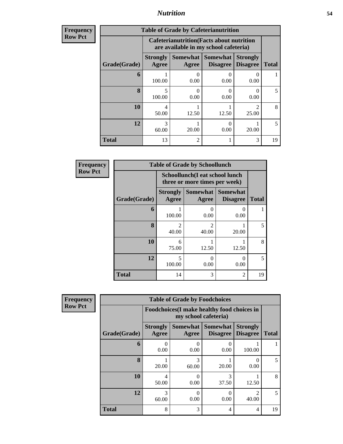| <b>Frequency</b> | <b>Table of Grade by Cafeterianutrition</b> |                                                                                           |                |                                        |                                    |              |  |  |  |  |
|------------------|---------------------------------------------|-------------------------------------------------------------------------------------------|----------------|----------------------------------------|------------------------------------|--------------|--|--|--|--|
| <b>Row Pct</b>   |                                             | <b>Cafeterianutrition</b> (Facts about nutrition<br>are available in my school cafeteria) |                |                                        |                                    |              |  |  |  |  |
|                  | Grade(Grade)                                | <b>Strongly</b><br>Agree                                                                  | Agree          | Somewhat   Somewhat<br><b>Disagree</b> | <b>Strongly</b><br><b>Disagree</b> | <b>Total</b> |  |  |  |  |
|                  | 6                                           | 100.00                                                                                    | 0<br>0.00      | 0.00                                   | 0<br>0.00                          |              |  |  |  |  |
|                  | 8                                           | 100.00                                                                                    | 0<br>0.00      | 0.00                                   | $\Omega$<br>0.00                   | 5            |  |  |  |  |
|                  | 10                                          | 4<br>50.00                                                                                | 12.50          | 12.50                                  | っ<br>25.00                         | 8            |  |  |  |  |
|                  | 12                                          | 3<br>60.00                                                                                | 20.00          | 0.00                                   | 20.00                              | 5            |  |  |  |  |
|                  | <b>Total</b>                                | 13                                                                                        | $\overline{2}$ |                                        | 3                                  | 19           |  |  |  |  |

| <b>Frequency</b> | <b>Table of Grade by Schoollunch</b> |                                                                 |                                                                                                                                                                          |                                        |              |  |  |
|------------------|--------------------------------------|-----------------------------------------------------------------|--------------------------------------------------------------------------------------------------------------------------------------------------------------------------|----------------------------------------|--------------|--|--|
| <b>Row Pct</b>   |                                      | Schoollunch(I eat school lunch<br>three or more times per week) |                                                                                                                                                                          |                                        |              |  |  |
|                  | Grade(Grade)                         | <b>Strongly</b><br>Agree                                        | Agree                                                                                                                                                                    | Somewhat   Somewhat<br><b>Disagree</b> | <b>Total</b> |  |  |
|                  | 6                                    | 100.00                                                          | 0.00                                                                                                                                                                     | 0<br>0.00                              |              |  |  |
|                  | 8                                    | $\mathfrak{D}$<br>40.00                                         | $\mathcal{D}_{\mathcal{A}}^{\mathcal{A}}(\mathcal{A})=\mathcal{D}_{\mathcal{A}}^{\mathcal{A}}(\mathcal{A})\mathcal{D}_{\mathcal{A}}^{\mathcal{A}}(\mathcal{A})$<br>40.00 | 20.00                                  | 5            |  |  |
|                  | 10                                   | 6<br>75.00                                                      | 12.50                                                                                                                                                                    | 12.50                                  | 8            |  |  |
|                  | 12                                   | $\overline{\phantom{0}}$<br>100.00                              | 0.00                                                                                                                                                                     | 0<br>0.00                              | 5            |  |  |
|                  | <b>Total</b>                         | 14                                                              | 3                                                                                                                                                                        | 2                                      | 19           |  |  |

| Frequency      | <b>Table of Grade by Foodchoices</b> |                          |                                                                     |                                    |                                    |              |  |  |  |
|----------------|--------------------------------------|--------------------------|---------------------------------------------------------------------|------------------------------------|------------------------------------|--------------|--|--|--|
| <b>Row Pct</b> |                                      |                          | Foodchoices (I make healthy food choices in<br>my school cafeteria) |                                    |                                    |              |  |  |  |
|                | Grade(Grade)                         | <b>Strongly</b><br>Agree | <b>Somewhat</b><br>Agree                                            | <b>Somewhat</b><br><b>Disagree</b> | <b>Strongly</b><br><b>Disagree</b> | <b>Total</b> |  |  |  |
|                | 6                                    | $\theta$<br>0.00         | 0<br>0.00                                                           | 0.00                               | 100.00                             |              |  |  |  |
|                | 8                                    | 20.00                    | 3<br>60.00                                                          | 20.00                              | 0.00                               | 5            |  |  |  |
|                | 10                                   | 4<br>50.00               | 0<br>0.00                                                           | 3<br>37.50                         | 12.50                              | 8            |  |  |  |
|                | 12                                   | 3<br>60.00               | 0<br>0.00                                                           | 0.00                               | $\mathfrak{D}$<br>40.00            | 5            |  |  |  |
|                | <b>Total</b>                         | 8                        | 3                                                                   | 4                                  | 4                                  | 19           |  |  |  |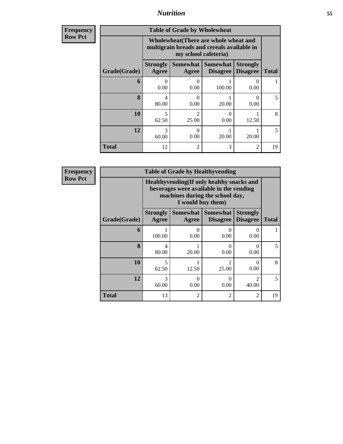| <b>Frequency</b><br>Row Pct |
|-----------------------------|
|                             |

| <b>Table of Grade by Wholewheat</b> |                                           |                                                                                                             |                                               |                                    |              |  |  |  |  |
|-------------------------------------|-------------------------------------------|-------------------------------------------------------------------------------------------------------------|-----------------------------------------------|------------------------------------|--------------|--|--|--|--|
|                                     |                                           | Wholewheat (There are whole wheat and<br>multigrain breads and cereals available in<br>my school cafeteria) |                                               |                                    |              |  |  |  |  |
| Grade(Grade)                        | <b>Strongly</b><br>Agree                  | Agree                                                                                                       | <b>Somewhat   Somewhat</b><br><b>Disagree</b> | <b>Strongly</b><br><b>Disagree</b> | <b>Total</b> |  |  |  |  |
| 6                                   | 0<br>0.00                                 | ∩<br>0.00                                                                                                   | 100.00                                        | 0.00                               |              |  |  |  |  |
| 8                                   | 4<br>80.00                                | ∩<br>0.00                                                                                                   | 20.00                                         | 0<br>0.00                          | 5            |  |  |  |  |
| <b>10</b>                           | 5<br>62.50                                | $\mathfrak{D}$<br>25.00                                                                                     | 0<br>0.00                                     | 12.50                              | 8            |  |  |  |  |
| 12                                  | 3<br>∩<br>60.00<br>20.00<br>0.00<br>20.00 |                                                                                                             |                                               |                                    |              |  |  |  |  |
| <b>Total</b>                        | 12                                        | $\overline{c}$                                                                                              | 3                                             | 2                                  | 19           |  |  |  |  |

**Frequency Row Pct**

| <b>Table of Grade by Healthyvending</b> |                                                                                                                                               |       |                                        |                                    |              |  |  |  |  |
|-----------------------------------------|-----------------------------------------------------------------------------------------------------------------------------------------------|-------|----------------------------------------|------------------------------------|--------------|--|--|--|--|
|                                         | Healthyvending (If only healthy snacks and<br>beverages were available in the vending<br>machines during the school day,<br>I would buy them) |       |                                        |                                    |              |  |  |  |  |
| Grade(Grade)                            | <b>Strongly</b><br>Agree                                                                                                                      | Agree | Somewhat   Somewhat<br><b>Disagree</b> | <b>Strongly</b><br><b>Disagree</b> | <b>Total</b> |  |  |  |  |
| 6                                       | 100.00                                                                                                                                        | 0.00  | 0<br>0.00                              | 0.00                               |              |  |  |  |  |
| $\mathbf{R}$                            | 4<br>80.00                                                                                                                                    | 20.00 | ∩<br>0.00                              | $\mathbf{\Omega}$<br>0.00          | 5            |  |  |  |  |
| 10                                      | 5<br>62.50                                                                                                                                    | 12.50 | $\mathfrak{D}$<br>25.00                | 0.00                               | 8            |  |  |  |  |
| 12                                      | 3<br>$\mathcal{D}$<br>0<br>0.00<br>0.00<br>60.00<br>40.00                                                                                     |       |                                        |                                    |              |  |  |  |  |
| <b>Total</b>                            | 13                                                                                                                                            | 2     | $\overline{2}$                         | $\mathfrak{D}$                     | 19           |  |  |  |  |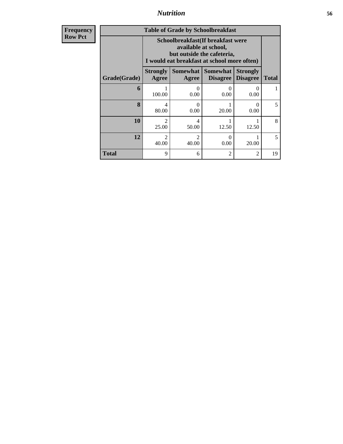**Frequency Row Pct**

| <b>Table of Grade by Schoolbreakfast</b> |                                                                                                                                         |                           |                                        |                                    |              |  |  |  |  |
|------------------------------------------|-----------------------------------------------------------------------------------------------------------------------------------------|---------------------------|----------------------------------------|------------------------------------|--------------|--|--|--|--|
|                                          | Schoolbreakfast (If breakfast were<br>available at school,<br>but outside the cafeteria,<br>I would eat breakfast at school more often) |                           |                                        |                                    |              |  |  |  |  |
| Grade(Grade)                             | <b>Strongly</b><br>Agree                                                                                                                | Agree                     | Somewhat   Somewhat<br><b>Disagree</b> | <b>Strongly</b><br><b>Disagree</b> | <b>Total</b> |  |  |  |  |
| 6                                        | 100.00                                                                                                                                  | $\mathbf{\Omega}$<br>0.00 | 0.00                                   | $\mathbf{\Omega}$<br>0.00          |              |  |  |  |  |
| 8                                        | 4<br>80.00                                                                                                                              | ∩<br>0.00                 | 20.00                                  | $\Omega$<br>0.00                   | 5            |  |  |  |  |
| 10                                       | $\mathfrak{D}$<br>25.00                                                                                                                 | 4<br>50.00                | 12.50                                  | 12.50                              | 8            |  |  |  |  |
| 12                                       | $\mathcal{D}_{\mathcal{L}}$<br>2<br>$\Omega$<br>0.00<br>20.00<br>40.00<br>40.00                                                         |                           |                                        |                                    |              |  |  |  |  |
| Total                                    | 9                                                                                                                                       | 6                         | $\overline{2}$                         | $\mathfrak{D}$                     | 19           |  |  |  |  |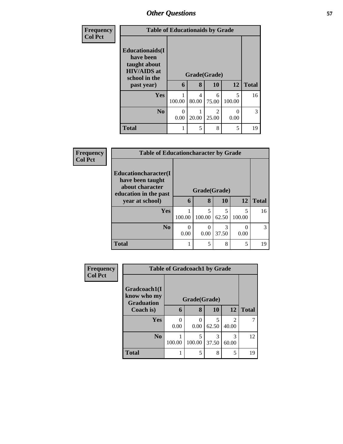| <b>Frequency</b><br><b>Col Pct</b> | <b>Table of Educationaids by Grade</b>                                                      |           |              |                                      |             |              |  |
|------------------------------------|---------------------------------------------------------------------------------------------|-----------|--------------|--------------------------------------|-------------|--------------|--|
|                                    | <b>Educationaids</b> (I<br>have been<br>taught about<br><b>HIV/AIDS</b> at<br>school in the |           | Grade(Grade) |                                      |             |              |  |
|                                    | past year)                                                                                  | 6         | 8            | 10                                   | 12          | <b>Total</b> |  |
|                                    | <b>Yes</b>                                                                                  | 100.00    | 4<br>80.00   | 6<br>75.00                           | 5<br>100.00 | 16           |  |
|                                    | N <sub>0</sub>                                                                              | 0<br>0.00 | 20.00        | $\mathcal{D}_{\mathcal{L}}$<br>25.00 | 0<br>0.00   | 3            |  |
|                                    | <b>Total</b>                                                                                |           | 5            | 8                                    | 5           | 19           |  |

| <b>Frequency</b> | <b>Table of Educationcharacter by Grade</b>                                          |                  |             |            |             |               |  |
|------------------|--------------------------------------------------------------------------------------|------------------|-------------|------------|-------------|---------------|--|
| <b>Col Pct</b>   | Educationcharacter(I<br>have been taught<br>about character<br>education in the past | Grade(Grade)     |             |            |             |               |  |
|                  | year at school)                                                                      | 6                | 8           | 10         | 12          | <b>Total</b>  |  |
|                  | Yes                                                                                  | 100.00           | 5<br>100.00 | 5<br>62.50 | 5<br>100.00 | 16            |  |
|                  | N <sub>o</sub>                                                                       | $\Omega$<br>0.00 | 0<br>0.00   | 3<br>37.50 | O<br>0.00   | $\mathcal{R}$ |  |
|                  | <b>Total</b>                                                                         |                  | 5           | 8          | 5           | 19            |  |

| <b>Frequency</b> |                                                  | <b>Table of Gradcoach1 by Grade</b> |              |            |                         |              |  |
|------------------|--------------------------------------------------|-------------------------------------|--------------|------------|-------------------------|--------------|--|
| <b>Col Pct</b>   | Gradcoach1(I<br>know who my<br><b>Graduation</b> |                                     | Grade(Grade) |            |                         |              |  |
|                  | Coach is)                                        | 6                                   | 8            | <b>10</b>  | 12                      | <b>Total</b> |  |
|                  | Yes                                              | ∩<br>0.00                           | 0<br>0.00    | 5<br>62.50 | $\mathfrak{D}$<br>40.00 | ℸ            |  |
|                  | N <sub>0</sub>                                   | 100.00                              | 5<br>100.00  | 3<br>37.50 | 3<br>60.00              | 12           |  |
|                  | <b>Total</b>                                     |                                     | 5            | 8          | 5                       | 19           |  |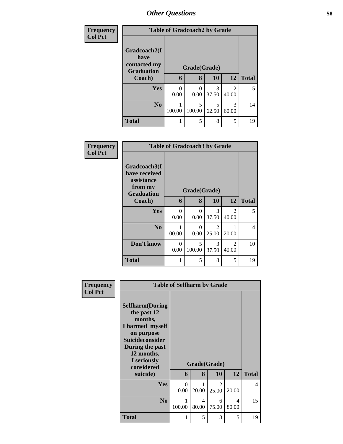| <b>Frequency</b> |                                                           | <b>Table of Gradcoach2 by Grade</b> |             |            |                        |              |  |  |  |
|------------------|-----------------------------------------------------------|-------------------------------------|-------------|------------|------------------------|--------------|--|--|--|
| <b>Col Pct</b>   | Gradcoach2(I<br>have<br>contacted my<br><b>Graduation</b> | Grade(Grade)                        |             |            |                        |              |  |  |  |
|                  | Coach)                                                    | 6                                   | 8           | 10         | 12                     | <b>Total</b> |  |  |  |
|                  | <b>Yes</b>                                                | 0<br>0.00                           | 0.00        | 3<br>37.50 | $\mathcal{D}$<br>40.00 | 5            |  |  |  |
|                  | N <sub>0</sub>                                            | 100.00                              | 5<br>100.00 | 5<br>62.50 | 3<br>60.00             | 14           |  |  |  |
|                  | <b>Total</b>                                              |                                     | 5           | 8          | 5                      | 19           |  |  |  |

| <b>Frequency</b> |                                                                             |                  | <b>Table of Gradcoach3 by Grade</b> |                         |                                      |                |
|------------------|-----------------------------------------------------------------------------|------------------|-------------------------------------|-------------------------|--------------------------------------|----------------|
| <b>Col Pct</b>   | Gradcoach3(I<br>have received<br>assistance<br>from my<br><b>Graduation</b> |                  | Grade(Grade)                        |                         |                                      |                |
|                  | Coach)                                                                      | 6                | 8                                   | 10                      | 12                                   | <b>Total</b>   |
|                  | Yes                                                                         | $\Omega$<br>0.00 | $\Omega$<br>0.00                    | 3<br>37.50              | $\mathcal{D}_{\mathcal{A}}$<br>40.00 | 5              |
|                  | N <sub>0</sub>                                                              | 100.00           | $\theta$<br>0.00                    | $\mathfrak{D}$<br>25.00 | 20.00                                | $\overline{4}$ |
|                  | Don't know                                                                  | $\Omega$<br>0.00 | 5<br>100.00                         | 3<br>37.50              | $\mathcal{D}_{\mathcal{A}}$<br>40.00 | 10             |
|                  | <b>Total</b>                                                                |                  | 5                                   | 8                       | 5                                    | 19             |

| Frequency      |                                                                                                                                                       | <b>Table of Selfharm by Grade</b> |                                   |                         |            |                          |
|----------------|-------------------------------------------------------------------------------------------------------------------------------------------------------|-----------------------------------|-----------------------------------|-------------------------|------------|--------------------------|
| <b>Col Pct</b> | <b>Selfharm</b> (During<br>the past 12<br>months,<br>I harmed myself<br>on purpose<br>Suicideconsider<br>During the past<br>12 months,<br>I seriously |                                   |                                   |                         |            |                          |
|                | considered                                                                                                                                            | Grade(Grade)                      |                                   |                         |            |                          |
|                | suicide)                                                                                                                                              | 6                                 | 8                                 | 10                      | 12         | <b>Total</b>             |
|                | Yes                                                                                                                                                   | $\Omega$<br>0.00                  | 20.00                             | $\mathfrak{D}$<br>25.00 | 20.00      | $\overline{\mathcal{A}}$ |
|                | N <sub>0</sub>                                                                                                                                        | 1<br>100.00                       | $\overline{\mathcal{A}}$<br>80.00 | 6<br>75.00              | 4<br>80.00 | 15                       |
|                | <b>Total</b>                                                                                                                                          | 1                                 | 5                                 | 8                       | 5          | 19                       |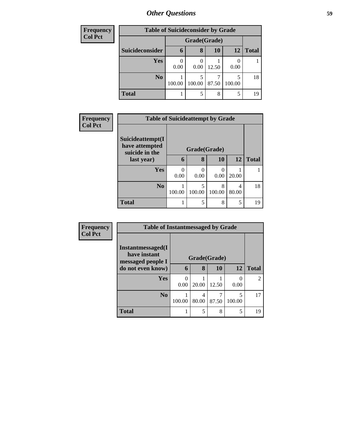| <b>Frequency</b> | <b>Table of Suicideconsider by Grade</b> |        |              |       |             |              |  |
|------------------|------------------------------------------|--------|--------------|-------|-------------|--------------|--|
| <b>Col Pct</b>   |                                          |        | Grade(Grade) |       |             |              |  |
|                  | Suicideconsider                          | 6      | 8            | 10    | 12          | <b>Total</b> |  |
|                  | Yes                                      | 0.00   | 0.00         | 12.50 | 0.00        |              |  |
|                  | N <sub>0</sub>                           | 100.00 | 100.00       | 87.50 | 5<br>100.00 | 18           |  |
|                  | <b>Total</b>                             |        | 5            | 8     | 5           | 19           |  |

| Frequency<br><b>Col Pct</b> |                                                      | <b>Table of Suicideattempt by Grade</b> |                  |             |            |              |  |  |
|-----------------------------|------------------------------------------------------|-----------------------------------------|------------------|-------------|------------|--------------|--|--|
|                             | Suicideattempt(I<br>have attempted<br>suicide in the |                                         | Grade(Grade)     |             |            |              |  |  |
|                             | last year)                                           | 6                                       | 8                | 10          | 12         | <b>Total</b> |  |  |
|                             | Yes                                                  | 0.00                                    | $\Omega$<br>0.00 | 0<br>0.00   | 20.00      |              |  |  |
|                             | N <sub>o</sub>                                       | 100.00                                  | 100.00           | 8<br>100.00 | 4<br>80.00 | 18           |  |  |
|                             | <b>Total</b>                                         |                                         | 5                | 8           | 5          | 19           |  |  |

| Frequency<br><b>Col Pct</b> | <b>Table of Instantmessaged by Grade</b>               |        |              |       |                           |                |  |  |
|-----------------------------|--------------------------------------------------------|--------|--------------|-------|---------------------------|----------------|--|--|
|                             | Instantmessaged(I<br>have instant<br>messaged people I |        | Grade(Grade) |       |                           |                |  |  |
| do not even know)           | 6                                                      | 8      | <b>10</b>    | 12    | <b>Total</b>              |                |  |  |
|                             | Yes                                                    | 0.00   | 20.00        | 12.50 | $\mathbf{\Omega}$<br>0.00 | $\overline{2}$ |  |  |
|                             | N <sub>0</sub>                                         | 100.00 | 4<br>80.00   | 87.50 | 5<br>100.00               | 17             |  |  |
|                             | <b>Total</b>                                           |        | 5            | 8     | 5                         | 19             |  |  |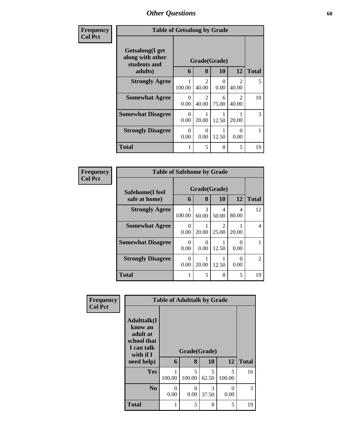| <b>Frequency</b> | <b>Table of Getsalong by Grade</b>                  |                  |                                      |                  |                                      |              |
|------------------|-----------------------------------------------------|------------------|--------------------------------------|------------------|--------------------------------------|--------------|
| <b>Col Pct</b>   | Getsalong(I get<br>along with other<br>students and |                  | Grade(Grade)<br>8                    | 10               | 12                                   | <b>Total</b> |
|                  | adults)                                             | 6                |                                      |                  |                                      |              |
|                  | <b>Strongly Agree</b>                               | 100.00           | $\mathfrak{D}$<br>40.00              | $\Omega$<br>0.00 | $\mathfrak{D}$<br>40.00              | 5            |
|                  | <b>Somewhat Agree</b>                               | $\Omega$<br>0.00 | $\mathcal{D}_{\mathcal{L}}$<br>40.00 | 6<br>75.00       | $\mathcal{D}_{\mathcal{A}}$<br>40.00 | 10           |
|                  | <b>Somewhat Disagree</b>                            | $\Omega$<br>0.00 | 20.00                                | 12.50            | 20.00                                | 3            |
|                  | <b>Strongly Disagree</b>                            | $\Omega$<br>0.00 | $\theta$<br>0.00                     | 12.50            | $\mathbf{O}$<br>0.00                 | 1            |
|                  | Total                                               |                  | 5                                    | 8                | 5                                    | 19           |

| Frequency      |                          | <b>Table of Safehome by Grade</b> |            |                        |            |                |  |  |  |
|----------------|--------------------------|-----------------------------------|------------|------------------------|------------|----------------|--|--|--|
| <b>Col Pct</b> | Safehome(I feel          | Grade(Grade)                      |            |                        |            |                |  |  |  |
|                | safe at home)            | 6                                 | 8          | <b>10</b>              | 12         | <b>Total</b>   |  |  |  |
|                | <b>Strongly Agree</b>    | 100.00                            | 3<br>60.00 | 4<br>50.00             | 4<br>80.00 | 12             |  |  |  |
|                | <b>Somewhat Agree</b>    | 0<br>0.00                         | 20.00      | $\mathcal{D}$<br>25.00 | 20.00      | 4              |  |  |  |
|                | <b>Somewhat Disagree</b> | 0<br>0.00                         | 0.00       | 12.50                  | ∩<br>0.00  |                |  |  |  |
|                | <b>Strongly Disagree</b> | 0.00                              | 20.00      | 12.50                  | 0<br>0.00  | $\mathfrak{D}$ |  |  |  |
|                | <b>Total</b>             | 1                                 | 5          | 8                      | 5          | 19             |  |  |  |

| Frequency      |                                                                                                     |           | <b>Table of Adulttalk by Grade</b> |            |                  |              |
|----------------|-----------------------------------------------------------------------------------------------------|-----------|------------------------------------|------------|------------------|--------------|
| <b>Col Pct</b> | <b>Adulttalk(I</b><br>know an<br>adult at<br>school that<br>I can talk<br>with if $I$<br>need help) | 6         | Grade(Grade)<br>8                  | 10         | 12               | <b>Total</b> |
|                | <b>Yes</b>                                                                                          | 100.00    | 5<br>100.00                        | 5<br>62.50 | 5<br>100.00      | 16           |
|                | N <sub>0</sub>                                                                                      | 0<br>0.00 | $\Omega$<br>0.00                   | 3<br>37.50 | $\Omega$<br>0.00 | 3            |
|                | <b>Total</b>                                                                                        |           | 5                                  | 8          | 5                | 19           |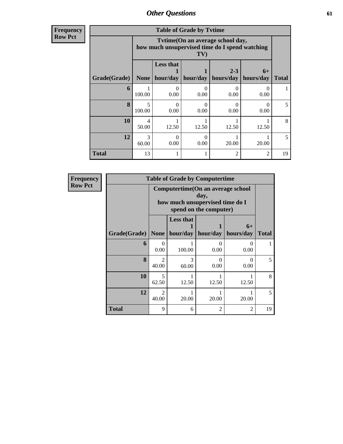**Frequency Row Pct**

| <b>Table of Grade by Tvtime</b> |             |                                                                                          |           |                      |                   |              |  |  |  |
|---------------------------------|-------------|------------------------------------------------------------------------------------------|-----------|----------------------|-------------------|--------------|--|--|--|
|                                 |             | Tvtime(On an average school day,<br>how much unsupervised time do I spend watching<br>TV |           |                      |                   |              |  |  |  |
| Grade(Grade)                    | None        | <b>Less that</b><br>hour/day                                                             | hour/day  | $2 - 3$<br>hours/day | $6+$<br>hours/day | <b>Total</b> |  |  |  |
| 6                               | 100.00      | $\mathbf{0}$<br>0.00                                                                     | 0<br>0.00 | 0.00                 | ∩<br>0.00         |              |  |  |  |
| 8                               | 5<br>100.00 | 0<br>0.00                                                                                | 0<br>0.00 | 0.00                 | ∩<br>0.00         | 5            |  |  |  |
| 10                              | 4<br>50.00  | 12.50                                                                                    | 12.50     | 12.50                | 12.50             | 8            |  |  |  |
| 12                              | 3<br>60.00  | 0<br>0.00                                                                                | 0<br>0.00 | 20.00                | 20.00             | 5            |  |  |  |
| <b>Total</b>                    | 13          |                                                                                          |           | $\overline{c}$       | $\overline{c}$    | 19           |  |  |  |

| <b>Frequency</b> |              |                                      |                                                                                                        | <b>Table of Grade by Computertime</b> |                   |                          |  |  |
|------------------|--------------|--------------------------------------|--------------------------------------------------------------------------------------------------------|---------------------------------------|-------------------|--------------------------|--|--|
| <b>Row Pct</b>   |              |                                      | Computertime(On an average school<br>day,<br>how much unsupervised time do I<br>spend on the computer) |                                       |                   |                          |  |  |
|                  | Grade(Grade) |                                      | <b>Less that</b><br>None   hour/day                                                                    | hour/day                              | $6+$<br>hours/day | <b>Total</b>             |  |  |
|                  | 6            | $\Omega$<br>0.00                     | 100.00                                                                                                 | $\theta$<br>0.00                      | 0<br>0.00         |                          |  |  |
|                  | $\mathbf{R}$ | $\mathcal{D}_{\mathcal{A}}$<br>40.00 | 3<br>60.00                                                                                             | ∩<br>0.00                             | 0<br>0.00         | $\overline{\phantom{0}}$ |  |  |
|                  | 10           | 5<br>62.50                           | 12.50                                                                                                  | 12.50                                 | 12.50             | 8                        |  |  |
|                  | 12           | $\mathfrak{D}$<br>40.00              | 20.00                                                                                                  | 20.00                                 | 20.00             | $\overline{\mathbf{z}}$  |  |  |
|                  | <b>Total</b> | 9                                    | 6                                                                                                      | $\mathfrak{D}$                        | $\overline{c}$    | 19                       |  |  |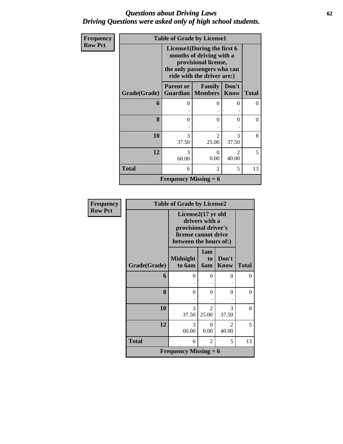### *Questions about Driving Laws* **62** *Driving Questions were asked only of high school students.*

| Frequency      |              | <b>Table of Grade by License1</b>                                                                                                            |                                       |                      |              |
|----------------|--------------|----------------------------------------------------------------------------------------------------------------------------------------------|---------------------------------------|----------------------|--------------|
| <b>Row Pct</b> |              | License1(During the first 6<br>months of driving with a<br>provisional license,<br>the only passengers who can<br>ride with the driver are:) |                                       |                      |              |
|                | Grade(Grade) | <b>Parent or</b>                                                                                                                             | Family<br><b>Guardian   Members  </b> | Don't<br><b>Know</b> | <b>Total</b> |
|                | 6            | 0                                                                                                                                            | 0                                     | 0                    | 0            |
|                | 8            | $\Omega$                                                                                                                                     | 0                                     | $\Omega$             | $\Omega$     |
|                | 10           | 3<br>37.50                                                                                                                                   | $\mathfrak{D}$<br>25.00               | 3<br>37.50           | 8            |
|                | 12           | 3<br>60.00                                                                                                                                   | $\theta$<br>0.00                      | 40.00                | 5            |
|                | <b>Total</b> | 6                                                                                                                                            | 2                                     | 5                    | 13           |
|                |              | <b>Frequency Missing = 6</b>                                                                                                                 |                                       |                      |              |

| Frequency      |              | <b>Table of Grade by License2</b>                                                                              |                         |                         |              |  |
|----------------|--------------|----------------------------------------------------------------------------------------------------------------|-------------------------|-------------------------|--------------|--|
| <b>Row Pct</b> |              | License2(17 yr old<br>drivers with a<br>provisional driver's<br>license cannot drive<br>between the hours of:) |                         |                         |              |  |
|                | Grade(Grade) | <b>Midnight</b><br>to 6am                                                                                      | 1am<br>to<br><b>6am</b> | Don't<br><b>Know</b>    | <b>Total</b> |  |
|                | 6            | $\theta$                                                                                                       | $\Omega$                | 0                       | $\Omega$     |  |
|                | 8            | $\Omega$                                                                                                       | $\Omega$                | $\theta$                | $\Omega$     |  |
|                | 10           | 3<br>37.50                                                                                                     | $\mathfrak{D}$<br>25.00 | 3<br>37.50              | 8            |  |
|                | 12           | 3<br>60.00                                                                                                     | 0<br>0.00               | $\overline{c}$<br>40.00 | 5            |  |
|                | <b>Total</b> | 6                                                                                                              | 2                       | 5                       | 13           |  |
|                |              | <b>Frequency Missing = 6</b>                                                                                   |                         |                         |              |  |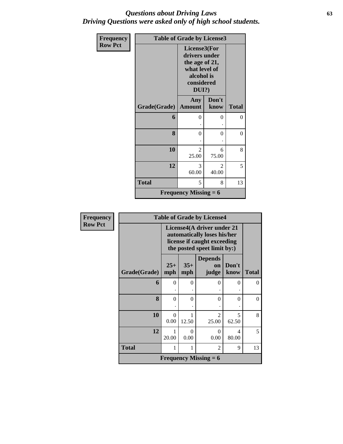### *Questions about Driving Laws* **63** *Driving Questions were asked only of high school students.*

| Frequency      | <b>Table of Grade by License3</b> |                                                                                                          |                         |              |  |  |
|----------------|-----------------------------------|----------------------------------------------------------------------------------------------------------|-------------------------|--------------|--|--|
| <b>Row Pct</b> |                                   | License3(For<br>drivers under<br>the age of 21,<br>what level of<br>alcohol is<br>considered<br>$DUI$ ?) |                         |              |  |  |
|                | Grade(Grade)                      | Any<br><b>Amount</b>                                                                                     | Don't<br>know           | <b>Total</b> |  |  |
|                | 6                                 | $\theta$                                                                                                 | 0                       | $\theta$     |  |  |
|                | 8                                 | $\overline{0}$                                                                                           | 0                       | $\theta$     |  |  |
|                | 10                                | $\mathfrak{D}$<br>25.00                                                                                  | 6<br>75.00              | 8            |  |  |
|                | 12                                | 3<br>60.00                                                                                               | $\mathfrak{D}$<br>40.00 | 5            |  |  |
|                | <b>Total</b>                      | 5                                                                                                        | 8                       | 13           |  |  |
|                |                                   | <b>Frequency Missing = 6</b>                                                                             |                         |              |  |  |

| Frequency      | <b>Table of Grade by License4</b> |                  |                                                                                                                         |                               |               |              |  |
|----------------|-----------------------------------|------------------|-------------------------------------------------------------------------------------------------------------------------|-------------------------------|---------------|--------------|--|
| <b>Row Pct</b> |                                   |                  | License4(A driver under 21<br>automatically loses his/her<br>license if caught exceeding<br>the posted speet limit by:) |                               |               |              |  |
|                | Grade(Grade)                      | $25+$<br>mph     | $35+$<br>mph                                                                                                            | <b>Depends</b><br>on<br>judge | Don't<br>know | <b>Total</b> |  |
|                | 6                                 | $\theta$         | $\Omega$                                                                                                                | $\Omega$                      | $\Omega$      | $\Omega$     |  |
|                | 8                                 | $\theta$         | 0                                                                                                                       | $\Omega$                      | $\Omega$      | $\Omega$     |  |
|                | 10                                | $\Omega$<br>0.00 | 12.50                                                                                                                   | $\mathfrak{D}$<br>25.00       | 5<br>62.50    | 8            |  |
|                | 12                                | 20.00            | $\Omega$<br>0.00                                                                                                        | $\Omega$<br>0.00              | 4<br>80.00    | 5            |  |
|                | <b>Total</b>                      | 1                |                                                                                                                         | $\overline{2}$                | 9             | 13           |  |
|                |                                   |                  |                                                                                                                         | <b>Frequency Missing = 6</b>  |               |              |  |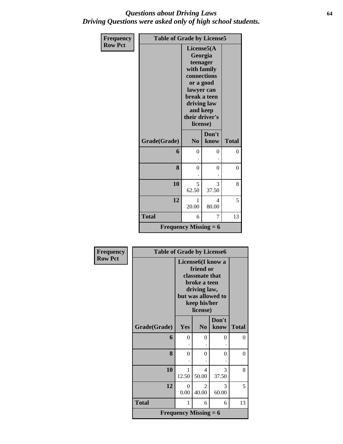### *Questions about Driving Laws* **64** *Driving Questions were asked only of high school students.*

| Frequency      | <b>Table of Grade by License5</b>         |                                                                                                                                             |                      |              |  |
|----------------|-------------------------------------------|---------------------------------------------------------------------------------------------------------------------------------------------|----------------------|--------------|--|
| <b>Row Pct</b> |                                           | License5(A<br>teenager<br>with family<br>connections<br>lawyer can<br>break a teen<br>driving law<br>and keep<br>their driver's<br>license) | Georgia<br>or a good |              |  |
|                | Grade(Grade)                              | N <sub>o</sub>                                                                                                                              | Don't<br>know        | <b>Total</b> |  |
|                | 6                                         | $\theta$                                                                                                                                    | 0                    | 0            |  |
|                | 8                                         | $\theta$                                                                                                                                    | 0                    | 0            |  |
|                | 10                                        | 5<br>62.50                                                                                                                                  | 3<br>37.50           | 8            |  |
|                | 12                                        | 1<br>20.00                                                                                                                                  | 4<br>80.00           | 5            |  |
|                | <b>Total</b>                              | 6                                                                                                                                           | 7                    | 13           |  |
|                | <b>Frequency Missing = <math>6</math></b> |                                                                                                                                             |                      |              |  |

| <b>Frequency</b> |              | <b>Table of Grade by License6</b>                                                                                                  |                                      |               |              |  |
|------------------|--------------|------------------------------------------------------------------------------------------------------------------------------------|--------------------------------------|---------------|--------------|--|
| <b>Row Pct</b>   |              | License6(I know a<br>friend or<br>classmate that<br>broke a teen<br>driving law,<br>but was allowed to<br>keep his/her<br>license) |                                      |               |              |  |
|                  | Grade(Grade) | Yes                                                                                                                                | N <sub>0</sub>                       | Don't<br>know | <b>Total</b> |  |
|                  | 6            | 0                                                                                                                                  | 0                                    | 0             | 0            |  |
|                  | 8            | 0                                                                                                                                  | $\Omega$                             | 0             | $\theta$     |  |
|                  | 10           | 1<br>12.50                                                                                                                         | $\overline{\mathcal{A}}$<br>50.00    | 3<br>37.50    | 8            |  |
|                  | 12           | $\theta$<br>0.00                                                                                                                   | $\mathcal{D}_{\mathcal{L}}$<br>40.00 | 3<br>60.00    | 5            |  |
|                  | <b>Total</b> | 1                                                                                                                                  | 6                                    | 6             | 13           |  |
|                  |              |                                                                                                                                    | <b>Frequency Missing = 6</b>         |               |              |  |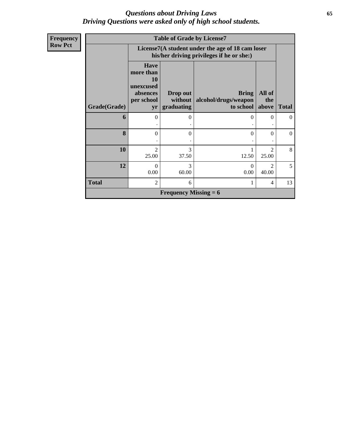### *Questions about Driving Laws* **65** *Driving Questions were asked only of high school students.*

| <b>Frequency</b> |              | <b>Table of Grade by License7</b>                                           |                                   |                                                                                               |                                      |              |  |  |  |
|------------------|--------------|-----------------------------------------------------------------------------|-----------------------------------|-----------------------------------------------------------------------------------------------|--------------------------------------|--------------|--|--|--|
| <b>Row Pct</b>   |              |                                                                             |                                   | License7(A student under the age of 18 cam loser<br>his/her driving privileges if he or she:) |                                      |              |  |  |  |
|                  | Grade(Grade) | <b>Have</b><br>more than<br>10<br>unexcused<br>absences<br>per school<br>yr | Drop out<br>without<br>graduating | <b>Bring</b><br>alcohol/drugs/weapon<br>to school                                             | All of<br>the<br>above               | <b>Total</b> |  |  |  |
|                  |              |                                                                             |                                   |                                                                                               |                                      |              |  |  |  |
|                  | 6            | $\Omega$                                                                    | 0                                 | 0                                                                                             | $\Omega$                             | $\left($     |  |  |  |
|                  | 8            | $\Omega$                                                                    | 0                                 | 0                                                                                             | $\Omega$                             | $\Omega$     |  |  |  |
|                  | 10           | $\mathfrak{D}$<br>25.00                                                     | 3<br>37.50                        | 12.50                                                                                         | $\mathfrak{D}$<br>25.00              | 8            |  |  |  |
|                  | 12           | $\Omega$<br>0.00                                                            | 3<br>60.00                        | $\Omega$<br>0.00                                                                              | $\mathcal{D}_{\mathcal{A}}$<br>40.00 | 5            |  |  |  |
|                  | <b>Total</b> | $\overline{2}$                                                              | 6                                 |                                                                                               | $\overline{4}$                       | 13           |  |  |  |
|                  |              |                                                                             | <b>Frequency Missing = 6</b>      |                                                                                               |                                      |              |  |  |  |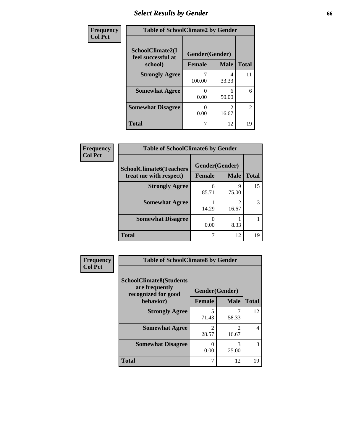## *Select Results by Gender* **66**

| Frequency      | <b>Table of SchoolClimate2 by Gender</b> |                |             |                |  |
|----------------|------------------------------------------|----------------|-------------|----------------|--|
| <b>Col Pct</b> | SchoolClimate2(I<br>feel successful at   | Gender(Gender) |             |                |  |
|                | school)                                  | <b>Female</b>  | <b>Male</b> | <b>Total</b>   |  |
|                | <b>Strongly Agree</b>                    | 100.00         | 4<br>33.33  | 11             |  |
|                | <b>Somewhat Agree</b>                    | 0.00           | 6<br>50.00  | 6              |  |
|                | <b>Somewhat Disagree</b>                 | 0.00           | 16.67       | $\overline{2}$ |  |
|                | <b>Total</b>                             |                | 12          | 19             |  |

| Frequency      | <b>Table of SchoolClimate6 by Gender</b>                 |                          |             |              |  |
|----------------|----------------------------------------------------------|--------------------------|-------------|--------------|--|
| <b>Col Pct</b> | <b>SchoolClimate6(Teachers</b><br>treat me with respect) | Gender(Gender)<br>Female | <b>Male</b> | <b>Total</b> |  |
|                | <b>Strongly Agree</b>                                    | 6<br>85.71               | 9<br>75.00  | 15           |  |
|                | <b>Somewhat Agree</b>                                    | 14.29                    | 16.67       | 3            |  |
|                | <b>Somewhat Disagree</b>                                 | 0<br>0.00                | 8.33        |              |  |
|                | <b>Total</b>                                             | 7                        | 12          | 19           |  |

| Frequency      | <b>Table of SchoolClimate8 by Gender</b>                                             |                                 |                                  |              |  |
|----------------|--------------------------------------------------------------------------------------|---------------------------------|----------------------------------|--------------|--|
| <b>Col Pct</b> | <b>SchoolClimate8(Students</b><br>are frequently<br>recognized for good<br>behavior) | Gender(Gender)<br><b>Female</b> | <b>Male</b>                      | <b>Total</b> |  |
|                | <b>Strongly Agree</b>                                                                | 5                               |                                  | 12           |  |
|                | <b>Somewhat Agree</b>                                                                | 71.43<br>2<br>28.57             | 58.33<br>$\mathfrak{D}$<br>16.67 | 4            |  |
|                | <b>Somewhat Disagree</b>                                                             | 0.00                            | 3<br>25.00                       | 3            |  |
|                | <b>Total</b>                                                                         | 7                               | 12                               | 19           |  |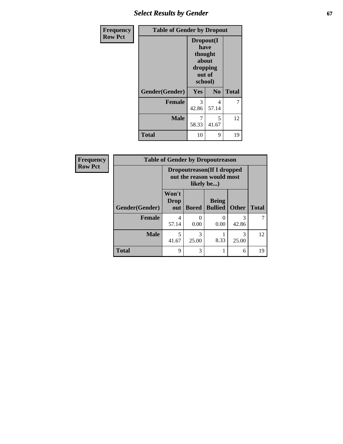## **Select Results by Gender 67**

| Frequency      | <b>Table of Gender by Dropout</b> |                                                                        |                |              |  |
|----------------|-----------------------------------|------------------------------------------------------------------------|----------------|--------------|--|
| <b>Row Pct</b> |                                   | Dropout(I<br>have<br>thought<br>about<br>dropping<br>out of<br>school) |                |              |  |
|                | Gender(Gender)                    | <b>Yes</b>                                                             | N <sub>0</sub> | <b>Total</b> |  |
|                | <b>Female</b>                     | 3<br>42.86                                                             | 4<br>57.14     | 7            |  |
|                | <b>Male</b>                       | 7<br>58.33                                                             | 5<br>41.67     | 12           |  |
|                | <b>Total</b>                      | 10                                                                     | 9              | 19           |  |

| Frequency      | <b>Table of Gender by Dropoutreason</b> |                                                                       |                       |                                |              |              |  |
|----------------|-----------------------------------------|-----------------------------------------------------------------------|-----------------------|--------------------------------|--------------|--------------|--|
| <b>Row Pct</b> |                                         | Dropoutreason(If I dropped<br>out the reason would most<br>likely be) |                       |                                |              |              |  |
|                | Gender(Gender)                          | Won't<br><b>Drop</b><br>out                                           | <b>Bored</b>          | <b>Being</b><br><b>Bullied</b> | <b>Other</b> | <b>Total</b> |  |
|                | <b>Female</b>                           | 4<br>57.14                                                            | $\mathcal{O}$<br>0.00 | $\mathbf{\Omega}$<br>0.00      | 3<br>42.86   |              |  |
|                | <b>Male</b>                             | 5<br>41.67                                                            | 3<br>25.00            | 8.33                           | 3<br>25.00   | 12           |  |
|                | <b>Total</b>                            | 9                                                                     | 3                     |                                | 6            | 19           |  |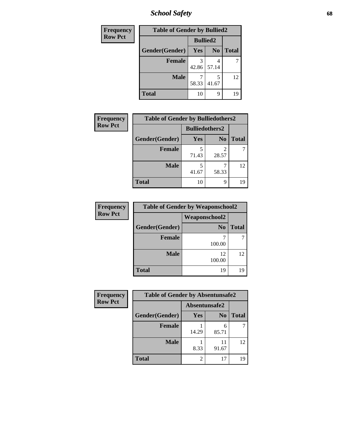*School Safety* **68**

| Frequency      |                | <b>Table of Gender by Bullied2</b> |                 |              |  |
|----------------|----------------|------------------------------------|-----------------|--------------|--|
| <b>Row Pct</b> |                |                                    | <b>Bullied2</b> |              |  |
|                | Gender(Gender) | Yes                                | N <sub>0</sub>  | <b>Total</b> |  |
|                | <b>Female</b>  | 42.86                              | 57.14           |              |  |
|                | <b>Male</b>    | 58.33                              | 41.67           | 12           |  |
|                | <b>Total</b>   | 10                                 | 9               | 19           |  |

| <b>Frequency</b> | <b>Table of Gender by Bulliedothers2</b> |                       |                |              |
|------------------|------------------------------------------|-----------------------|----------------|--------------|
| <b>Row Pct</b>   |                                          | <b>Bulliedothers2</b> |                |              |
|                  | Gender(Gender)                           | <b>Yes</b>            | N <sub>0</sub> | <b>Total</b> |
|                  | <b>Female</b>                            | 5<br>71.43            | 28.57          |              |
|                  | <b>Male</b>                              | 5<br>41.67            | 58.33          | 12           |
|                  | <b>Total</b>                             | 10                    | 9              | 19           |

| <b>Frequency</b> | <b>Table of Gender by Weaponschool2</b> |                      |              |  |
|------------------|-----------------------------------------|----------------------|--------------|--|
| <b>Row Pct</b>   |                                         | <b>Weaponschool2</b> |              |  |
|                  | Gender(Gender)                          | N <sub>0</sub>       | <b>Total</b> |  |
|                  | <b>Female</b>                           | 100.00               |              |  |
|                  | <b>Male</b>                             | 12<br>100.00         | 12           |  |
|                  | <b>Total</b>                            | 19                   |              |  |

| Frequency      | <b>Table of Gender by Absentunsafe2</b> |               |                |              |
|----------------|-----------------------------------------|---------------|----------------|--------------|
| <b>Row Pct</b> |                                         | Absentunsafe2 |                |              |
|                | Gender(Gender)                          | Yes           | N <sub>0</sub> | <b>Total</b> |
|                | Female                                  | 14.29         | 6<br>85.71     |              |
|                | <b>Male</b>                             | 8.33          | 11<br>91.67    | 12           |
|                | <b>Total</b>                            |               | 17             | 19           |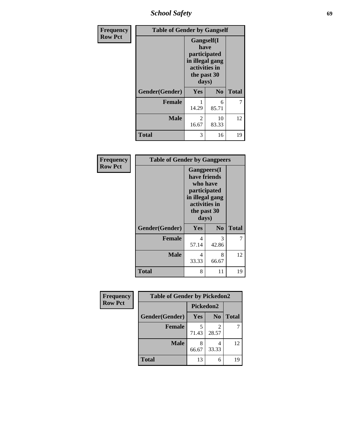*School Safety* **69**

| Frequency      | <b>Table of Gender by Gangself</b> |                                                                                                |                |              |
|----------------|------------------------------------|------------------------------------------------------------------------------------------------|----------------|--------------|
| <b>Row Pct</b> |                                    | Gangself(I<br>have<br>participated<br>in illegal gang<br>activities in<br>the past 30<br>days) |                |              |
|                | Gender(Gender)                     | Yes                                                                                            | N <sub>0</sub> | <b>Total</b> |
|                | <b>Female</b>                      | 14.29                                                                                          | 6<br>85.71     |              |
|                | <b>Male</b>                        | 2<br>16.67                                                                                     | 10<br>83.33    | 12           |
|                | <b>Total</b>                       | 3                                                                                              | 16             | 19           |

| Frequency      |                | <b>Table of Gender by Gangpeers</b>                                                                                 |                |              |  |
|----------------|----------------|---------------------------------------------------------------------------------------------------------------------|----------------|--------------|--|
| <b>Row Pct</b> |                | Gangpeers(I<br>have friends<br>who have<br>participated<br>in illegal gang<br>activities in<br>the past 30<br>days) |                |              |  |
|                | Gender(Gender) | Yes                                                                                                                 | N <sub>0</sub> | <b>Total</b> |  |
|                | <b>Female</b>  | 4<br>57.14                                                                                                          | 3<br>42.86     | 7            |  |
|                | <b>Male</b>    | 4<br>33.33                                                                                                          | 8<br>66.67     | 12           |  |
|                | <b>Total</b>   | 8                                                                                                                   | 11             | 19           |  |

| Frequency      | <b>Table of Gender by Pickedon2</b> |            |                |              |  |  |
|----------------|-------------------------------------|------------|----------------|--------------|--|--|
| <b>Row Pct</b> |                                     | Pickedon2  |                |              |  |  |
|                | Gender(Gender)                      | <b>Yes</b> | N <sub>0</sub> | <b>Total</b> |  |  |
|                | <b>Female</b>                       | 71.43      | 28.57          |              |  |  |
|                | <b>Male</b>                         | 8<br>66.67 | 33.33          | 12           |  |  |
|                | <b>Total</b>                        | 13         | 6              | 19           |  |  |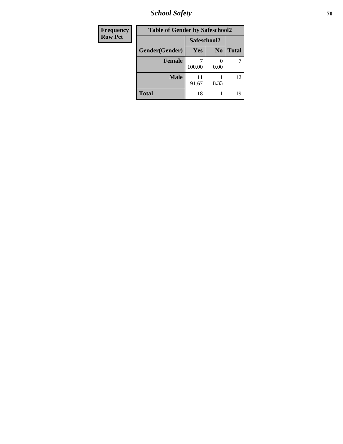*School Safety* **70**

| Frequency      | <b>Table of Gender by Safeschool2</b> |             |                |              |
|----------------|---------------------------------------|-------------|----------------|--------------|
| <b>Row Pct</b> |                                       | Safeschool2 |                |              |
|                | Gender(Gender)                        | <b>Yes</b>  | N <sub>0</sub> | <b>Total</b> |
|                | <b>Female</b>                         | 100.00      | 0.00           |              |
|                | <b>Male</b>                           | 11<br>91.67 | 8.33           | 12           |
|                | <b>Total</b>                          | 18          |                | 19           |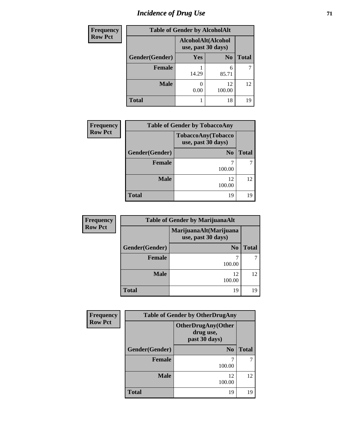## *Incidence of Drug Use* <sup>71</sup>

| Frequency      | <b>Table of Gender by AlcoholAlt</b> |                                          |                |              |
|----------------|--------------------------------------|------------------------------------------|----------------|--------------|
| <b>Row Pct</b> |                                      | AlcoholAlt(Alcohol<br>use, past 30 days) |                |              |
|                | Gender(Gender)                       | Yes                                      | N <sub>0</sub> | <b>Total</b> |
|                | <b>Female</b>                        | 14.29                                    | 6<br>85.71     |              |
|                | <b>Male</b>                          | 0.00                                     | 12<br>100.00   | 12           |
|                | <b>Total</b>                         |                                          | 18             | 19           |

| <b>Frequency</b> | <b>Table of Gender by TobaccoAny</b>     |                |              |  |  |
|------------------|------------------------------------------|----------------|--------------|--|--|
| <b>Row Pct</b>   | TobaccoAny(Tobacco<br>use, past 30 days) |                |              |  |  |
|                  | Gender(Gender)                           | N <sub>0</sub> | <b>Total</b> |  |  |
|                  | <b>Female</b>                            | 100.00         |              |  |  |
|                  | <b>Male</b>                              | 12<br>100.00   | 12           |  |  |
|                  | <b>Total</b>                             | 19             | 19           |  |  |

| <b>Frequency</b> |                | <b>Table of Gender by MarijuanaAlt</b>       |              |
|------------------|----------------|----------------------------------------------|--------------|
| <b>Row Pct</b>   |                | MarijuanaAlt(Marijuana<br>use, past 30 days) |              |
|                  | Gender(Gender) | N <sub>0</sub>                               | <b>Total</b> |
|                  | <b>Female</b>  | 100.00                                       |              |
|                  | <b>Male</b>    | 12<br>100.00                                 | 12           |
|                  | Total          | 19                                           | 19           |

| <b>Frequency</b> | <b>Table of Gender by OtherDrugAny</b> |                                                         |              |  |
|------------------|----------------------------------------|---------------------------------------------------------|--------------|--|
| <b>Row Pct</b>   |                                        | <b>OtherDrugAny(Other</b><br>drug use,<br>past 30 days) |              |  |
|                  | Gender(Gender)                         | N <sub>0</sub>                                          | <b>Total</b> |  |
|                  | <b>Female</b>                          | 100.00                                                  |              |  |
|                  | <b>Male</b>                            | 12<br>100.00                                            | 12           |  |
|                  | <b>Total</b>                           | 19                                                      | 19           |  |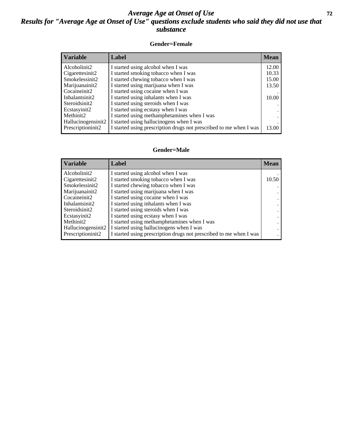### *Average Age at Onset of Use* **72** *Results for "Average Age at Onset of Use" questions exclude students who said they did not use that substance*

#### **Gender=Female**

| <b>Variable</b>    | <b>Label</b>                                                       | <b>Mean</b> |
|--------------------|--------------------------------------------------------------------|-------------|
| Alcoholinit2       | I started using alcohol when I was                                 | 12.00       |
| Cigarettesinit2    | I started smoking tobacco when I was                               | 10.33       |
| Smokelessinit2     | I started chewing tobacco when I was                               | 15.00       |
| Marijuanainit2     | I started using marijuana when I was                               | 13.50       |
| Cocaineinit2       | I started using cocaine when I was                                 |             |
| Inhalantsinit2     | I started using inhalants when I was                               | 10.00       |
| Steroidsinit2      | I started using steroids when I was                                |             |
| Ecstasyinit2       | I started using ecstasy when I was                                 |             |
| Methinit2          | I started using methamphetamines when I was                        |             |
| Hallucinogensinit2 | I started using hallucinogens when I was                           |             |
| Prescription in t2 | I started using prescription drugs not prescribed to me when I was | 13.00       |

#### **Gender=Male**

| <b>Variable</b>                 | Label                                                              | <b>Mean</b> |
|---------------------------------|--------------------------------------------------------------------|-------------|
| Alcoholinit2                    | I started using alcohol when I was                                 |             |
| Cigarettesinit2                 | I started smoking tobacco when I was                               | 10.50       |
| Smokelessinit2                  | I started chewing tobacco when I was                               |             |
| Marijuanainit2                  | I started using marijuana when I was                               |             |
| Cocaineinit2                    | I started using cocaine when I was                                 |             |
| Inhalantsinit2                  | I started using inhalants when I was                               |             |
| Steroidsinit2                   | I started using steroids when I was                                |             |
| Ecstasyinit2                    | I started using ecstasy when I was                                 |             |
| Methinit2                       | I started using methamphetamines when I was                        |             |
| Hallucinogensinit2              | I started using hallucinogens when I was                           |             |
| Prescription in it <sub>2</sub> | I started using prescription drugs not prescribed to me when I was |             |
|                                 |                                                                    |             |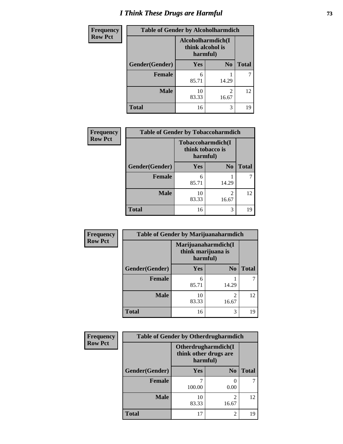# *I Think These Drugs are Harmful* **73**

| <b>Frequency</b> | <b>Table of Gender by Alcoholharmdich</b> |                                                   |                         |              |  |
|------------------|-------------------------------------------|---------------------------------------------------|-------------------------|--------------|--|
| <b>Row Pct</b>   |                                           | Alcoholharmdich(I<br>think alcohol is<br>harmful) |                         |              |  |
|                  | Gender(Gender)                            | <b>Yes</b>                                        | N <sub>0</sub>          | <b>Total</b> |  |
|                  | <b>Female</b>                             | 6<br>85.71                                        | 14.29                   |              |  |
|                  | <b>Male</b>                               | 10<br>83.33                                       | $\overline{c}$<br>16.67 | 12           |  |
|                  | <b>Total</b>                              | 16                                                | 3                       | 19           |  |

| Frequency      | <b>Table of Gender by Tobaccoharmdich</b> |                                                   |                                      |              |
|----------------|-------------------------------------------|---------------------------------------------------|--------------------------------------|--------------|
| <b>Row Pct</b> |                                           | Tobaccoharmdich(I<br>think tobacco is<br>harmful) |                                      |              |
|                | Gender(Gender)                            | Yes                                               | N <sub>0</sub>                       | <b>Total</b> |
|                | <b>Female</b>                             | 6<br>85.71                                        | 14.29                                |              |
|                | <b>Male</b>                               | 10<br>83.33                                       | $\mathcal{D}_{\mathcal{L}}$<br>16.67 | 12           |
|                | <b>Total</b>                              | 16                                                | 3                                    | 19           |

| Frequency      | <b>Table of Gender by Marijuanaharmdich</b> |                                                       |                         |              |  |
|----------------|---------------------------------------------|-------------------------------------------------------|-------------------------|--------------|--|
| <b>Row Pct</b> |                                             | Marijuanaharmdich(I<br>think marijuana is<br>harmful) |                         |              |  |
|                | Gender(Gender)                              | <b>Yes</b>                                            | N <sub>0</sub>          | <b>Total</b> |  |
|                | <b>Female</b>                               | 6<br>85.71                                            | 14.29                   |              |  |
|                | <b>Male</b>                                 | 10<br>83.33                                           | $\mathfrak{D}$<br>16.67 | 12           |  |
|                | <b>Total</b>                                | 16                                                    | 3                       | 19           |  |

| Frequency      | <b>Table of Gender by Otherdrugharmdich</b> |                                                          |                         |              |
|----------------|---------------------------------------------|----------------------------------------------------------|-------------------------|--------------|
| <b>Row Pct</b> |                                             | Otherdrugharmdich(I<br>think other drugs are<br>harmful) |                         |              |
|                | Gender(Gender)                              | <b>Yes</b>                                               | N <sub>0</sub>          | <b>Total</b> |
|                | <b>Female</b>                               | 100.00                                                   | 0<br>0.00               |              |
|                | <b>Male</b>                                 | 10<br>83.33                                              | $\overline{2}$<br>16.67 | 12           |
|                | <b>Total</b>                                | 17                                                       | $\overline{2}$          | 19           |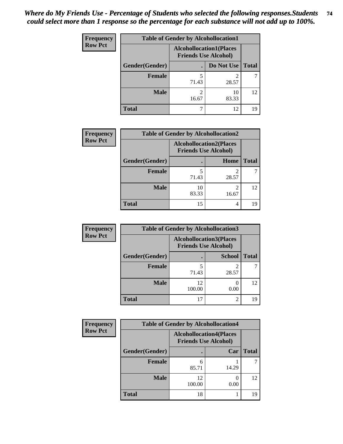| <b>Frequency</b> | <b>Table of Gender by Alcohollocation1</b> |                                                               |             |              |
|------------------|--------------------------------------------|---------------------------------------------------------------|-------------|--------------|
| <b>Row Pct</b>   |                                            | <b>Alcohollocation1(Places</b><br><b>Friends Use Alcohol)</b> |             |              |
|                  | Gender(Gender)                             |                                                               | Do Not Use  | <b>Total</b> |
|                  | <b>Female</b>                              | 71.43                                                         | 28.57       |              |
|                  | <b>Male</b>                                | ∍<br>16.67                                                    | 10<br>83.33 | 12           |
|                  | Total                                      |                                                               | 12          | 19           |

| <b>Frequency</b> | <b>Table of Gender by Alcohollocation2</b> |             |                                                               |              |
|------------------|--------------------------------------------|-------------|---------------------------------------------------------------|--------------|
| <b>Row Pct</b>   |                                            |             | <b>Alcohollocation2(Places</b><br><b>Friends Use Alcohol)</b> |              |
|                  | Gender(Gender)                             |             | <b>Home</b>                                                   | <b>Total</b> |
|                  | <b>Female</b>                              | 71.43       | 28.57                                                         |              |
|                  | <b>Male</b>                                | 10<br>83.33 | 16.67                                                         | 12           |
|                  | <b>Total</b>                               | 15          | 4                                                             | 19           |

| Frequency      | <b>Table of Gender by Alcohollocation3</b> |              |                                                               |              |
|----------------|--------------------------------------------|--------------|---------------------------------------------------------------|--------------|
| <b>Row Pct</b> |                                            |              | <b>Alcohollocation3(Places</b><br><b>Friends Use Alcohol)</b> |              |
|                | Gender(Gender)                             |              | <b>School</b>                                                 | <b>Total</b> |
|                | <b>Female</b>                              | 71.43        | 28.57                                                         |              |
|                | <b>Male</b>                                | 12<br>100.00 | 0.00                                                          | 12           |
|                | <b>Total</b>                               | 17           | $\overline{2}$                                                | 19           |

| Frequency      | <b>Table of Gender by Alcohollocation4</b> |              |                                                               |              |
|----------------|--------------------------------------------|--------------|---------------------------------------------------------------|--------------|
| <b>Row Pct</b> |                                            |              | <b>Alcohollocation4(Places</b><br><b>Friends Use Alcohol)</b> |              |
|                | Gender(Gender)                             |              | Car                                                           | <b>Total</b> |
|                | <b>Female</b>                              | 6<br>85.71   | 14.29                                                         |              |
|                | <b>Male</b>                                | 12<br>100.00 | 0.00                                                          | 12           |
|                | <b>Total</b>                               | 18           |                                                               | 19           |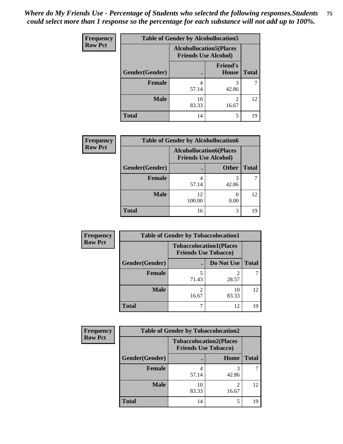| <b>Frequency</b> | <b>Table of Gender by Alcohollocation5</b> |                                                                |                                 |              |
|------------------|--------------------------------------------|----------------------------------------------------------------|---------------------------------|--------------|
| <b>Row Pct</b>   |                                            | <b>Alcohollocation5</b> (Places<br><b>Friends Use Alcohol)</b> |                                 |              |
|                  | Gender(Gender)                             |                                                                | <b>Friend's</b><br><b>House</b> | <b>Total</b> |
|                  | <b>Female</b>                              | 4<br>57.14                                                     | 3<br>42.86                      |              |
|                  | <b>Male</b>                                | 10<br>83.33                                                    | $\mathfrak{D}$<br>16.67         | 12           |
|                  | <b>Total</b>                               | 14                                                             | 5                               | 19           |

| Frequency      | <b>Table of Gender by Alcohollocation6</b> |                                                               |              |              |  |
|----------------|--------------------------------------------|---------------------------------------------------------------|--------------|--------------|--|
| <b>Row Pct</b> |                                            | <b>Alcohollocation6(Places</b><br><b>Friends Use Alcohol)</b> |              |              |  |
|                | Gender(Gender)                             |                                                               | <b>Other</b> | <b>Total</b> |  |
|                | <b>Female</b>                              | 4<br>57.14                                                    | 42.86        |              |  |
|                | <b>Male</b>                                | 12<br>100.00                                                  | 0.00         | 12           |  |
|                | <b>Total</b>                               | 16                                                            | 3            | 19           |  |

| Frequency      | <b>Table of Gender by Tobaccolocation1</b> |                                                               |             |              |  |
|----------------|--------------------------------------------|---------------------------------------------------------------|-------------|--------------|--|
| <b>Row Pct</b> |                                            | <b>Tobaccolocation1(Places</b><br><b>Friends Use Tobacco)</b> |             |              |  |
|                | Gender(Gender)                             |                                                               | Do Not Use  | <b>Total</b> |  |
|                | Female                                     | 71.43                                                         | 28.57       |              |  |
|                | <b>Male</b>                                | 16.67                                                         | 10<br>83.33 | 12           |  |
|                | <b>Total</b>                               |                                                               | 12          | 19           |  |

| <b>Frequency</b> | <b>Table of Gender by Tobaccolocation2</b> |                                                               |                         |              |
|------------------|--------------------------------------------|---------------------------------------------------------------|-------------------------|--------------|
| <b>Row Pct</b>   |                                            | <b>Tobaccolocation2(Places</b><br><b>Friends Use Tobacco)</b> |                         |              |
|                  | Gender(Gender)                             |                                                               | Home                    | <b>Total</b> |
|                  | Female                                     | 57.14                                                         | 42.86                   |              |
|                  | <b>Male</b>                                | 10<br>83.33                                                   | $\mathfrak{D}$<br>16.67 | 12           |
|                  | <b>Total</b>                               | 14                                                            | 5                       | 19           |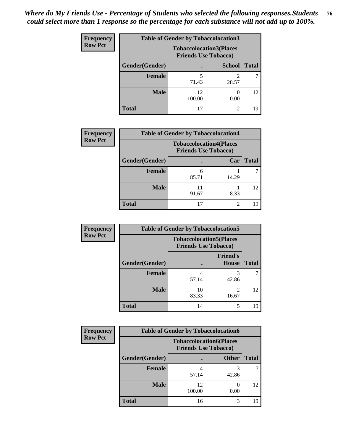| <b>Frequency</b> | <b>Table of Gender by Tobaccolocation3</b> |                                                               |                |              |  |
|------------------|--------------------------------------------|---------------------------------------------------------------|----------------|--------------|--|
| <b>Row Pct</b>   |                                            | <b>Tobaccolocation3(Places</b><br><b>Friends Use Tobacco)</b> |                |              |  |
|                  | Gender(Gender)                             |                                                               | <b>School</b>  | <b>Total</b> |  |
|                  | Female                                     | 71.43                                                         | 28.57          |              |  |
|                  | <b>Male</b>                                | 12.<br>100.00                                                 | 0.00           | 12           |  |
|                  | <b>Total</b>                               | רו                                                            | $\mathfrak{D}$ | 19           |  |

| <b>Frequency</b> | <b>Table of Gender by Tobaccolocation4</b> |                                                               |       |              |
|------------------|--------------------------------------------|---------------------------------------------------------------|-------|--------------|
| <b>Row Pct</b>   |                                            | <b>Tobaccolocation4(Places</b><br><b>Friends Use Tobacco)</b> |       |              |
|                  | Gender(Gender)                             |                                                               | Car   | <b>Total</b> |
|                  | <b>Female</b>                              | h<br>85.71                                                    | 14.29 |              |
|                  | <b>Male</b>                                | 91.67                                                         | 8.33  | 12           |
|                  | <b>Total</b>                               | 17                                                            | 2     |              |

| <b>Frequency</b> | <b>Table of Gender by Tobaccolocation5</b> |                                                               |                                 |              |
|------------------|--------------------------------------------|---------------------------------------------------------------|---------------------------------|--------------|
| <b>Row Pct</b>   |                                            | <b>Tobaccolocation5(Places</b><br><b>Friends Use Tobacco)</b> |                                 |              |
|                  | Gender(Gender)                             |                                                               | <b>Friend's</b><br><b>House</b> | <b>Total</b> |
|                  | Female                                     | 4<br>57.14                                                    | 3<br>42.86                      |              |
|                  | <b>Male</b>                                | 10<br>83.33                                                   | 16.67                           | 12           |
|                  | <b>Total</b>                               | 14                                                            | 5                               | 19           |

| <b>Frequency</b> | <b>Table of Gender by Tobaccolocation6</b> |                                                               |              |              |
|------------------|--------------------------------------------|---------------------------------------------------------------|--------------|--------------|
| <b>Row Pct</b>   |                                            | <b>Tobaccolocation6(Places</b><br><b>Friends Use Tobacco)</b> |              |              |
|                  | Gender(Gender)                             |                                                               | <b>Other</b> | <b>Total</b> |
|                  | <b>Female</b>                              | 57.14                                                         | 42.86        |              |
|                  | <b>Male</b>                                | 12<br>100.00                                                  | 0.00         | 12           |
|                  | <b>Total</b>                               | 16                                                            | 3            | 19           |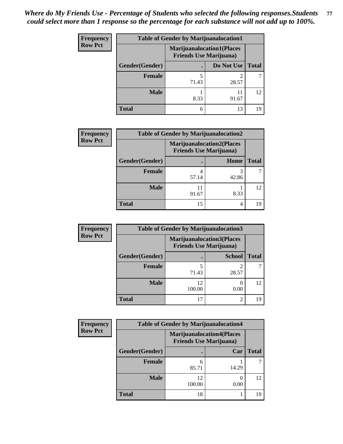| Frequency      | <b>Table of Gender by Marijuanalocation1</b> |                                                                    |            |              |  |
|----------------|----------------------------------------------|--------------------------------------------------------------------|------------|--------------|--|
| <b>Row Pct</b> |                                              | <b>Marijuanalocation1(Places</b><br><b>Friends Use Marijuana</b> ) |            |              |  |
|                | Gender(Gender)                               |                                                                    | Do Not Use | <b>Total</b> |  |
|                | <b>Female</b>                                | 71.43                                                              | 28.57      |              |  |
|                | <b>Male</b>                                  | 8.33                                                               | 91.67      | 12           |  |
|                | <b>Total</b>                                 | 6                                                                  | 13         | 19           |  |

| <b>Frequency</b> | <b>Table of Gender by Marijuanalocation2</b> |                                                                    |       |              |  |
|------------------|----------------------------------------------|--------------------------------------------------------------------|-------|--------------|--|
| <b>Row Pct</b>   |                                              | <b>Marijuanalocation2(Places</b><br><b>Friends Use Marijuana</b> ) |       |              |  |
|                  | Gender(Gender)                               |                                                                    | Home  | <b>Total</b> |  |
|                  | <b>Female</b>                                | 57.14                                                              | 42.86 |              |  |
|                  | <b>Male</b>                                  | 91.67                                                              | 8.33  | 12           |  |
|                  | <b>Total</b>                                 | 15                                                                 | 4     | 19           |  |

| Frequency      | <b>Table of Gender by Marijuanalocation3</b> |              |                                                                    |              |
|----------------|----------------------------------------------|--------------|--------------------------------------------------------------------|--------------|
| <b>Row Pct</b> |                                              |              | <b>Marijuanalocation3(Places</b><br><b>Friends Use Marijuana</b> ) |              |
|                | Gender(Gender)                               |              | <b>School</b>                                                      | <b>Total</b> |
|                | Female                                       | 71.43        | 28.57                                                              |              |
|                | <b>Male</b>                                  | 12<br>100.00 | 0.00                                                               | 12           |
|                | <b>Total</b>                                 | 17           | $\mathfrak{D}$                                                     | 19           |

| <b>Frequency</b> |                | <b>Table of Gender by Marijuanalocation4</b> |                                  |              |
|------------------|----------------|----------------------------------------------|----------------------------------|--------------|
| <b>Row Pct</b>   |                | <b>Friends Use Marijuana</b> )               | <b>Marijuanalocation4(Places</b> |              |
|                  | Gender(Gender) |                                              | Car                              | <b>Total</b> |
|                  | <b>Female</b>  | 85.71                                        | 14.29                            |              |
|                  | <b>Male</b>    | 12<br>100.00                                 | 0.00                             | 12           |
|                  | <b>Total</b>   | 18                                           |                                  | 19           |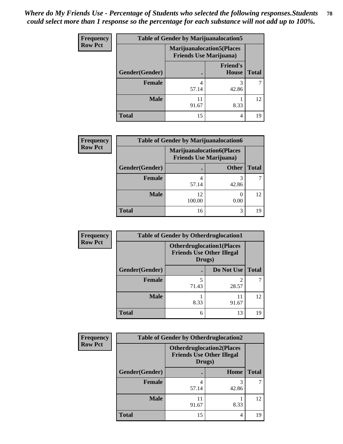| <b>Frequency</b> | <b>Table of Gender by Marijuanalocation5</b> |                                                                     |                          |              |
|------------------|----------------------------------------------|---------------------------------------------------------------------|--------------------------|--------------|
| <b>Row Pct</b>   |                                              | <b>Marijuanalocation5</b> (Places<br><b>Friends Use Marijuana</b> ) |                          |              |
|                  | Gender(Gender)                               |                                                                     | <b>Friend's</b><br>House | <b>Total</b> |
|                  | <b>Female</b>                                | 57.14                                                               | 3<br>42.86               |              |
|                  | <b>Male</b>                                  | 11<br>91.67                                                         | 8.33                     | 12           |
|                  | <b>Total</b>                                 | 15                                                                  | 4                        | 19           |

| <b>Frequency</b> | <b>Table of Gender by Marijuanalocation6</b> |                                                                    |              |              |
|------------------|----------------------------------------------|--------------------------------------------------------------------|--------------|--------------|
| <b>Row Pct</b>   |                                              | <b>Marijuanalocation6(Places</b><br><b>Friends Use Marijuana</b> ) |              |              |
|                  | Gender(Gender)                               |                                                                    | <b>Other</b> | <b>Total</b> |
|                  | <b>Female</b>                                | 57.14                                                              | 42.86        |              |
|                  | <b>Male</b>                                  | 12<br>100.00                                                       | 0.00         | 12           |
|                  | <b>Total</b>                                 | 16                                                                 | 3            | 19           |

| <b>Frequency</b> |                | <b>Table of Gender by Otherdruglocation1</b> |                                  |              |
|------------------|----------------|----------------------------------------------|----------------------------------|--------------|
| <b>Row Pct</b>   |                | <b>Friends Use Other Illegal</b><br>Drugs)   | <b>Otherdruglocation1(Places</b> |              |
|                  | Gender(Gender) |                                              | Do Not Use                       | <b>Total</b> |
|                  | Female         | 71.43                                        | 28.57                            |              |
|                  | <b>Male</b>    | 8.33                                         | 11<br>91.67                      | 12           |
|                  | <b>Total</b>   | 6                                            | 13                               | 19           |

| Frequency      | <b>Table of Gender by Otherdruglocation2</b> |                                                                                |       |              |
|----------------|----------------------------------------------|--------------------------------------------------------------------------------|-------|--------------|
| <b>Row Pct</b> |                                              | <b>Otherdruglocation2(Places</b><br><b>Friends Use Other Illegal</b><br>Drugs) |       |              |
|                | Gender(Gender)                               |                                                                                | Home  | <b>Total</b> |
|                | Female                                       | 57.14                                                                          | 42.86 |              |
|                | <b>Male</b>                                  | 11<br>91.67                                                                    | 8.33  | 12           |
|                | <b>Total</b>                                 | 15                                                                             | 4     | 19           |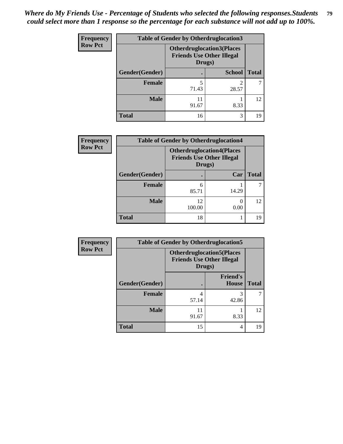| Frequency      | <b>Table of Gender by Otherdruglocation3</b> |                                                                                |               |              |
|----------------|----------------------------------------------|--------------------------------------------------------------------------------|---------------|--------------|
| <b>Row Pct</b> |                                              | <b>Otherdruglocation3(Places</b><br><b>Friends Use Other Illegal</b><br>Drugs) |               |              |
|                | Gender(Gender)                               |                                                                                | <b>School</b> | <b>Total</b> |
|                | Female                                       | 71.43                                                                          | 28.57         |              |
|                | <b>Male</b>                                  | 11<br>91.67                                                                    | 8.33          | 12           |
|                | <b>Total</b>                                 | 16                                                                             | 3             | 19           |

| Frequency      | <b>Table of Gender by Otherdruglocation4</b> |                                                                                |       |              |
|----------------|----------------------------------------------|--------------------------------------------------------------------------------|-------|--------------|
| <b>Row Pct</b> |                                              | <b>Otherdruglocation4(Places</b><br><b>Friends Use Other Illegal</b><br>Drugs) |       |              |
|                | Gender(Gender)                               |                                                                                | Car   | <b>Total</b> |
|                | Female                                       | 6<br>85.71                                                                     | 14.29 |              |
|                | <b>Male</b>                                  | 12<br>100.00                                                                   | 0.00  | 12           |
|                | <b>Total</b>                                 | 18                                                                             |       | 19           |

| Frequency      | <b>Table of Gender by Otherdruglocation5</b> |                                                                                |                                 |              |
|----------------|----------------------------------------------|--------------------------------------------------------------------------------|---------------------------------|--------------|
| <b>Row Pct</b> |                                              | <b>Otherdruglocation5(Places</b><br><b>Friends Use Other Illegal</b><br>Drugs) |                                 |              |
|                | Gender(Gender)                               |                                                                                | <b>Friend's</b><br><b>House</b> | <b>Total</b> |
|                | <b>Female</b>                                | 4<br>57.14                                                                     | 3<br>42.86                      |              |
|                | <b>Male</b>                                  | 11<br>91.67                                                                    | 8.33                            | 12           |
|                | <b>Total</b>                                 | 15                                                                             | 4                               | 19           |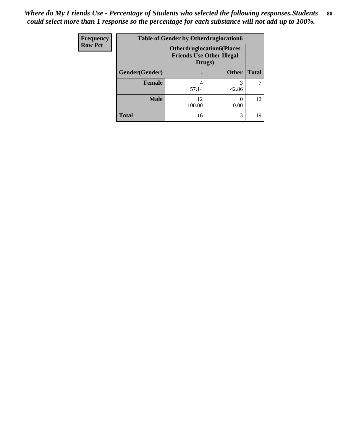| Frequency      | <b>Table of Gender by Otherdruglocation6</b> |                                                                                |              |              |
|----------------|----------------------------------------------|--------------------------------------------------------------------------------|--------------|--------------|
| <b>Row Pct</b> |                                              | <b>Otherdruglocation6(Places</b><br><b>Friends Use Other Illegal</b><br>Drugs) |              |              |
|                | Gender(Gender)                               |                                                                                | <b>Other</b> | <b>Total</b> |
|                | <b>Female</b>                                | 4<br>57.14                                                                     | 42.86        |              |
|                | <b>Male</b>                                  | 12<br>100.00                                                                   | 0.00         | 12           |
|                | <b>Total</b>                                 | 16                                                                             | 3            | 19           |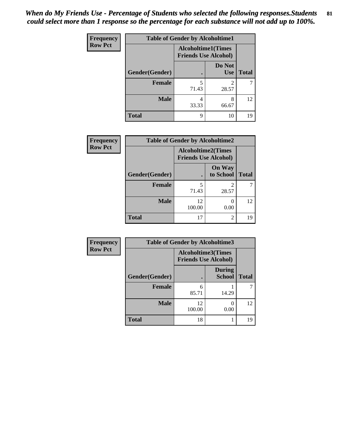| <b>Frequency</b> | <b>Table of Gender by Alcoholtime1</b> |                                                          |                      |              |
|------------------|----------------------------------------|----------------------------------------------------------|----------------------|--------------|
| <b>Row Pct</b>   |                                        | <b>Alcoholtime1(Times</b><br><b>Friends Use Alcohol)</b> |                      |              |
|                  | Gender(Gender)                         | $\bullet$                                                | Do Not<br><b>Use</b> | <b>Total</b> |
|                  | <b>Female</b>                          | 5<br>71.43                                               | 2<br>28.57           |              |
|                  | <b>Male</b>                            | 4<br>33.33                                               | 8<br>66.67           | 12           |
|                  | <b>Total</b>                           | 9                                                        | 10                   | 19           |

| <b>Frequency</b> | <b>Table of Gender by Alcoholtime2</b> |                                                          |                            |              |
|------------------|----------------------------------------|----------------------------------------------------------|----------------------------|--------------|
| <b>Row Pct</b>   |                                        | <b>Alcoholtime2(Times</b><br><b>Friends Use Alcohol)</b> |                            |              |
|                  | Gender(Gender)                         |                                                          | <b>On Way</b><br>to School | <b>Total</b> |
|                  | <b>Female</b>                          | 5<br>71.43                                               | 2<br>28.57                 |              |
|                  | <b>Male</b>                            | 12<br>100.00                                             | $\theta$<br>0.00           | 12           |
|                  | <b>Total</b>                           | 17                                                       | 2                          | 19           |

| <b>Frequency</b> | <b>Table of Gender by Alcoholtime3</b> |                                                          |                                |              |
|------------------|----------------------------------------|----------------------------------------------------------|--------------------------------|--------------|
| <b>Row Pct</b>   |                                        | <b>Alcoholtime3(Times</b><br><b>Friends Use Alcohol)</b> |                                |              |
|                  | Gender(Gender)                         |                                                          | <b>During</b><br><b>School</b> | <b>Total</b> |
|                  | Female                                 | 6<br>85.71                                               | 14.29                          |              |
|                  | <b>Male</b>                            | 12<br>100.00                                             | 0.00                           | 12           |
|                  | <b>Total</b>                           | 18                                                       |                                | 19           |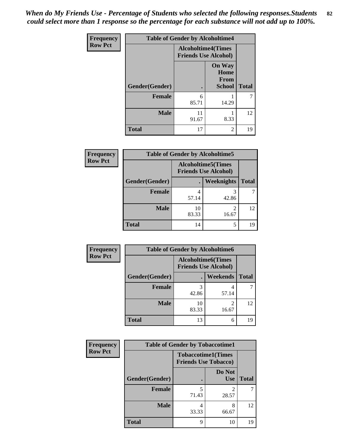*When do My Friends Use - Percentage of Students who selected the following responses.Students could select more than 1 response so the percentage for each substance will not add up to 100%.* **82**

| <b>Frequency</b> | <b>Table of Gender by Alcoholtime4</b> |                                                          |                                                |              |
|------------------|----------------------------------------|----------------------------------------------------------|------------------------------------------------|--------------|
| <b>Row Pct</b>   |                                        | <b>Alcoholtime4(Times</b><br><b>Friends Use Alcohol)</b> |                                                |              |
|                  | Gender(Gender)                         |                                                          | <b>On Way</b><br>Home<br>From<br><b>School</b> | <b>Total</b> |
|                  | <b>Female</b>                          | 6<br>85.71                                               | 14.29                                          | 7            |
|                  | <b>Male</b>                            | 11<br>91.67                                              | 8.33                                           | 12           |
|                  | <b>Total</b>                           | 17                                                       | $\overline{c}$                                 | 19           |

| <b>Frequency</b> | <b>Table of Gender by Alcoholtime5</b> |                                                          |                   |              |
|------------------|----------------------------------------|----------------------------------------------------------|-------------------|--------------|
| <b>Row Pct</b>   |                                        | <b>Alcoholtime5(Times</b><br><b>Friends Use Alcohol)</b> |                   |              |
|                  | Gender(Gender)                         |                                                          | <b>Weeknights</b> | <b>Total</b> |
|                  | <b>Female</b>                          | 4<br>57.14                                               | 3<br>42.86        |              |
|                  | <b>Male</b>                            | 10<br>83.33                                              | 2<br>16.67        | 12           |
|                  | <b>Total</b>                           | 14                                                       | 5                 | 19           |

| <b>Frequency</b> | <b>Table of Gender by Alcoholtime6</b> |                                                          |                 |              |
|------------------|----------------------------------------|----------------------------------------------------------|-----------------|--------------|
| <b>Row Pct</b>   |                                        | <b>Alcoholtime6(Times</b><br><b>Friends Use Alcohol)</b> |                 |              |
|                  | Gender(Gender)                         |                                                          | <b>Weekends</b> | <b>Total</b> |
|                  | Female                                 | 42.86                                                    | 4<br>57.14      |              |
|                  | <b>Male</b>                            | 10<br>83.33                                              | 2<br>16.67      | 12           |
|                  | <b>Total</b>                           | 13                                                       | 6               | 19           |

| <b>Frequency</b> | <b>Table of Gender by Tobaccotime1</b> |                                                          |                         |              |
|------------------|----------------------------------------|----------------------------------------------------------|-------------------------|--------------|
| <b>Row Pct</b>   |                                        | <b>Tobaccotime1(Times</b><br><b>Friends Use Tobacco)</b> |                         |              |
|                  | Gender(Gender)                         |                                                          | Do Not<br><b>Use</b>    | <b>Total</b> |
|                  | <b>Female</b>                          | 5<br>71.43                                               | $\mathfrak{D}$<br>28.57 |              |
|                  | <b>Male</b>                            | 4<br>33.33                                               | 8<br>66.67              | 12           |
|                  | <b>Total</b>                           | 9                                                        | 10                      | 19           |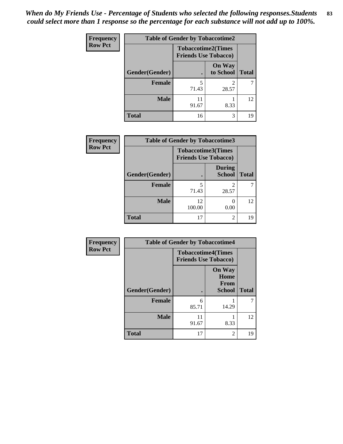*When do My Friends Use - Percentage of Students who selected the following responses.Students could select more than 1 response so the percentage for each substance will not add up to 100%.* **83**

| <b>Frequency</b> | <b>Table of Gender by Tobaccotime2</b> |                                                          |                            |              |
|------------------|----------------------------------------|----------------------------------------------------------|----------------------------|--------------|
| <b>Row Pct</b>   |                                        | <b>Tobaccotime2(Times</b><br><b>Friends Use Tobacco)</b> |                            |              |
|                  | Gender(Gender)                         | $\bullet$                                                | <b>On Way</b><br>to School | <b>Total</b> |
|                  | Female                                 | 5<br>71.43                                               | 2<br>28.57                 |              |
|                  | <b>Male</b>                            | 11<br>91.67                                              | 8.33                       | 12           |
|                  | <b>Total</b>                           | 16                                                       | 3                          | 19           |

| Frequency      | <b>Table of Gender by Tobaccotime3</b> |                                                          |                                |              |
|----------------|----------------------------------------|----------------------------------------------------------|--------------------------------|--------------|
| <b>Row Pct</b> |                                        | <b>Tobaccotime3(Times</b><br><b>Friends Use Tobacco)</b> |                                |              |
|                | Gender(Gender)                         |                                                          | <b>During</b><br><b>School</b> | <b>Total</b> |
|                | Female                                 | 5<br>71.43                                               | 2<br>28.57                     |              |
|                | <b>Male</b>                            | 12<br>100.00                                             | 0.00                           | 12           |
|                | <b>Total</b>                           | 17                                                       | $\mathfrak{D}$                 | 19           |

| <b>Frequency</b> | <b>Table of Gender by Tobaccotime4</b> |                                                          |                                                |              |
|------------------|----------------------------------------|----------------------------------------------------------|------------------------------------------------|--------------|
| <b>Row Pct</b>   |                                        | <b>Tobaccotime4(Times</b><br><b>Friends Use Tobacco)</b> |                                                |              |
|                  | <b>Gender</b> (Gender)                 | ٠                                                        | <b>On Way</b><br>Home<br>From<br><b>School</b> | <b>Total</b> |
|                  | Female                                 | 6<br>85.71                                               | 14.29                                          |              |
|                  | <b>Male</b>                            | 11<br>91.67                                              | 8.33                                           | 12           |
|                  | <b>Total</b>                           | 17                                                       | $\overline{c}$                                 | 19           |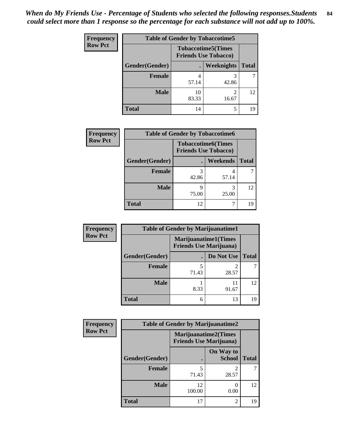| <b>Frequency</b> | <b>Table of Gender by Tobaccotime5</b> |             |                                                           |              |  |
|------------------|----------------------------------------|-------------|-----------------------------------------------------------|--------------|--|
| <b>Row Pct</b>   |                                        |             | <b>Tobaccotime5</b> (Times<br><b>Friends Use Tobacco)</b> |              |  |
|                  | Gender(Gender)                         |             | Weeknights                                                | <b>Total</b> |  |
|                  | <b>Female</b>                          | 57.14       | 3<br>42.86                                                |              |  |
|                  | <b>Male</b>                            | 10<br>83.33 | 2<br>16.67                                                | 12           |  |
|                  | <b>Total</b>                           | 14          | 5                                                         | 19           |  |

| Frequency      | <b>Table of Gender by Tobaccotime6</b> |                                                          |            |              |
|----------------|----------------------------------------|----------------------------------------------------------|------------|--------------|
| <b>Row Pct</b> |                                        | <b>Tobaccotime6(Times</b><br><b>Friends Use Tobacco)</b> |            |              |
|                | Gender(Gender)                         |                                                          | Weekends   | <b>Total</b> |
|                | Female                                 | 3<br>42.86                                               | 57.14      |              |
|                | <b>Male</b>                            | 9<br>75.00                                               | 3<br>25.00 | 12           |
|                | <b>Total</b>                           | 12                                                       |            | 19           |

| Frequency      | <b>Table of Gender by Marijuanatime1</b> |       |                                                               |              |
|----------------|------------------------------------------|-------|---------------------------------------------------------------|--------------|
| <b>Row Pct</b> |                                          |       | <b>Marijuanatime1(Times</b><br><b>Friends Use Marijuana</b> ) |              |
|                | Gender(Gender)                           |       | Do Not Use                                                    | <b>Total</b> |
|                | <b>Female</b>                            | 71.43 | 2<br>28.57                                                    |              |
|                | <b>Male</b>                              | 8.33  | 11<br>91.67                                                   | 12           |
|                | <b>Total</b>                             | 6     | 13                                                            | 19           |

| <b>Frequency</b> | <b>Table of Gender by Marijuanatime2</b> |                                                        |                            |              |
|------------------|------------------------------------------|--------------------------------------------------------|----------------------------|--------------|
| <b>Row Pct</b>   |                                          | Marijuanatime2(Times<br><b>Friends Use Marijuana</b> ) |                            |              |
|                  | Gender(Gender)                           |                                                        | On Way to<br><b>School</b> | <b>Total</b> |
|                  | Female                                   | 71.43                                                  | 2<br>28.57                 |              |
|                  | <b>Male</b>                              | 12<br>100.00                                           | ∩<br>0.00                  | 12           |
|                  | <b>Total</b>                             | 17                                                     | 2                          | 19           |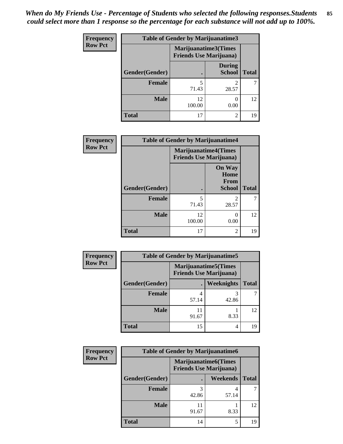| <b>Frequency</b> | <b>Table of Gender by Marijuanatime3</b> |                                                        |                                |              |
|------------------|------------------------------------------|--------------------------------------------------------|--------------------------------|--------------|
| <b>Row Pct</b>   |                                          | Marijuanatime3(Times<br><b>Friends Use Marijuana</b> ) |                                |              |
|                  | Gender(Gender)                           |                                                        | <b>During</b><br><b>School</b> | <b>Total</b> |
|                  | <b>Female</b>                            | 5<br>71.43                                             | $\mathfrak{D}$<br>28.57        |              |
|                  | <b>Male</b>                              | 12<br>100.00                                           | ∩<br>0.00                      | 12           |
|                  | <b>Total</b>                             | 17                                                     | $\mathfrak{D}$                 | 19           |

| Frequency      | <b>Table of Gender by Marijuanatime4</b> |                                                                |                                                       |              |
|----------------|------------------------------------------|----------------------------------------------------------------|-------------------------------------------------------|--------------|
| <b>Row Pct</b> |                                          | <b>Marijuanatime4</b> (Times<br><b>Friends Use Marijuana</b> ) |                                                       |              |
|                | Gender(Gender)                           |                                                                | <b>On Way</b><br>Home<br><b>From</b><br><b>School</b> | <b>Total</b> |
|                | <b>Female</b>                            | 5<br>71.43                                                     | $\mathfrak{D}$<br>28.57                               |              |
|                | <b>Male</b>                              | 12<br>100.00                                                   | 0.00                                                  | 12           |
|                | <b>Total</b>                             | 17                                                             | 2                                                     | 19           |

| <b>Frequency</b> | <b>Table of Gender by Marijuanatime5</b> |                                                                |                   |              |  |
|------------------|------------------------------------------|----------------------------------------------------------------|-------------------|--------------|--|
| <b>Row Pct</b>   |                                          | <b>Marijuanatime5</b> (Times<br><b>Friends Use Marijuana</b> ) |                   |              |  |
|                  | Gender(Gender)                           |                                                                | <b>Weeknights</b> | <b>Total</b> |  |
|                  | <b>Female</b>                            | 57.14                                                          | 42.86             |              |  |
|                  | <b>Male</b>                              | 91.67                                                          | 8.33              | 12           |  |
|                  | <b>Total</b>                             | 15                                                             | 4                 | 19           |  |

| Frequency      | <b>Table of Gender by Marijuanatime6</b> |                                                               |          |              |  |
|----------------|------------------------------------------|---------------------------------------------------------------|----------|--------------|--|
| <b>Row Pct</b> |                                          | <b>Marijuanatime6(Times</b><br><b>Friends Use Marijuana</b> ) |          |              |  |
|                | Gender(Gender)                           |                                                               | Weekends | <b>Total</b> |  |
|                | Female                                   | 42.86                                                         | 57.14    |              |  |
|                | <b>Male</b>                              | 91.67                                                         | 8.33     | 12           |  |
|                | <b>Total</b>                             | 14                                                            | 5        | 19           |  |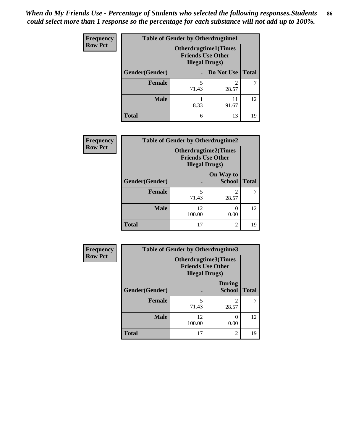| <b>Frequency</b> | <b>Table of Gender by Otherdrugtime1</b> |                                                                                   |                    |    |  |
|------------------|------------------------------------------|-----------------------------------------------------------------------------------|--------------------|----|--|
| <b>Row Pct</b>   |                                          | <b>Otherdrugtime1</b> (Times<br><b>Friends Use Other</b><br><b>Illegal Drugs)</b> |                    |    |  |
|                  | Gender(Gender)                           |                                                                                   | Do Not Use   Total |    |  |
|                  | <b>Female</b>                            | 5<br>71.43                                                                        | 28.57              |    |  |
|                  | <b>Male</b>                              | 8.33                                                                              | 11<br>91.67        | 12 |  |
|                  | <b>Total</b>                             | 6                                                                                 | 13                 | 19 |  |

| Frequency      | <b>Table of Gender by Otherdrugtime2</b> |                                                                                   |                                      |              |
|----------------|------------------------------------------|-----------------------------------------------------------------------------------|--------------------------------------|--------------|
| <b>Row Pct</b> |                                          | <b>Otherdrugtime2(Times</b><br><b>Friends Use Other</b><br><b>Illegal Drugs</b> ) |                                      |              |
|                | Gender(Gender)                           |                                                                                   | On Way to<br><b>School</b>           | <b>Total</b> |
|                | <b>Female</b>                            | 5<br>71.43                                                                        | $\mathcal{D}_{\mathcal{A}}$<br>28.57 |              |
|                | <b>Male</b>                              | 12<br>100.00                                                                      | 0.00                                 | 12           |
|                | <b>Total</b>                             | 17                                                                                | $\overline{2}$                       | 19           |

| Frequency      | <b>Table of Gender by Otherdrugtime3</b> |                        |                                                  |              |
|----------------|------------------------------------------|------------------------|--------------------------------------------------|--------------|
| <b>Row Pct</b> |                                          | <b>Illegal Drugs</b> ) | Otherdrugtime3(Times<br><b>Friends Use Other</b> |              |
|                | Gender(Gender)                           |                        | <b>During</b><br><b>School</b>                   | <b>Total</b> |
|                | <b>Female</b>                            | 5<br>71.43             | $\overline{c}$<br>28.57                          | ℸ            |
|                | <b>Male</b>                              | 12<br>100.00           | 0<br>0.00                                        | 12           |
|                | <b>Total</b>                             | 17                     | $\overline{c}$                                   | 19           |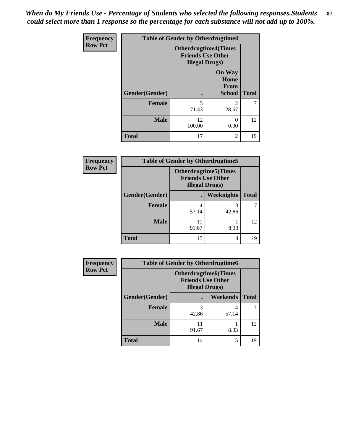*When do My Friends Use - Percentage of Students who selected the following responses.Students could select more than 1 response so the percentage for each substance will not add up to 100%.* **87**

| <b>Frequency</b> | <b>Table of Gender by Otherdrugtime4</b> |                                                    |                                                       |              |
|------------------|------------------------------------------|----------------------------------------------------|-------------------------------------------------------|--------------|
| <b>Row Pct</b>   |                                          | <b>Friends Use Other</b><br><b>Illegal Drugs</b> ) | <b>Otherdrugtime4(Times</b>                           |              |
|                  | Gender(Gender)                           |                                                    | <b>On Way</b><br>Home<br><b>From</b><br><b>School</b> | <b>Total</b> |
|                  | Female                                   | 5<br>71.43                                         | っ<br>28.57                                            |              |
|                  | <b>Male</b>                              | 12<br>100.00                                       | 0.00                                                  | 12           |
|                  | <b>Total</b>                             | 17                                                 | $\mathfrak{D}$                                        | 19           |

| <b>Frequency</b> | <b>Table of Gender by Otherdrugtime5</b> |                                                                                    |            |              |
|------------------|------------------------------------------|------------------------------------------------------------------------------------|------------|--------------|
| <b>Row Pct</b>   |                                          | <b>Otherdrugtime5</b> (Times<br><b>Friends Use Other</b><br><b>Illegal Drugs</b> ) |            |              |
|                  | Gender(Gender)                           |                                                                                    | Weeknights | <b>Total</b> |
|                  | <b>Female</b>                            | 4<br>57.14                                                                         | 42.86      |              |
|                  | <b>Male</b>                              | 11<br>91.67                                                                        | 8.33       | 12           |
|                  | <b>Total</b>                             | 15                                                                                 | 4          | 19           |

| <b>Frequency</b> | <b>Table of Gender by Otherdrugtime6</b> |                                                                                   |            |              |
|------------------|------------------------------------------|-----------------------------------------------------------------------------------|------------|--------------|
| <b>Row Pct</b>   |                                          | <b>Otherdrugtime6(Times</b><br><b>Friends Use Other</b><br><b>Illegal Drugs</b> ) |            |              |
|                  | Gender(Gender)                           |                                                                                   | Weekends   | <b>Total</b> |
|                  | <b>Female</b>                            | 3<br>42.86                                                                        | 4<br>57.14 |              |
|                  | <b>Male</b>                              | 11<br>91.67                                                                       | 8.33       | 12           |
|                  | <b>Total</b>                             | 14                                                                                | 5          | 19           |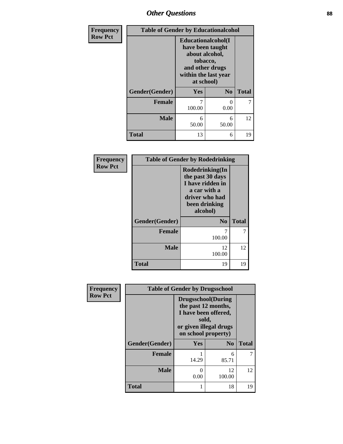### *Other Questions* **88**

| Frequency<br><b>Row Pct</b> |                | <b>Table of Gender by Educationalcohol</b>                                                                                            |                |              |  |
|-----------------------------|----------------|---------------------------------------------------------------------------------------------------------------------------------------|----------------|--------------|--|
|                             |                | <b>Educationalcohol</b> (I<br>have been taught<br>about alcohol,<br>tobacco,<br>and other drugs<br>within the last year<br>at school) |                |              |  |
|                             | Gender(Gender) | Yes                                                                                                                                   | N <sub>0</sub> | <b>Total</b> |  |
|                             | <b>Female</b>  | 7<br>100.00                                                                                                                           | $_{0}$<br>0.00 | 7            |  |
|                             | <b>Male</b>    | 6<br>50.00                                                                                                                            | 6<br>50.00     | 12           |  |
|                             | <b>Total</b>   | 13                                                                                                                                    | 6              | 19           |  |

| Frequency      | <b>Table of Gender by Rodedrinking</b> |                                                                                                                        |              |  |
|----------------|----------------------------------------|------------------------------------------------------------------------------------------------------------------------|--------------|--|
| <b>Row Pct</b> |                                        | Rodedrinking(In<br>the past 30 days<br>I have ridden in<br>a car with a<br>driver who had<br>been drinking<br>alcohol) |              |  |
|                | Gender(Gender)                         | N <sub>0</sub>                                                                                                         | <b>Total</b> |  |
|                | <b>Female</b>                          | 100.00                                                                                                                 | 7            |  |
|                | <b>Male</b>                            | 12<br>100.00                                                                                                           | 12           |  |
|                | <b>Total</b>                           | 19                                                                                                                     | 19           |  |

| Frequency      | <b>Table of Gender by Drugsschool</b> |                                                                                                                                     |                |              |
|----------------|---------------------------------------|-------------------------------------------------------------------------------------------------------------------------------------|----------------|--------------|
| <b>Row Pct</b> |                                       | <b>Drugsschool</b> (During<br>the past 12 months,<br>I have been offered,<br>sold,<br>or given illegal drugs<br>on school property) |                |              |
|                | Gender(Gender)                        | Yes                                                                                                                                 | N <sub>0</sub> | <b>Total</b> |
|                | <b>Female</b>                         | 14.29                                                                                                                               | 6<br>85.71     | 7            |
|                | <b>Male</b>                           | 0<br>0.00                                                                                                                           | 12<br>100.00   | 12           |
|                | <b>Total</b>                          |                                                                                                                                     | 18             | 19           |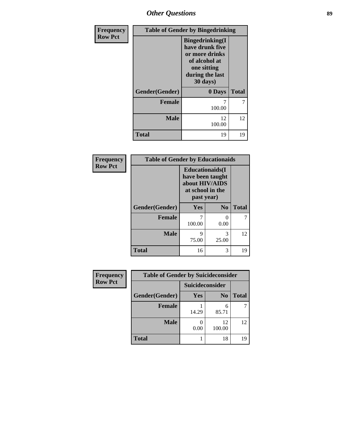*Other Questions* **89**

| Frequency      | <b>Table of Gender by Bingedrinking</b> |                                                                                                                             |              |  |
|----------------|-----------------------------------------|-----------------------------------------------------------------------------------------------------------------------------|--------------|--|
| <b>Row Pct</b> |                                         | <b>Bingedrinking</b> (I<br>have drunk five<br>or more drinks<br>of alcohol at<br>one sitting<br>during the last<br>30 days) |              |  |
|                | Gender(Gender)                          | 0 Days                                                                                                                      | <b>Total</b> |  |
|                | <b>Female</b>                           | 100.00                                                                                                                      | 7            |  |
|                | <b>Male</b>                             | 12<br>100.00                                                                                                                | 12           |  |
|                | <b>Total</b>                            | 19                                                                                                                          | 19           |  |

| Frequency      | <b>Table of Gender by Educationaids</b> |                                                                                                 |                |              |
|----------------|-----------------------------------------|-------------------------------------------------------------------------------------------------|----------------|--------------|
| <b>Row Pct</b> |                                         | <b>Educationaids</b> (I<br>have been taught<br>about HIV/AIDS<br>at school in the<br>past year) |                |              |
|                | Gender(Gender)                          | Yes                                                                                             | N <sub>0</sub> | <b>Total</b> |
|                | <b>Female</b>                           | 100.00                                                                                          | 0<br>0.00      | 7            |
|                | <b>Male</b>                             | q<br>75.00                                                                                      | 3<br>25.00     | 12           |
|                | <b>Total</b>                            | 16                                                                                              | 3              | 19           |

| Frequency      | <b>Table of Gender by Suicideconsider</b> |                 |                |              |
|----------------|-------------------------------------------|-----------------|----------------|--------------|
| <b>Row Pct</b> |                                           | Suicideconsider |                |              |
|                | Gender(Gender)                            | Yes             | N <sub>0</sub> | <b>Total</b> |
|                | <b>Female</b>                             | 14.29           | 6<br>85.71     |              |
|                | <b>Male</b>                               | 0.00            | 12<br>100.00   | 12           |
|                | <b>Total</b>                              |                 | 18             | 19           |